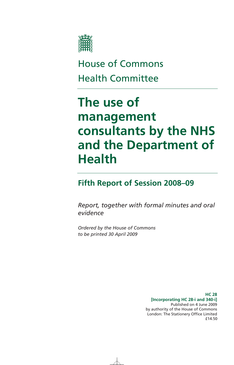

# House of Commons Health Committee

# **The use of management consultants by the NHS and the Department of Health**

# **Fifth Report of Session 2008–09**

*Report, together with formal minutes and oral evidence* 

*Ordered by the House of Commons to be printed 30 April 2009* 

> **HC 28 [Incorporating HC 28-i and 340-i]**  Published on 4 June 2009 by authority of the House of Commons London: The Stationery Office Limited £14.50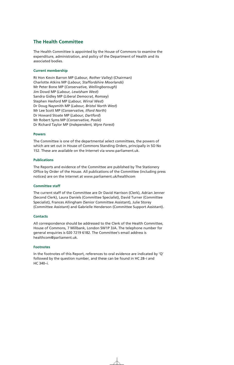# **The Health Committee**

The Health Committee is appointed by the House of Commons to examine the expenditure, administration, and policy of the Department of Health and its associated bodies.

### **Current membership**

Rt Hon Kevin Barron MP (*Labour, Rother Valley*) (Chairman) Charlotte Atkins MP (*Labour, Staffordshire Moorlands*) Mr Peter Bone MP (*Conservative, Wellingborough*) Jim Dowd MP (*Labour, Lewisham West*) Sandra Gidley MP (*Liberal Democrat, Romsey*) Stephen Hesford MP (*Labour, Wirral West*) Dr Doug Naysmith MP (*Labour, Bristol North West*) Mr Lee Scott MP (*Conservative, Ilford North*) Dr Howard Stoate MP (*Labour, Dartford*) Mr Robert Syms MP (*Conservative, Poole*) Dr Richard Taylor MP (*Independent, Wyre Forest*)

#### **Powers**

The Committee is one of the departmental select committees, the powers of which are set out in House of Commons Standing Orders, principally in SO No 152. These are available on the Internet via www.parliament.uk.

#### **Publications**

The Reports and evidence of the Committee are published by The Stationery Office by Order of the House. All publications of the Committee (including press notices) are on the Internet at www.parliament.uk/healthcom

#### **Committee staff**

The current staff of the Committee are Dr David Harrison (Clerk), Adrian Jenner (Second Clerk), Laura Daniels (Committee Specialist), David Turner (Committee Specialist), Frances Allingham (Senior Committee Assistant), Julie Storey (Committee Assistant) and Gabrielle Henderson (Committee Support Assistant).

### **Contacts**

All correspondence should be addressed to the Clerk of the Health Committee, House of Commons, 7 Millbank, London SW1P 3JA. The telephone number for general enquiries is 020 7219 6182. The Committee's email address is healthcom@parliament.uk.

### **Footnotes**

In the footnotes of this Report, references to oral evidence are indicated by 'Q' followed by the question number, and these can be found in HC 28–i and HC 340–i.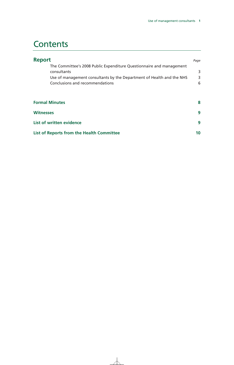# **Contents**

| <b>Report</b>                                                                                                                                                                                   | Page        |
|-------------------------------------------------------------------------------------------------------------------------------------------------------------------------------------------------|-------------|
| The Committee's 2008 Public Expenditure Questionnaire and management<br>consultants<br>Use of management consultants by the Department of Health and the NHS<br>Conclusions and recommendations | 3<br>3<br>6 |
| <b>Formal Minutes</b>                                                                                                                                                                           | 8           |
| <b>Witnesses</b>                                                                                                                                                                                | 9           |
| List of written evidence                                                                                                                                                                        | 9           |
| List of Reports from the Health Committee                                                                                                                                                       | 10          |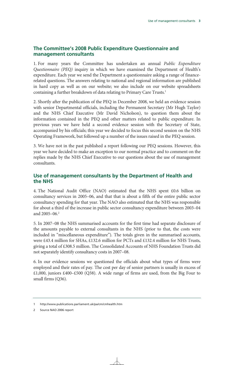# **The Committee's 2008 Public Expenditure Questionnaire and management consultants**

1. For many years the Committee has undertaken an annual *Public Expenditure Questionnaire (PEQ)* inquiry in which we have examined the Department of Health's expenditure. Each year we send the Department a questionnaire asking a range of financerelated questions. The answers relating to national and regional information are published in hard copy as well as on our website; we also include on our website spreadsheets containing a further breakdown of data relating to Primary Care Trusts.<sup>1</sup>

2. Shortly after the publication of the PEQ in December 2008, we held an evidence session with senior Departmental officials, including the Permanent Secretary (Mr Hugh Taylor) and the NHS Chief Executive (Mr David Nicholson), to question them about the information contained in the PEQ and other matters related to public expenditure. In previous years we have held a second evidence session with the Secretary of State, accompanied by his officials; this year we decided to focus this second session on the NHS Operating Framework, but followed up a number of the issues raised in the PEQ session.

3. We have not in the past published a report following our PEQ sessions. However, this year we have decided to make an exception to our normal practice and to comment on the replies made by the NHS Chief Executive to our questions about the use of management consultants.

# **Use of management consultants by the Department of Health and the NHS**

4. The National Audit Office (NAO) estimated that the NHS spent £0.6 billion on consultancy services in 2005–06, and that that is about a fifth of the entire public sector consultancy spending for that year. The NAO also estimated that the NHS was responsible for about a third of the increase in public sector consultancy expenditure between 2003–04 and 2005–06.2

5. In 2007–08 the NHS summarised accounts for the first time had separate disclosure of the amounts payable to external consultants in the NHS (prior to that, the costs were included in "miscellaneous expenditure"). The totals given in the summarised accounts, were £43.4 million for SHAs, £132.6 million for PCTs and £132.4 million for NHS Trusts, giving a total of £308.5 million. The Consolidated Accounts of NHS Foundation Trusts did not separately identify consultancy costs in 2007–08.

6. In our evidence sessions we questioned the officials about what types of firms were employed and their rates of pay. The cost per day of senior partners is usually in excess of £1,000, juniors £400–£500 (Q38). A wide range of firms are used, from the Big Four to small firms (Q36).

<sup>1</sup> http://www.publications.parliament.uk/pa/cm/cmhealth.htm

<sup>2</sup> Source NAO 2006 report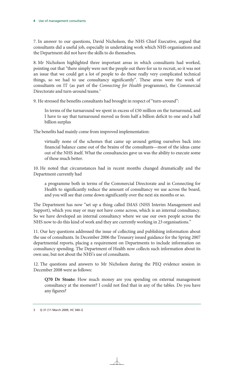7. In answer to our questions, David Nicholson, the NHS Chief Executive, argued that consultants did a useful job, especially in undertaking work which NHS organisations and the Department did not have the skills to do themselves.

8. Mr Nicholson highlighted three important areas in which consultants had worked, pointing out that "there simply were not the people out there for us to recruit, so it was not an issue that we could get a lot of people to do these really very complicated technical things, so we had to use consultancy significantly". These areas were the work of consultants on IT (as part of the *Connecting for Health* programme), the Commercial Directorate and turn-around teams.<sup>3</sup>

9. He stressed the benefits consultants had brought in respect of "turn-around":

In terms of the turnaround we spent in excess of  $£50$  million on the turnaround, and I have to say that turnaround moved us from half a billion deficit to one and a half billion surplus

The benefits had mainly come from improved implementation:

virtually none of the schemes that came up around getting ourselves back into financial balance came out of the brains of the consultants—most of the ideas came out of the NHS itself. What the consultancies gave us was the ability to execute some of these much better.

10. He noted that circumstances had in recent months changed dramatically and the Department currently had

a programme both in terms of the Commercial Directorate and in Connecting for Health to significantly reduce the amount of consultancy we use across the board, and you will see that come down significantly over the next six months or so.

The Department has now "set up a thing called IMAS (NHS Interim Management and Support), which you may or may not have come across, which is an internal consultancy. So we have developed an internal consultancy where we use our own people across the NHS now to do this kind of work and they are currently working in 23 organisations."

11. Our key questions addressed the issue of collecting and publishing information about the use of consultants. In December 2006 the Treasury issued guidance for the Spring 2007 departmental reports, placing a requirement on Departments to include information on consultancy spending. The Department of Health now collects such information about its own use, but not about the NHS's use of consultants.

12. The questions and answers to Mr Nicholson during the PEQ evidence session in December 2008 were as follows:

**Q70 Dr Stoate:** How much money are you spending on external management consultancy at the moment? I could not find that in any of the tables. Do you have any figures?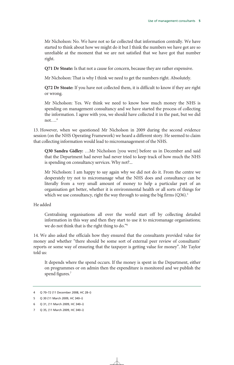Mr Nicholson: No. We have not so far collected that information centrally. We have started to think about how we might do it but I think the numbers we have got are so unreliable at the moment that we are not satisfied that we have got that number right.

**Q71 Dr Stoate:** Is that not a cause for concern, because they are rather expensive.

Mr Nicholson: That is why I think we need to get the numbers right. Absolutely.

**Q72 Dr Stoate:** If you have not collected them, it is difficult to know if they are right or wrong.

Mr Nicholson: Yes. We think we need to know how much money the NHS is spending on management consultancy and we have started the process of collecting the information. I agree with you, we should have collected it in the past, but we did not... $^{4}$ 

13. However, when we questioned Mr Nicholson in 2009 during the second evidence session (on the NHS Operating Framework) we heard a different story. He seemed to claim that collecting information would lead to micromanagement of the NHS.

**Q30 Sandra Gidley:** …Mr Nicholson [you were] before us in December and said that the Department had never had never tried to keep track of how much the NHS is spending on consultancy services. Why not?...

Mr Nicholson: I am happy to say again why we did not do it. From the centre we desperately try not to micromanage what the NHS does and consultancy can be literally from a very small amount of money to help a particular part of an organisation get better, whether it is environmental health or all sorts of things for which we use consultancy, right the way through to using the big firms  $(Q36).5$ 

He added

Centralising organisations all over the world start off by collecting detailed information in this way and then they start to use it to micromanage organisations; we do not think that is the right thing to do."6

14. We also asked the officials how they ensured that the consultants provided value for money and whether "there should be some sort of external peer review of consultants' reports or some way of ensuring that the taxpayer is getting value for money". Mr Taylor told us:

It depends where the spend occurs. If the money is spent in the Department, either on programmes or on admin then the expenditure is monitored and we publish the spend figures.<sup>7</sup>

<sup>4</sup> Q 70–72 (11 December 2008, HC 28–i)

<sup>5</sup> Q 30 (11 March 2009, HC 340–i)

<sup>6</sup> Q 31, (11 March 2009, HC 340–i)

<sup>7</sup> Q 35, (11 March 2009, HC 340–i)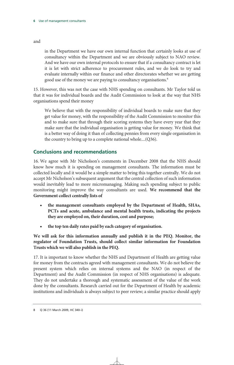in the Department we have our own internal function that certainly looks at use of consultancy within the Department and we are obviously subject to NAO review. And we have our own internal protocols to ensure that if a consultancy contract is let it is let with strict adherence to procurement rules, and we do look to try and evaluate internally within our finance and other directorates whether we are getting good use of the money we are paying to consultancy organisations.<sup>8</sup>

15. However, this was not the case with NHS spending on consultants. Mr Taylor told us that it was for individual boards and the Audit Commission to look at the way that NHS organisations spend their money

We believe that with the responsibility of individual boards to make sure that they get value for money, with the responsibility of the Audit Commission to monitor this and to make sure that through their scoring systems they have every year that they make sure that the individual organisation is getting value for money. We think that is a better way of doing it than of collecting pennies from every single organisation in the country to bring up to a complete national whole....(Q36).

# **Conclusions and recommendations**

16. We agree with Mr Nicholson's comments in December 2008 that the NHS should know how much it is spending on management consultants. The information must be collected locally and it would be a simple matter to bring this together centrally. We do not accept Mr Nicholson's subsequent argument that the central collection of such information would inevitably lead to more micromanaging. Making such spending subject to public monitoring might improve the way consultants are used. **We recommend that the Government collect centrally lists of** 

- **the management consultants employed by the Department of Health, SHAs, PCTs and acute, ambulance and mental health trusts, indicating the projects they are employed on, their duration, cost and purpose;**
- **the top ten daily rates paid by each category of organisation.**

**We will ask for this information annually and publish it in the PEQ. Monitor, the regulator of Foundation Trusts, should collect similar information for Foundation Trusts which we will also publish in the PEQ.** 

17. It is important to know whether the NHS and Department of Health are getting value for money from the contracts agreed with management consultants. We do not believe the present system which relies on internal systems and the NAO (in respect of the Department) and the Audit Commission (in respect of NHS organisations) is adequate. They do not undertake a thorough and systematic assessment of the value of the work done by the consultants. Research carried out for the Department of Health by academic institutions and individuals is always subject to peer review; a similar practice should apply

and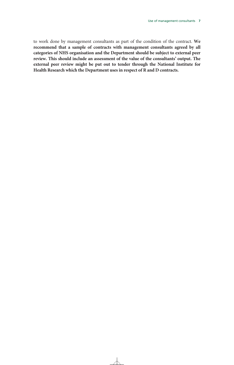to work done by management consultants as part of the condition of the contract. **We recommend that a sample of contracts with management consultants agreed by all categories of NHS organisation and the Department should be subject to external peer review. This should include an assessment of the value of the consultants' output. The external peer review might be put out to tender through the National Institute for Health Research which the Department uses in respect of R and D contracts.**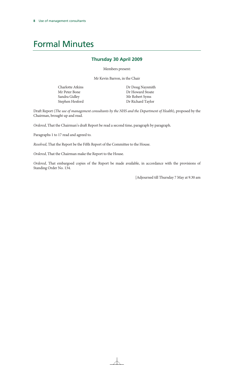# Formal Minutes

# **Thursday 30 April 2009**

Members present:

Mr Kevin Barron, in the Chair

Charlotte Atkins Mr Peter Bone Sandra Gidley Stephen Hesford  Dr Doug Naysmith Dr Howard Stoate Mr Robert Syms Dr Richard Taylor

Draft Report (*The use of management consultants by the NHS and the Department of Health*), proposed by the Chairman, brought up and read.

*Ordered*, That the Chairman's draft Report be read a second time, paragraph by paragraph.

Paragraphs 1 to 17 read and agreed to.

*Resolved*, That the Report be the Fifth Report of the Committee to the House.

*Ordered*, That the Chairman make the Report to the House.

*Ordered*, That embargoed copies of the Report be made available, in accordance with the provisions of Standing Order No. 134.

[Adjourned till Thursday 7 May at 9.30 am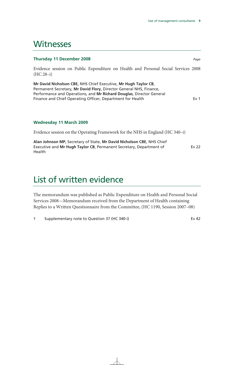# **Witnesses**

## **Thursday 11 December 2008** *Page*

Evidence session on Public Expenditure on Health and Personal Social Services 2008 (HC 28–i)

**Mr David Nicholson CBE,** NHS Chief Executive, **Mr Hugh Taylor CB**, Permanent Secretary, **Mr David Flory**, Director General NHS, Finance, Performance and Operations, and **Mr Richard Douglas**, Director General Finance and Chief Operating Officer, Department for Health Ev 1

# **Wednesday 11 March 2009**

Evidence session on the Operating Framework for the NHS in England (HC 340–i)

**Alan Johnson MP,** Secretary of State, **Mr David Nicholson CBE**, NHS Chief Executive and **Mr Hugh Taylor CB**, Permanent Secretary, Department of Health Ev 22

# List of written evidence

The memorandum was published as Public Expenditure on Health and Personal Social Services 2008—Memorandum received from the Department of Health containing Replies to a Written Questionnaire from the Committee, (HC 1190, Session 2007–08)

1 Supplementary note to Question 37 (HC 340-i) **EXALL EXALL EXALL EXALL EX** 42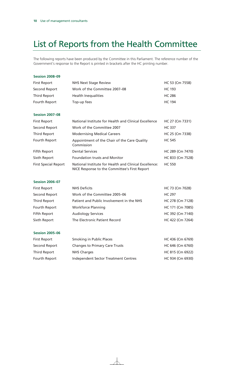# List of Reports from the Health Committee

The following reports have been produced by the Committee in this Parliament. The reference number of the Government's response to the Report is printed in brackets after the HC printing number.

### **Session 2008–09**

| <b>First Report</b> | <b>NHS Next Stage Review</b>  | HC 53 (Cm 7558) |
|---------------------|-------------------------------|-----------------|
| Second Report       | Work of the Committee 2007-08 | HC 193          |
| Third Report        | <b>Health Inequalities</b>    | HC 286          |
| Fourth Report       | Top-up fees                   | <b>HC 194</b>   |
|                     |                               |                 |

### **Session 2007–08**

| <b>First Report</b>         | National Institute for Health and Clinical Excellence                                                   | HC 27 (Cm 7331)  |
|-----------------------------|---------------------------------------------------------------------------------------------------------|------------------|
| Second Report               | Work of the Committee 2007                                                                              | <b>HC 337</b>    |
| Third Report                | <b>Modernising Medical Careers</b>                                                                      | HC 25 (Cm 7338)  |
| Fourth Report               | Appointment of the Chair of the Care Quality<br>Commission                                              | <b>HC 545</b>    |
| Fifth Report                | <b>Dental Services</b>                                                                                  | HC 289 (Cm 7470) |
| Sixth Report                | <b>Foundation trusts and Monitor</b>                                                                    | HC 833 (Cm 7528) |
| <b>First Special Report</b> | National Institute for Health and Clinical Excellence:<br>NICE Response to the Committee's First Report | <b>HC 550</b>    |

## **Session 2006–07**

| <b>First Report</b> | <b>NHS Deficits</b>                       | HC 73 (Cm 7028)  |
|---------------------|-------------------------------------------|------------------|
| Second Report       | Work of the Committee 2005-06             | HC 297           |
| Third Report        | Patient and Public Involvement in the NHS | HC 278 (Cm 7128) |
| Fourth Report       | <b>Workforce Planning</b>                 | HC 171 (Cm 7085) |
| Fifth Report        | <b>Audiology Services</b>                 | HC 392 (Cm 7140) |
| Sixth Report        | The Electronic Patient Record             | HC 422 (Cm 7264) |

### **Session 2005–06**

| <b>First Report</b> | Smoking in Public Places              | HC 436 (Cm 6769) |
|---------------------|---------------------------------------|------------------|
| Second Report       | <b>Changes to Primary Care Trusts</b> | HC 646 (Cm 6760) |
| Third Report        | NHS Charges                           | HC 815 (Cm 6922) |
| Fourth Report       | Independent Sector Treatment Centres  | HC 934 (Cm 6930) |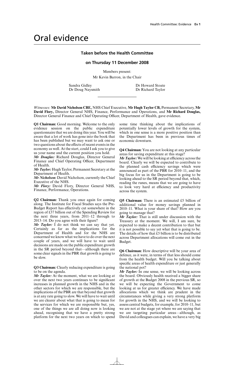# Oral evidence

#### **Taken before the Health Committee**

#### **on Thursday 11 December 2008**

Members present:

Mr Kevin Barron, in the Chair

Sandra Gidley Dr Howard Stoate<br>
Dr Doug Naysmith Dr Richard Taylor Dr Doug Naysmith

*Witnesses:* **Mr David Nicholson CBE,** NHS Chief Executive, **Mr Hugh Taylor CB,** Permanent Secretary, **Mr David Flory,** Director General NHS, Finance, Performance and Operations, and **Mr Richard Douglas,** Director General Finance and Chief Operating Officer, Department of Health, gave evidence.

**Q1 Chairman:** Good morning. Welcome to the only evidence session on the public expenditure questionnaire that we are doing this year. You will be aware that a lot of work has gone into the book that has been published but we may want to ask one or two questions about the effects of recent events in the economy as well. At the start, could I ask you to give us your name and the current position you hold.

*Mr Douglas:* Richard Douglas, Director General Finance and Chief Operating Officer, Department of Health.

*Mr Taylor:* Hugh Taylor, Permanent Secretary at the Department of Health.

*Mr Nicholson:* David Nicholson, currently the Chief Executive of the NHS.

*Mr Flory:* David Flory, Director General NHS, Finance, Performance, Operations.

**Q2 Chairman:** Thank you once again for coming along. The Institute for Fiscal Studies says the Pre-Budget Report has effectively cut somewhere in the region of £37 billion out of the Spending Review for the next three years, from  $2011-12$  through to 2013–14. Do you agree with their figure?

*Mr Taylor:* I do not think we can say that yet. Certainly as far as the implications for the Department of Health and for the NHS are concerned we know what we have to do over the next couple of years, and we will have to wait until decisions are made on the public expenditure growth in the SR period beyond that—although there are some clear signals in the PBR that growth is going to be slow.

**Q3 Chairman:** Clearly reducing expenditure is going to be on the agenda.

*Mr Taylor:* At the moment, what we are looking at over the next two years continues to be significant increases in planned growth in the NHS and in the other sectors for which we are responsible, but the implications of the PBR are that beyond that growth is at any rate going to slow. We will have to wait until we are clearer about what that is going to mean for the services for which we are responsible but, yes, one of the things we are all doing now is looking ahead, recognising that we have a pretty strong platform for the next two years on which to spend some time thinking about the implications of potentially lower levels of growth for the system, which in one sense is a more positive position than the Department has been in previous times of economic downturn.

**Q4 Chairman:** You are not looking at any particular areas for saving expenditure at this stage?

*Mr Taylor:* We will be looking at efficiency across the board. Clearly we will be expected to contribute to the planned cash efficiency savings which were announced as part of the PBR for 2010–11, and the big focus for us in the Department is going to be looking ahead to the SR period beyond that, which, reading the runes, means that we are going to have to look very hard at efficiency and productivity across the system.

**Q5 Chairman:** There is an estimated £5 billion of additional value for money savings planned in 2010–11. What is your share of that? How are you going to manage that?

*Mr Taylor:* That is still under discussion with the Treasury at the moment. We will, I am sure, be expected to make a decent contribution to that but it is not possible to say yet what that is going to be. The details of how that £5 billion is to be distributed across Department allocations will come out in the Budget.

**Q6 Chairman:** How descriptive will be your area of defence, as it were, in terms of that less should come from the health budget. Will you be talking about specific areas of health expenditure or just generally the national pot?

*Mr Taylor:* In one sense, we will be looking across the board. Obviously health received a bigger share of growth at the Budget 2008 in the previous SR, so we will be expecting the Government to come looking at us for greater efficiency. We have made allocations which we think are prudent in the circumstances while giving a very strong platform for growth in the NHS, and we will be looking to assess central budgets, for example, for 2010–11, but we are not at the stage yet where we are saying that we are targeting particular areas—although, as David and colleagues can explain, we have a very big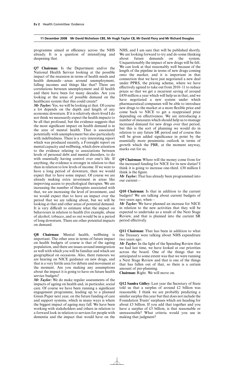programme aimed at efficiency across the NHS already. It is a question of intensifying and deepening that.

**Q7 Chairman:** Is the Department and/or the National Health Service looking at the possible impact of the recession in terms of health needs and health demands—areas around unemployment, falling incomes and things like that? There are correlations between unemployment and ill health and there have been for many decades. Are you looking at the areas of possible demand on the healthcare system that this could create?

*Mr Taylor:* Yes, we will be looking at that. Of course a lot depends on the depth and length of any economic downturn. If it is relatively short-lived I do not think we necessarily expect the health impacts to be all that profound, but the evidence suggests that the most significant impact on health demand is in the area of mental health. That is associated potentially with unemployment but also particularly with indebtedness. There is a very interesting report which was produced recently, a Foresight report on mental capacity and wellbeing, which drew attention to the evidence relating to associations between levels of personal debt and mental disorders, to do with essentially having control over one's life. If anything, the evidence is stronger in relation to that than in relation to low levels of income. If we were to have a long period of downturn, then we would expect that to have some impact. Of course we are already making extra investment in areas like improving access to psychological therapies. We are increasing the number of therapists associated with that, we are increasing the level of investment, and we would expect that to have an impact over the period that we are talking about, but we will be looking at that and other areas of potential demand. It is very difficult to estimate what the impact on behaviours in relation to health (for example, abuse of alcohol, tobacco, and so on) would be in a period of long downturn. There are other potential impacts on demand.

**Q8 Chairman:** Mental health, wellbeing is important. The other area in terms of future impact on health budgets of course is that of the ageing population, and there are issues around immigration as well with which you will be familiar and which are geographical on occasions. Also, there rumours we are hearing on NICE guidance on new drugs, and that is a very fertile area for debate and movement at the moment. Are you making any assumptions about the impact it is going to have on future health service budgets?

*Mr Taylor:* We do make regular assessments of the impacts of ageing on health and, in particular, social care. Of course we have been running a significant engagement programme, leading up to a planned Green Paper next year, on the future funding of care and support systems, which in many ways is where the biggest impact of ageing may fall. We have been working with stakeholders and others in relation to a forward look in relation to services for people with dementia and the impact that would have on the NHS, and I am sure that will be published shortly. We are looking forward to try and do some thinking about future demands on the system. Unquestionably the impact of new drugs will be felt. We can look at that reasonably well because of the length of the pipeline in terms of new drugs coming onto the market, and it is important in that connection that we have just negotiated a new deal under PPRS, the pricing scheme, where we have effectively agreed to take out from  $2010-11$  to reduce prices so that we get a recurrent saving of around £450 million a year which will help us in that, and we have negotiated a new system under which pharmaceutical companies will be able to introduce new drugs to the market at a more flexible price and come back to NICE to get a reappraised price depending on effectiveness. We are introducing a number of measures which should help us to manage increased demand for new drugs over that period, but this is the sort of planning we would do in relation to any future  $S\vec{R}$  period and of course this will be given added significance in point by the essentially more pessimistic outlook in terms of growth which the PBR, at the moment anyway, marks out for us.

**Q9 Chairman:** Where will the money come from for the increased funding for NICE for its new duties? I think it is going to increase one-third. £30 million I think is the figure.

*Mr Taylor:* That has already been programmed into our current—

**Q10 Chairman:** Is that in addition to the current budgets? We are talking about current budgets of two years ago, when—

*Mr Taylor:* We have planned an increase for NICE in relation to the new activities that they will be expected to undertake as a result of the Next Stage Review, and that is planned into the current SR period effectively.

**Q11 Chairman:** That has been in addition to what the Treasury were talking about NHS expenditure two years ago.

*Mr Taylor:* In the light of the Spending Review that we had last time, we have looked at our priorities across the board. One of the things that we anticipated to some extent was that we were running a Next Stage Review and that is one of the things that has fallen out of that, so there is a certain amount of pre-planning.

**Chairman:** Right. We will move on.

**Q12 Sandra Gidley:** Last year the Secretary of State told us that a surplus of around £2 billion was reasonable. I think we are probably predicting a similar surplus this year but that does not include the Foundation Trusts' surpluses which are heading for about £3 billion. If you add that together and you have a surplus of £5 billion, is that reasonable or unreasonable? What criteria would you use in making that judgment?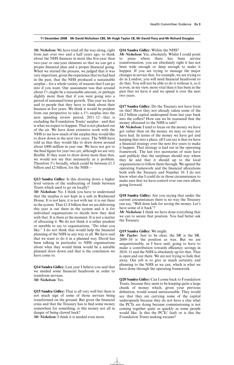*Mr Nicholson:* We have tried all the way along, right from just over two and a half years ago, to think about the NHS finances in more like five-year than two-year or one-year elements so that we can get a proper financial plan and a proper financial going. When we started the process, we judged that it was very important, given the experience that we had had in the past, that the NHS produced a sustainable surplus—for a whole variety of reasons that I can go into if you want. Our assessment was that around about 1% might be a reasonable amount, or perhaps slightly more than that if you were going into a period of sustained lower growth. This year we have said to people that they have to think about their finances in five years. We think it would be prudent from our perspective to take a 1% surplus into the next spending review period, 2011–12—that is excluding the Foundation Trusts' surplus—and that is what we expect to happen. That is not plucked out of the air. We have done extensive work with the NHS to see how much of the surplus they would like to draw down in the next two years. The NHS have told us that they would like to draw down around about £400 million in year one. We have not got to the final figure for year two yet, although we are very flexible. If they want to draw down more than that, we would not see that necessarily as a problem. Therefore 1% broadly, which could be between £1.5 billion and £2 billion, for the NHS-

**Q13 Sandra Gidley:** Is this drawing down a higher level version of the reallocating of funds between Trusts which used to go on locally?

*Mr Nicholson:* No. I think you have to understand that the surplus is not kept in a safe in Richmond House. It is not here, it is not with me: it is out there in the system. That  $£1.8$  billion that we are delivering this year is out there in the system and it is for individual organisations to decide how they deal with that. It is there at the moment. It is not a matter of allocating it. We do not think it is either prudent or sensible to say to organisations, "Do what you like." I do not think that would help the financial planning of the NHS in any way at all. We have said that we want to do it in a planned way. David has been talking in particular to NHS organisations about what they would think would be a suitable planned draw down and that is the conclusion we have come to.

**Q14 Sandra Gidley:** Last year I believe you said that we needed some financial headroom in order to transform services. *Mr Nicholson:* Yes.

**Q15 Sandra Gidley:** That is all very well but there is not much sign of some of those services being transformed on the ground. But given the financial crisis and that the Treasury has to find some money somewhere for something, is this money not all in danger of being clawed back?

*Mr Nicholson:* I think it is needed even more.

#### **Q16 Sandra Gidley:** Within the NHS?

*Mr Nicholson:* Yes, absolutely. Whilst I could point to areas where there has been service transformation, you are absolutely right it has not been wide enough or deep enough to make it happen. If you are trying to manage the major changes in service that, for example, we are trying to do in London, you will need financial headroom to do that. You will not be able to do it without it, so it is even, in my view, more vital than it has been in the past that we have it and we spend it over the next two years.

**Q17 Sandra Gidley:** Do the Treasury not have form on this? Have they not already taken some of the £4.2 billion capital underspend from last year back into the coffers? How can we be reassured that the money allocated to the NHS is safe?

*Mr Nicholson:* I tend to focus on the money we have got rather than on the money we may or may not have had. In terms of the money we have got and keeping that into a place, all I can say is that we have a financial strategy over the next five years to make it happen. That strategy is laid out in the operating framework. The last two secretaries of state have said publicly that the surpluses should stay where they lie and that it should up to the local organisations to follow them through. We agreed the operating framework and the financial allocations both with the Treasury and Number 10. I do not know what else I could do in those circumstances to make sure that we have control over our own affairs going forward.

**Q18 Sandra Gidley:** Are you saying that under the current circumstances there is no way the Treasury can say, "Well done lads for saving the money. Let's have some of it back"?

*Mr Nicholson:* I think we have done everything that we can to secure that position. You had better ask the Treasury.

#### **Q19 Sandra Gidley:** We might.

*Mr Taylor:* Just to be clear, the SR is the SR. 2009–10 is the position as was. But we are unquestionably, as I have said, going to have to make a contribution towards efficiency savings in 2010–11 and the NHS is absolutely up for that. That is open and out there. We are not trying to hide that away. Our job is to give as much certainty and planning to the NHS as we can, which is what we have done through the operating framework.

**Q20 Sandra Gidley:** Can I come back to Foundation Trusts, because they seem to be keeping quite a large chunk of money which, given your previous definition, would sound unreasonable. They would say that they are carrying some of the capital underspends because they do not have a clue what the PCTs are doing because commissioning is not coming together quite as quickly as some people would like. Is this the PCTs' fault or is this the Foundation Trusts making excuses?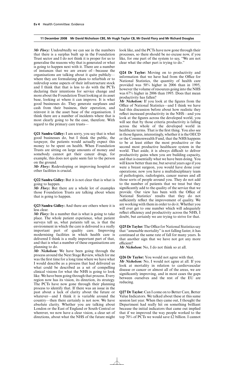*Mr Flory:* Undoubtedly we can see in the numbers that there is a surplus built up in the Foundation Trust sector and I do not think it is proper for us to generalise the reasons why that is generated or what is going to happen next with it. There are a number of instances that we are aware of—because the organisations are talking about it quite publicly where they are formulating plans to refurbish or to redevelop some aspects of their infrastructure stock and I think that that is less to do with the PCTs declaring their intentions for service change and more about the Foundation Trust looking at its asset base, looking at where it can improve. It is what good businesses do. They generate surpluses and cash from their business, their operation, and reinvest it in the asset base of the organisation. I think there are a number of incidents where that is most clearly going to be the case, therefore. With regard to the primary care trusts—

**Q21 Sandra Gidley:** I am sorry, you say that is what good businesses do, but I think the public, the taxpayer, the patients would actually expect this money to be spent on health. When Foundation Trusts are sitting on large amounts of money and somebody cannot get their cancer drugs, for example, this does not quite seem fair to the person on the ground.

*Mr Flory:* Redeveloping or improving hospital or other facilities is crucial.

**Q22 Sandra Gidley:** But it is not clear that is what is going to happen.

*Mr Flory:* But there are a whole lot of examples those Foundation Trusts are talking about where that is going to happen.

**Q23 Sandra Gidley:** And there are others where it is less clear.

*Mr Flory:* In a number that is what is going to take place. The whole patient experience, what patient surveys tell us, what patients tell us, is that the environment in which the care is delivered is a really important part of quality care. Improving modernising facilities in which health care is delivered I think is a really important part of that, and that is what a number of these organisations are planning to do.

*Mr Nicholson:* We have been going through the process around the Next Stage Review, which for me was the first time for a long time where we have what I would describe as a process that had delivered us what could be described as a set of compelling clinical visions for what the NHS is going to look like. We have been going through that process. Every region now has its vision, its direction, its strategy. The PCTs have now gone through their planning process to identify that. If there was an issue in the past about a lack of clarity about the future or whatever—and I think it is variable around the country—then there certainly is not now. We have absolute clarity. Whether you are talking about London or the East of England or South Central or wherever, we now have a clear vision, a clear set of directions, about what the NHS of the future might look like, and the PCTs have now gone through their processes, so there should be no excuse now, if you like, for one part of the system to say, "We are not clear what the other part is trying to do."

**Q24 Dr Taylor:** Moving on to productivity and information that we have had from the Office for National Statistics, the quantity of health care provided was 50% higher in 2006 than in 1995, however the volume of resources going into the NHS was 67% higher in 2006 than 1995. Does that mean productivity has fallen?

*Mr Nicholson:* If you look at the figures from the Office of National Statistics—and I think we have had this discussion before about how realistic they reflect increased productivity in the NHS—and you look at the figures across the developed world, you will see that by those criteria productivity is falling across the whole of the developed world in healthcare terms. That is the first thing. You also see in those figures, interestingly, whether it is the OECD or the Commonwealth Fund, that the NHS happens to be at least either the most productive or the second most productive healthcare system in the world. That aside, it is always difficult to deliver productivity gains when you are building capacity, and that is essentially what we have been doing. You will know better than me, but several years ago if you were a breast surgeon, you would have done your operations; now you have a multidisciplinary team of pathologists, radiologists, cancer nurses and all those sorts of people around you. They do not add to the number of patients that we treat but they significantly add to the quality of the service that we provide. Our view has been with the Office of National Statistics' results that they do not sufficiently reflect the improvement of quality. We are working with them in order to do it. Whether you will ever get to one number which will adequately reflect efficiency and productivity across the NHS, I doubt, but certainly we are trying to strive for that.

**Q25 Dr Taylor:** The Office for National Statistics say that "amenable mortality" is not falling faster, it has continued at the same rate of fall for many years. Is that another sign that we have not got any more efficient?

*Mr Nicholson:* No, I do not think so at all.

**Q26 Dr Taylor:** You would not agree with that. *Mr Nicholson:* No, I would not agree at all. If you look at mortality in relation to cardiovascular disease or cancer or almost all of the areas, we are significantly improving, and in most cases the gaps between ourselves and the rest of the EU are reducing.

**Q27 Dr Taylor:** Can I come on to Better Care, Better Value Indicators. We talked about these at this same session last year. When they came out, I thought the Department had really hit on something brilliant because the initial indicators that came out implied that if we improved the way people worked to the top 70% of PCTs we would save £2 billion. I cannot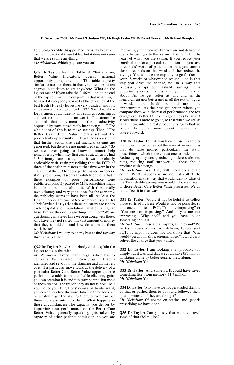help being terribly disappointed, possibly because I cannot understand these tables, but it does not seem that we are saving anything.

*Mr Nicholson:* Which page are you on?

**Q28 Dr Taylor:** Ev 153, Table 54. "Better Care, Better Value Indicators: overall national opportunity per quarter . . ." This table is pretty similar to most of them, in that you need about ten degrees in statistics to get anywhere. What do the figures mean? If you take the £146 million at the end of the top column in heavy print, is that what might be saved if everybody worked at the efficiency of the best levels? It really leaves me very puzzled, and it is made worse if you go on to Ev 227. We asked if the Department could identify any savings occurring as a direct result, and the answer is, "It cannot be assumed that movement in the productivity opportunity translates directly into savings . . ." The whole idea of this is to make savings. Then: "The Better Care Better Value metrics set out the productivity opportunity . . . It will be as a result of that further action that real financial savings are generated, but these are not monitored centrally." So we are never going to know. I cannot help remembering when they first came out, when we had 303 primary care trusts, that it was absolutely noticeable with statin prescribing that the PCTs of three of the health ministers at that time were in the 290s out of the 303 for poor performance on generic statin prescribing. It seems absolutely obvious that if these examples of poor performance were publicised, possibly passed to  $\overline{MPs}$ , something might be able to be done about it. With these really revolutionary and very good ideas for the economy, the publicity seems to have been nil. At least the Health Service Journal of 6 November this year did a brief article. It says that these indicators are sent to each hospital and Foundation Trust on a regular basis, but are they doing anything with them? We are questioning whatever have we been doing with these, why have they not raised this vast amount of money that they should do, and how do we make them work better?

*Mr Nicholson:*I will try to do my best to find my way through all of that.

**Q29 Dr Taylor:** Maybe somebody could explain the figures to us in the table.

*Mr Nicholson:* Every health organisation has to deliver a  $3\%$  cashable efficiency gain. That is identified and set out in the planning and all the rest of it. If a particular move towards the delivery of a particular Better Care Better Value upper quartile performance adds to that cashable efficiency gain, you can see what it is and it is transparent. But most of them do not. The reason they do not is because if you reduce your length of stay on a particular ward, you can either close the ward, take the three beds out or whatever, get the savings there, or you can put three more patients into them. What happens in those circumstances? The capacity you deliver by improving your performance on the Better Care Better Value, generally speaking, gets taken by capacity of other patients coming in, so you are improving your efficiency but you are not delivering cashable savings into the system. That, I think, is the heart of what you are saying. If you reduce your length of stay for a particular condition and you save three beds' worth of patients for that, you cannot close three beds on that ward and then reduce the savings. You will use the capacity to go further on your 18 weeks or whatever to reduce it, so in that way you drive the change, not in a way that necessarily drops out cashable savings. It is opportunity costs, I guess, that you are talking about. As we get better at this and as the measurement gets better and as all the rest of it goes forward, there should be and are more opportunities. As the best get better, where you compare them with the rest of performance, the rest can get even better. I think it is good news because it shows there is more to go at, so that when we get, as we are now, into the real productivity gains that we need to do there are more opportunities for us to take it forward.

**Q30 Dr Taylor:** I think you have chosen examples that do not raise money but there are other examples that do raise money, particularly the statin prescribing—which is the easiest one to understand. Reducing agency costs, reducing sickness absence rates, reducing staff turnover, all those should produce cash savings.

*Mr Nicholson:* Yes. They will. They do and are doing. What happens is we do not collect the information in that way that would identify what of the 3% cashable savings you would allocate to each of those Better Care Better Value processes. We do not collect it in that way.

**Q31 Dr Taylor:** Would it not be helpful to collect those sorts of figures? Would it not be possible, so that one could tell a PCT, "You are improving" or "You are not improving." And if you are not improving, "Why not?" and you have to do something about it.

*Mr Nicholson:* These are all inputs, are they not? We are trying to move away from defining the success of PCTs by input. It does not work like that. Why would you do it in those circumstances? It would not deliver the change that you wanted.

**Q32 Dr Taylor:** I am looking at it probably too simply but it was said that we could save £85 million on statins alone by better generic prescribing. *Mr Nicholson:* Yes.

**Q33 Dr Taylor:** And some PCTs could have saved something like, from memory, £1.5 million. *Mr Nicholson:* Yes.

**Q34 Dr Taylor:** Why have we not persuaded them to do that or pushed them to do it and followed them up and watched if they are doing it?

*Mr Nicholson:* Of course on statins and generic prescribing we have done.

**Q35 Dr Taylor:** Can you say that we have saved some of that £85 million?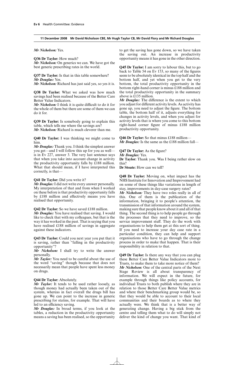*Mr Nicholson:* Yes.

#### **Q36 Dr Taylor:** How much?

*Mr Nicholson:* On generics we can. We have got the best generic prescribing rates in the world.

**Q37 Dr Taylor:** Is that in this table somewhere? *Mr Douglas:* Yes.

*Mr Nicholson:* Richard has just said yes, so yes it is.

**Q38 Dr Taylor:** What we asked was how much savings had been realised because of the Better Care Better Value Indicators.

*Mr Nicholson:* I think it is quite difficult to do it for the whole of them but there are some of them we can do it for.

**Q39 Dr Taylor:** Is somebody going to explain this table, which tells me where the savings are? *Mr Nicholson:* Richard is much cleverer than me.

**Q40 Dr Taylor:** I was thinking we might come to him.

*Mr Douglas:* Thank you. I think the simplest answer you get—and I will follow this up for you as well is in Ev 227, answer 3. The very last sentence says that when you take into account change in activity the productivity opportunity falls by £188 million. What that should mean, if I have interpreted this correctly, is that—

#### **Q41 Dr Taylor:** Did you write it?

*Mr Douglas:*I did not write every answer personally. My interpretation of that and from when I worked on these before is that productivity opportunity falls by £188 million and effectively means you have realised that opportunity.

**Q42 Dr Taylor:** So we have saved £188 million.

*Mr Douglas:* You have realised that saving. I would like to check that with my colleagues, but that is the way it has worked in the past. That is saying that you have realised £188 million of savings in aggregate against these indicators.

**Q43 Dr Taylor:** Could you next year you put that it is saving, rather than "falling in the productivity opportunity"?

*Mr Nicholson:* I shall try to write the answer personally.

*Mr Taylor:* You need to be careful about the use of the word "saving" though because that does not necessarily mean that people have spent less money on drugs.

#### **Q44 Dr Taylor:** Absolutely.

*Mr Taylor:* It tends to be used rather loosely, as though money had actually been taken out of the system, whereas in fact overall the drugs bill has gone up. We can point to the increase in generic prescribing for statins, for example. That will have led to an efficiency saving.

*Mr Douglas:* In broad terms, if you look at the tables, a reduction in the productivity opportunity means a saving has been realised, so the opportunity to get the saving has gone down, so we have taken the saving out. An increase in productivity opportunity means it has gone in the other direction.

**Q45 Dr Taylor:** I am sorry to labour this, but to go back to Table 54 on Ev 153, so many of the figures seem to be absolutely identical in the top half and the bottom half, and yet when you get to the very bottom, the total productivity opportunity in the bottom right-hand corner is minus £188 million and the total productivity opportunity in the summary above is  $\hat{\mathfrak{L}}$ 135 million.

*Mr Douglas:* The difference is the extent to which you adjust for different activity levels. As activity has gone up, you need to adjust the figure. The bottom table, the bottom half of it, adjusts everything for changes in activity levels, and when you adjust for activity levels that is where you come to this bottom right-hand corner figure of minus £188 million productivity opportunity.

**Q46 Dr Taylor:** So that minus £188 million— *Mr Douglas:* Is the same as the £188 million fall—

**Q47 Dr Taylor:** As the figure?

*Mr Douglas:* Yes.

**Dr Taylor:** Thank you. Was I being rather slow on this?

**Dr Stoate:** How can we tell?

**Q48 Dr Taylor:** Moving on, what impact has the NHS Institute for Innovation and Improvement had on some of these things like variations in length of stay, improvements in day-case surgery rates?

*Mr Nicholson:* They have two roles really in all of this. One of them is the publication of the information, bringing it to people's attention, the transmission of that information around the system, making sure that people know about it and all of that thing. The second thing is to help people go through the processes that they need to improve, so the service improvement stuff. They do the work with organisations to help them get at this sort of thing. If you need to increase your day case rate in a particular condition, they can help and support organisations who have to go through the change process in order to make that happen. That is their responsibility in relation to that.

**Q49 Dr Taylor:** Is there any way that you can plug these Better Care Better Value Indicators more to Trusts, to make them to take more notice of them? *Mr Nicholson:* One of the central parts of the Next Stage Review is all about transparency of information. We will expect in the future, for example through things like policy accounts, for individual Trusts to both publish where they are in relation to those Better Care Better Value metrics and where their benchmarking group would be, so that they would be able to account to their local communities and their boards as to where they actually were. We think that is a better way of generating change. Having a big stick from the centre and telling them what to do will simply not deliver the kind of change you want. That kind of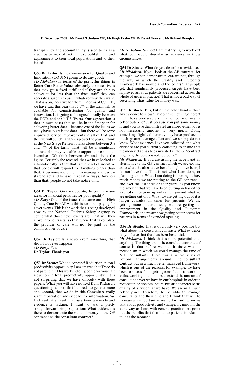transparency and accountability is seen to us as a much better way of getting it, so publishing it and explaining it to their local populations and to their boards.

**Q50 Dr Taylor:** Is the Commission for Quality and Innovation (CQUIN) going to do any good?

*Mr Nicholson:* In terms of the particular things in Better Care Better Value, obviously the incentive is that they get a fixed tariff and if they are able to deliver it for less than the fixed tariff they can generate a surplus to use in whatever way they want. That is a big incentive for them. In terms of CQUIN, we have said this year that  $0.5\%$  of the tariff will be available for commissioning for quality and innovation. It is going to be agreed locally between the PCTs and the NHS Trusts. Our expectation is that in most cases that will be in the first year for delivering better data—because one of the issues we really have to get is the data—but there will be some improved service improvements in all of that and then we will build that 0.5% up over the years. I think in the Next Stage Review it talks about between 3% and  $4\%$  of the tariff. That will be a significant amount of money available to support those kinds of incentives. We think between  $3\%$  and  $4\%$  is the figure. Certainly the research that we have looked at internationally is that that is the kind of incentive that people will respond to. Anything bigger than that, it becomes too difficult to manage and people start to act and behave in negative ways. Any less than that, people do not take notice of it.

**Q51 Dr Taylor:** On the opposite, do you have any ideas for financial penalties for poor quality?

*Mr Flory:* One of the issues that came out of High Quality Care For All was this issue of not paying for never events. This is the work that is being developed now by the National Patients Safety Agency to define what those never events are. That will then move into contracts, so that where that takes place the provider of care will not be paid by the commissioner of care.

**Q52 Dr Taylor:** Is a never event something that should not ever happen? *Mr Flory:* Yes. **Dr Taylor:** Thank you.

**Q53 Dr Stoate:** What a concept! Reduction in total productivity opportunity. I am amazed that Tesco do not patent it: "This weekend only, come for your last reduction in total productivity opportunity". It is not surprising that we have difficulty with these papers. What you will have noticed from Richard's questioning is, first, that he needs to get out more and, second, that we do in this Committee really want information and evidence for information. We find week after week that assertions are made and evidence is lacking. I want to ask a pretty straightforward simple question: What evidence is there to demonstrate the value of money in the GP contract and the consultant contract?

*Mr Nicholson:* Silence! I am just trying to work out what you would describe as evidence in those circumstances.

**Q54 Dr Stoate:** What do you describe as evidence? *Mr Nicholson:* If you look at the GP contract, for example, we can demonstrate, can we not, through the way in which the Quality and Outcomes Framework has moved and the points that people get, that significantly processed targets have been improved as far as patients are concerned across the whole of general practice? That is not a bad way of describing what value for money was.

**Q55 Dr Stoate:** It is, but on the other hand is there any evidence to show that doing something different might have produced a similar outcome or even a better outcome? Just because you put some money in and you have demonstrated an improvement does not necessarily amount to very much. Doing something slightly differently may have produced a much greater leverage effect and we simply do not know. What evidence have you collected and what evidence are you currently collecting to ensure that the money that has been invested in the GP contract is getting the best possible outcome?

*Mr Nicholson:* If you are asking me have I got an alternative to the GP contract which we are costing as to what the alternative benefit might have been, I do not have that. That is not what I am doing or planning to do. What I am doing is looking at how much money we are putting to the GP contract and over the last three or four years, as you know, the amount that we have been putting in has either levelled out or gone up only slightly—and what we are getting out of it. What we are getting out of it is longer consultation times for patients. We are getting more patients seen, we are getting an improvement in the Quality and Outcomes Framework, and we are now getting better access for patients in terms of extended opening.

**Q56 Dr Stoate:** That is obviously very positive but what about the consultant contract? What evidence do you have that that has been beneficial?

*Mr Nicholson:* I think that is more potential than anything. The thing about the consultant contract of course is that before we had it there was no mechanism in which we could manage the time of NHS consultants. There was a whole series of notional arrangements around. The consultant contract put in a much better managed framework, which is one of the reasons, for example, we have been so successful in getting consultants to work on shifts, working out of hours to extend the amount of consultant cover we have in our hospitals in order to reduce junior doctors' hours, but also to increase the quality of service that we have. We are in a much better place, therefore, to be able to manage consultants and their time and I think that will be increasingly important as we go forward, when we talk about productivity and change. I cannot in the same way as I can with general practitioners point out the benefits that that had to patients in relation to it at the moment.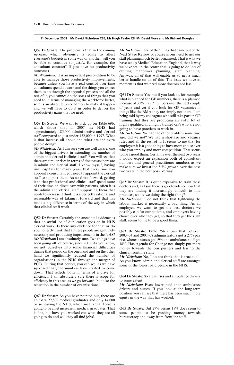**Q57 Dr Stoate:** The problem is that in the coming squeeze, which obviously is going to affect everyone's budgets in some way or another, will you be able to continue to justify, for example, the consultant contract? If you have no productivity outcomes—

*Mr Nicholson:* It is an important precondition to be able to manage those productivity improvements, because unless you have a real control over time consultants spend at work and the things you expect them to do through the appraisal process and all the rest of it, you cannot do the sorts of things that you need to in terms of managing the workforce better, so it is an absolute precondition to make it happen and we will have to do it in order to deliver the productivity gains that we need.

**Q58 Dr Stoate:** We want to pick up on Table 69b, which shows that in 2007 the NHS had approximately 185,000 administrative and clerical staff compared to just under 132,000 in 1997. What is that increase all about and what are the extra people doing?

*Mr Nicholson:* As I am sure you are well aware, one of the biggest drivers in extending the number of admin and clerical is clinical staff. You will see that there are similar rises in terms of doctors as there are in admin and clerical staff. I know myself, having run hospitals for many years, that every time you appoint a consultant you need to appoint the clerical staff to support them. As we drive forward, getting it so that professional and clinical staff spend more of their time on direct care with patients, often it is the admin and clerical staff supporting them that needs to increase. I think it is a perfectly rational and reasonable way of taking it forward and that has made a big difference in terms of the way in which that clinical staff work.

**Q59 Dr Stoate:** Certainly the anecdotal evidence is that an awful lot of duplication goes on in NHS clerical work. Is there any evidence for that or do you honestly think that al these people are genuinely necessary and producing improvements in the NHS? *Mr Nicholson:*I am absolutely sure. Two things have been going off, of course, since 2005. As you know, we got ourselves into some financial difficulties during that period on the one hand and on the other hand we significantly reduced the number of organisations in the NHS through the merger of PCTs. During that period, you can see, as we have squeezed that, the numbers have started to come down. That reflects both in terms of a drive for efficiency. I am absolutely sure there is scope for efficiency in this area as we go forward, but also the reduction in the number of organisations.

**Q60 Dr Stoate:** As you have pointed out, there are an extra 29,800 medical graduates and only 14,000 or so leaving the NHS, which means that there is going to be a net increase in medical graduates. That is fine, but have you worked out what they are all going to do and will they all find jobs?

*Mr Nicholson:* One of the things that came out of the Next Stage Review of course is our need to get our staff planning much better organised. That is why we have set up Medical Education England, that is why we have set up the centre that is going to do lots of exciting manpower planning, staff planning. Anyway, all of that will enable us to get a much better handle on all of this. The issue we have at moment is that we need more doctors not less.

**Q61 Dr Stoate:** Yes, but if you look at, for example, what is planned for GP numbers, there is a planned increase of 30% in GP numbers over the next couple of years and yet if you look for GP vacancies in things like the BMA they are simply not there. I am being told by my colleagues who still take part in GP training that they are producing an awful lot of highly qualified and highly trained GPs who are not going to have practices to work in.

*Mr Nicholson:* We had the other problem some time ago, did we not? We had a shortage and vacancy rates and all the rest of it. It seems to me that for employers it is a good thing to have more choice over who you employ and more competition. That seems to me a good thing. Certainly over the next two years I would expect an expansion both of consultant numbers and general practitioner numbers as we make sure we invest the 5.5% growth over the next two years in the best possible way.

**Q62 Dr Stoate:** It is quite expensive to train these doctors and, as I say, there is good evidence now that they are finding it increasingly difficult to find practices, so are we doing the right thing?

*Mr Nicholson:* I do not think that tightening the labour market is necessarily a bad thing. As an employer, we want to get the best doctors we possibly can for our patients, and employers having choice over who they get, so that they get the right staff, seems to me to be a good thing.

**Q63 Dr Stoate:** Table 75b shows that between 2003–04 and 2007–08 administrators got a 27% pay rise, whereas nurses got 19% and ambulance staff got 18%. Has Agenda for Change not simply put more money towards the pen pushers and less to the clinical frontline staff?

*Mr Nicholson:* No, I do not think that is true at all. As you know, admin and clerical staff are amongst some of the lowest paid people in the NHS.

**Q64 Dr Stoate:** So are nurses and ambulance drivers to some extent.

*Mr Nicholson:* Even lower paid than ambulance drivers and nurses. If you look at the long-term position you can see that there has been much more equity in the way that has worked.

**Q65 Dr Stoate:** But 27% versus 18% does seem to some people to be pushing money towards bureaucracy and away from frontline staff.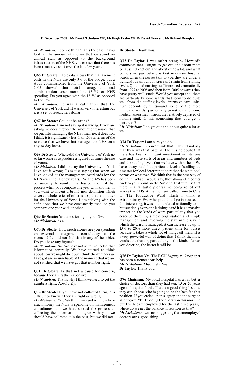*Mr Nicholson:* I do not think that is the case. If you look at the amount of money that we spend on clinical staff as opposed to the background infrastructure of the NHS, you can see that there has been a massive shift over the last few years.

**Q66 Dr Stoate:** Table 64a shows that management costs in the NHS are only 3% of the budget but a study commissioned from the University of York 2005 showed that total management and administration costs more like 13.5% of NHS spending. Do you agree with the 13.5% as opposed to the 3%?

*Mr Nicholson:* It was a calculation that the University of York did. It was all very interesting but it is a set of researchers doing—

#### **Q67 Dr Stoate:** Could it be wrong?

*Mr Nicholson:* I am not saying it is wrong. If you are asking me does it reflect the amount of resource that we put into managing the NHS, then, no, it does not. I think it is significantly less than 13% in terms of the resource that we have that manages the NHS on a day-to-day basis.

**Q68 Dr Stoate:** Where did the University of York go so far wrong as to produce a figure four times the size of yours?

*Mr Nicholson:* I did not say the University of York have got it wrong, I am just saying that when we have looked at the management overheads for the NHS over the last few years,  $3\%$  and  $4\%$  has been consistently the number that has come out of that process when you compare one year with another. If you want to invent a brand new definition which covers a whole series of other issues, that is a matter for the University of York. I am sticking with the definitions that we have consistently used, so you compare one year with another.

**Q69 Dr Stoate:** You are sticking to your 3%. *Mr Nicholson:* Yes.

**Q70 Dr Stoate:** How much money are you spending on external management consultancy at the moment? I could not find that in any of the tables. Do you have any figures?

*Mr Nicholson:* No. We have not so far collected that information centrally. We have started to think about how we might do it but I think the numbers we have got are so unreliable at the moment that we are not satisfied that we have got that number right.

**Q71 Dr Stoate:** Is that not a cause for concern, because they are rather expensive.

*Mr Nicholson:* That is why I think we need to get the numbers right. Absolutely.

**Q72 Dr Stoate:** If you have not collected them, it is difficult to know if they are right or wrong.

*Mr Nicholson:* Yes. We think we need to know how much money the NHS is spending on management consultancy and we have started the process of collecting the information. I agree with you, we should have collected it in the past, but we did not.

**Dr Stoate:** Thank you.

**Q73 Dr Taylor:** I was rather stung by Howard's comments that I ought to get out and about more because I do get out and about quite a lot, and what bothers me particularly is that in certain hospital wards when the nurses talk to you they are under a tremendous amount of stress and strain from staffing levels. Qualified nursing staff increased dramatically from 1997 to 2005 and then from 2005 onwards they have pretty well stuck. Would you accept that there are particularly some wards that seem to do quite well from the staffing levels—intensive care units, high dependency units—and some of the more mundane wards, particularly geriatrics and some medical assessment wards, are relatively deprived of nursing staff. Is this something that you get a picture of?

*Mr Nicholson:* I do get out and about quite a lot as well.

#### **Q74 Dr Taylor:** I am sure you do.

*Mr Nicholson:* I do not think that. I would not say that there was that pattern. There is no doubt that there has been significant investment in intensive care and those sorts of areas and numbers of beds and the staffing levels that we have within them. We have always said that particular levels of staffing are a matter for local determination rather than national norms or whatever. We think that is the best way of doing it. What I would say, though—and it comes back to your point on the National Institute—is that there is a fantastic programme being rolled out across the NHS at the moment called Time to Care or The Productive Ward which I think is extraordinary. Every hospital that I go in you see it. It is interesting, it was not mandated nationally to do but suddenly everyone is doing it and it has a massive impact on the kinds of ward particularly that you describe there. By simple organisation and simple management and involving the staff in the way in which the ward is managed, it can increase by up to 15% to 20% more direct patient time for nurses because it takes a whole lot of things off them. It is a very powerful way of doing this. I think the more wards take that on, particularly in the kinds of areas you describe, the better it will be.

**Q75 Dr Taylor:** Yes. The RCN *Dignity in Care* paper has been a tremendous help. *Mr Nicholson:* Absolutely. Yes. **Dr Taylor:** Thank you.

**Q76 Chairman:** My local hospital has a far better choice of doctors than they had ten, 15 or 20 years ago to be quite frank. That is a good thing because they can choose who is going to be the best for that position. If you ended up in surgery and the surgeon said to you, "I'll be doing the operation this morning but I've been unemployed for the last three years," where do we get the balance in relation to that? *Mr Nicholson:*I was not suggesting that unemployed

doctors are a good thing.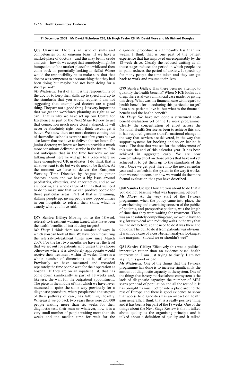**Q77 Chairman:** There is an issue of skills and competencies on an ongoing basis. If we have a market-place of doctors—and this may be my crude analysis—how do we accept that somebody might be bumped out of the market-place for a while and then come back in, potentially lacking in skills? Where would the responsibility be to make sure that that doctor was competent to do something that they had been doing but maybe had not been doing for a short period?

*Mr Nicholson:* First of all, it is the responsibility of the doctor to keep their skills up to speed and up to the standards that you would require. I am not suggesting that unemployed doctors are a good thing. They are not a good thing. It is very important that we get the workforce planning as right as we can. That is why we have set up our Centre for Excellence as part of the Next Stage Review to get that connection much more closely aligned. It will never be absolutely right, but I think we can get it better. We know there are more doctors coming out of the medical schools over the next few years but we also know that we have to deliver shorter hours for junior doctors; we know we have to provide a much more consultant delivered service in the future. I do not anticipate that in the time horizons we are talking about here we will get to a place where we have unemployed UK graduates. I do think that is what we want to do but we do need to be flexible. At the moment we have to deliver the European Working Time Directive by August on junior doctors' hours and we have a big issue around paediatrics, obstetrics, and anaesthetics, and so we are looking at a whole range of things that we need to do to make sure that we can produce people for those particular areas. Part of that is retraining, skilling people up, giving people new opportunities in our hospitals to refresh their skills, which is exactly what you have said.

**Q78 Sandra Gidley:** Moving on to the 18-week referral-to-treatment waiting target, what have been the health benefits of introducing targets?

*Mr Flory:* I think there are a number of ways in which you can look at this. We have been measuring the referral-to-treatment times now since March 2007. For the last two months we have set the level that we set out for patients who unless they choose otherwise where it is absolutely appropriate would receive their treatment within 18 weeks. There is a whole number of dimensions to it, of course. Previously we have measured and recorded separately the time people wait for their operation at hospital. If they are on an inpatient list, that has come down significantly as part of 18 weeks and, likewise, the wait for the outpatient appointment. The piece in the middle of that which we have never measured in quite the same way previously for a diagnostic procedure, where people need that as part of their pathway of care, has fallen significantly. Whereas if we go back two years there were 200,000 people waiting more than six weeks for their diagnostic test, their scan or whatever, now it is a very small number of people waiting more than six weeks and the median time for wait for the diagnostic procedure is significantly less than six weeks. I think that is one part of the patient experience that has improved unrecognisably by the 18-week drive. Clearly the reduced waiting at all those stages reduces the period in which people are in pain, reduces the period of anxiety. It speeds up for many people the time taken and they can get back to work and resume their lives.

**Q79 Sandra Gidley:** Has there been no attempt to quantify the health benefits? When NICE looks at a drug, there is always a financial case made for giving this drug. What was the financial case with regard to health benefit for introducing this particular target? I am sure patients love it, but what is the financial benefit and the health benefit?

*Mr Flory:* We have not done a structured costbenefit evaluation yet of the 18 week programme. Clearly the concentration of effort across the National Health Service as been to achieve this and it has required genuine transformational change in the way that services are delivered, in the way that support systems for booking and so on behind it work. The date that was set for the achievement of this was the end of this calendar year. It has been achieved in aggregate early. We are now concentrating effort on those places that have not yet achieved it to get them up to the standards of the best. Once we get past there into the next calendar year and it embeds in the system in the way it works, then we need to consider how we would do the more formal evaluation that you have described.

**Q80 Sandra Gidley:** How are you about to do that if you did not baseline what was happening before? *Mr Flory:* At the very start of the 18-week programme, when the policy came into place, the overwhelming and overriding concern of the public, of patients, and prospective patients, was the length of time that they were waiting for treatment. There was an absolutely compelling case, we would have to say, for us to deal with reducing waits in the way that we had not before, so the need to do it was there and obvious. The pull to do it from patients was obvious. It was not a case of a cost-benefit analysis looking at fine margins, "Should we or shouldn't we?"

**Q81 Sandra Gidley:** Effectively this was a political imperative rather than an evidence-based health intervention. I am just trying to clarify. I am not saying it is good or bad.

*Mr Nicholson:* One of the things that the 18-week programme has done is to increase significantly the amount of diagnostic capacity in the system. One of the things that is very marked about our system is the lack of diagnostic capacity: the number of MRI scans per head of population and all the rest of it. It has brought us much better into a place around the rest of Europe and there is good evidence to show that access to diagnostics has an impact on health gain generally. I think that is a really positive thing and it has been a big part of the 18 weeks. One of the things about the Next Stage Review is that it talked about quality as the organising principle and it talked about a definition of quality and it talked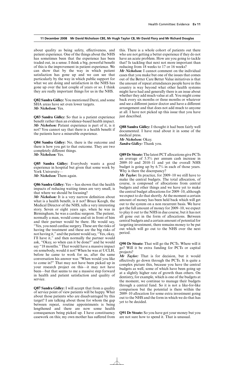about quality as being safety, effectiveness, and patient experience. One of the things about the NHS has sometimes been that the experience has been traded out, in a sense. I think a big, powerful benefit of this is the improvement in patient experience. We can show that by the way in which patient satisfaction has gone up and we can see that particularly by the way in which public support for what we are doing and satisfaction in the NHS has gone up over the last couple of years or so. I think they are really important things for us in the NHS.

**Q82 Sandra Gidley:** You mentioned Darzi, and some SHA areas have set even lower targets. *Mr Nicholson:* Yes.

**Q83 Sandra Gidley:** So that is a patient experience benefit rather than an evidence-based health impact. *Mr Nicholson:* Patient experience is part of it, is it not? You cannot say that there is a health benefit if the patients have a miserable experience.

**Q84 Sandra Gidley:** No, there is the outcome and there is how you get to that outcome. They are two completely different things. *Mr Nicholson:* Yes.

**Q85 Sandra Gidley:** Everybody wants a good experience in hospital but given that some work by York University— *Mr Nicholson:* Them again.

**Q86 Sandra Gidley:** Yes -- has shown that the health impacts of reducing waiting times are very small, is that where we should be focusing?

*Mr Nicholson:* It is a very narrow definition about what is a health benefit, is it not? Bruce Keogh, the Medical Director of the NHS, tells a very interesting story. Seven or eight years ago, when he was in Birmingham, he was a cardiac surgeon. The patient, normally a man, would come and sit in front of him and their partner would be there. He would say, "Yes, you need cardiac surgery. These are the risks of having the treatment and these are the big risks of not having it," and the patient would say, "Yes, okay, I'll have it," and then normally the partner would ask, "Okay, so when can it be done?" and he would say "18 months." That would have a massive impact on somebody, would it not? When he was at UCLH, before he came to work for us, after the same conversation his answer was "When would you like to come in?" That may not have been picked up in your research project on this—it may not have been—but that seems to me a massive step forward in health and patient satisfaction and quality of service.

**Q87 Sandra Gidley:** I will accept that from a quality of service point of view patients will be happy. What about those patients who are disadvantaged by this target? I am talking about those for whom the gap between repeat, routine appointments is being lengthened and there are now some health consequences being picked up. I have constituency casework on this; my own mother has suffered from this. There is a whole cohort of patients out there who are not getting a better experience if they do not have an acute problem. How are you going to tackle that? Is tackling that next not more important than reducing from 18 weeks to 17 or 16 weeks?

*Mr Nicholson:* I cannot comment on the individual cases that you make but one of the issues that comes out of the Better Care Better Value initiatives is that the amount of repeat attendances people have in this country is way beyond what other health systems might have had and generally there is an issue about whether they add much value at all. You might come back every six months or three months or whatever and see a different junior doctor and have a different arrangement and that does not add much to anyone at all. I have not picked up this issue that you have just described.

**Q88 Sandra Gidley:** I thought it had been fairly well documented. I have read about it in some of the medical press.

*Mr Nicholson:* Okay. *Sandra Gidley:* Thank you.

**Q89 Dr Stoate:** The latest PCT allocations give PCTs an average of 5.5% per annum cash increase in 2009–10 and 2010–11 and yet the overall NHS budget is going up by 6.7% in each of those years. Why is there the discrepancy?

*Mr Taylor:* In practice, for 2009–10 we still have to make the central budgets. The total allocation, of course, is composed of allocations from central budgets and other things and we have yet to make the central budget allocations for 2009–10, although we expect to do that shortly. At the moment a certain amount of money has been held back which will get out to the system on a non recurrent basis. We have got the full amount of money for 2009–10, we expect to play it out to the NHS in due course, but it has not all gone out in the form of allocations. Between central budgets and a certain amount of potential for targeting investment, there remains money to be put out which will go out to the NHS over the next period.

**Q90 Dr Stoate:** That will go the PCTs. Where will it go? Will it be extra funding for PCTs or capital projects?

*Mr Taylor:* That is for decision, but it would effectively go down through the PCTs. It is quite a complex picture this, because you have the central budgets as well, some of which have been going up at a slightly higher rate of growth than others. On dentistry, for example, which is one of the budgets at the moment, we continue to manage their budgets through a central fund. So it is not a like-for-like comparison but the potential is there within the 2009–10 allocation for some extra investment going out to the NHS and the form in which we do that has yet to be decided.

**Q91 Dr Stoate:** So you have got your money but you are not sure how to spend it. That is unusual.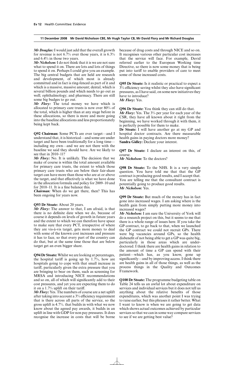*Mr Douglas:*I would just add that the overall growth for revenue is not 6.7% over those years, it is 6.3% and 6.4% in those two years.

*Mr Nicholson:*I do not think that it is we are not sure what to spend it on. There are lots and lots of things to spend it on. Perhaps I could give you an example. The big central budgets that are held are research and development, of which most is already committed and in fact is ring-fenced as part of it and which is a massive, massive amount; dental, which is several billion pounds and which needs to go out as well; ophthalmology; and pharmacy. There are still some big budges to go out.

*Mr Flory:* The total money we have which is allocated to primary care trusts is now over 80% of the total, which is higher than at any stage before in these allocations, so there is more and more going into the baseline allocations and less proportionately being kept back.

**Q92 Chairman:** Some PCTs are over target—and I understand that, it is historical—and some are under target and have been traditionally for a long time including my own—and we are not there with the baseline we said they should have. Are we likely to see that in 2010–11?

*Mr Flory:* No. It is unlikely. The decision that we make of course is within the total amount available for primary care trusts, the extent to which those primary care trusts who are below their fair-share target can have more than those who are at or above the target, and that effectively is what we have done in the allocation formula and policy for 2009–10 and for 2010–11. It is a fine balance this.

*Chairman:* When do we get there, then? This has been ongoing for years now.

#### **Q93 Dr Stoate:** About 20 years.

*Mr Flory:* The answer to that, I am afraid, is that there is no definite date when we do, because of course it depends on levels of growth in future years and the extent to which we can therefore have space to make sure that every PCT, irrespective of where they are vis-à-vis target, gets more money to deal with some of the known cost increases and pressure it has to face, so that every part of the country can do that, but at the same time those that are below target get an even bigger share.

**Q94 Dr Stoate:** Whilst we are looking at percentages, the hospital tariff is going up by  $1.7\%$ , how are hospitals going to cope with that small increase in tariff, particularly given the extra pressure that you are bringing to bear on them, such as screening for MRSA and introducing NICE recommendations and so on, all of which will significantly add to their cost pressures, and yet you are expecting them to do it on a  $1.7\%$  uplift on their tariff.

*Mr Flory:* Yes. The numbers of course are a net uplift after taking into account a  $3\%$  efficiency requirement that is there across all parts of the service, so the gross uplift is 4.7%. that builds in with what we now know about the agreed pay awards, it builds in an uplift in line with GDP for non pay pressures. It does recognise the increase in costs that will be borne because of drug costs and through NICE and so on. It recognises various other particular cost increases that the service will face. For example, David referred earlier to the European Working time Directive, so there is now some money that is being put into tariff to enable providers of care to meet some of those increased costs.

**Q95 Dr Stoate:** Is it realistic or practical to expect a  $3\%$  efficiency saving whilst they also have significant pressures, as I have said, on some new initiatives they have to introduce?

*Mr Flory:* Yes.

**Q96 Dr Stoate:** You think they can still do that. *Mr Flory:* Yes. The 3% per year for each year of the CSR, they have all known about it right from the beginning, we have worked through it with them, it is perfectly possible for them to make.

**Dr Stoate:** I will have another go at my GP and hospital doctor contracts. Are there measurable health gains in paying doctors more money? **Sandra Gidley:** Declare your interest.

**Q97 Dr Stoate:** I declare an interest on this, of course.

*Mr Nicholson:* To the doctors?

**Q98 Dr Stoate:** To the NHS. It is a very simple question. You have told me that that the GP contract is producing good results, and I accept that. You are telling me that the consultant contract is potentially going to produce good results. *Mr Nicholson:* Yes.

**Q99 Dr Stoate:** But much of the money has in fact gone into increased wages. I am asking where is the health gain from simply putting more money into increased wages?

*Mr Nicholson:* I am sure the University of York will do a research project on this, but it seems to me that there is a whole range of issues here. If you take the GP contract, to go back to that, when we launched the GP contract we could not recruit GPs. There were big vacancies around GPs, so the health disbenefit of not being able to get a GP was quite big, particularly in those areas which are underdoctored. I think there are health gains in relation to the amount of time a GP can spend with their patient—which has, as you know, gone up significantly—and by improving access. I think there are health gains in all of those things, as well as the process things in the Quality and Outcomes Framework.

**Q100 Dr Stoate:** The programme budgeting table on Table 24 tells us an awful lot about expenditure on services and individual services but it does not tell us anything about the relative benefits of those expenditures, which was another point I was trying to raise earlier, but this phrases it rather better. What I want to know is when we are going to get data which shows actual outcomes achieved by particular services so that we can in some way compare services to see if we are getting best value?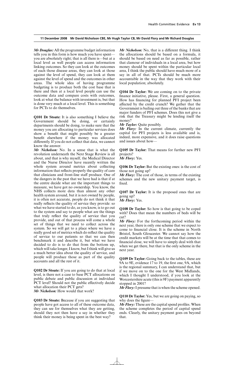*Mr Douglas:* All the programme budget information tells you in this form is how much you have spent you are absolutely right; that is all there is—but at a local level as well people can access information linking outcomes. So they can look at the outcomes of each those disease areas, they can look at those against the level of spend, they can look at them against the level of spend and the outcomes in other areas. The whole idea of having programme budgeting is to produce both the cost base that is there and then at a local level people can use the outcome data and compare costs with outcomes, look at what the balance with investment is, but that is done very much at a local level. This is something for PCTs to do themselves.

**Q101 Dr Stoate:** It is also something I believe the Government should be doing, or certainly departments should be doing, to make sure that the money you are allocating to particular services does show a benefit that might possibly be a greater benefit elsewhere if the money was allocated differently. If you do not collect that data, we cannot know the answer.

*Mr Nicholson:* No. In a sense that is what the revolution underneath the Next Stage Review is all about, and that is why myself, the Medical Director and the Nurse Director have recently written the whole system around metrics about collecting information that reflects properly the quality of care that clinicians and front-line staff produce. One of the dangers in the past that we have had is that if at the centre decide what are the important things to measure, we have got no ownership. You know, the NHS collects more data than almost any other health system around, but it is not owned by people, it is often not accurate, people do not think it that really reflects the quality of service they provide: so what we have started to do, as you know, is to go out to the system and say to people what are the things that truly reflect the quality of service that you provide, and out of that process will come a whole set of things that we need to collect across the system. So we will get to a place where we have a really good set of metrics which do reflect the quality of service to our patients so that we can then benchmark it and describe it, but what we have decided to do is to do that from the bottom up, which will take longer, I know, but I think will give us a much better idea about the quality of service, and people will produce those as part of the quality accounts and all the rest of it.

**Q102 Dr Stoate:** If you are going to do that at local level, is there not a case to base PCT allocations on public debate and public discussion at individual PCT level? Should not the public effectively decide what allocation their PCT gets?

*Mr Nicholson:* How would that work?

**Q103 Dr Stoate:** Because if you are suggesting that people have got access to all of these outcome data, they can see for themselves what they are getting, should they not then have a say in whether they think their money is being spent in the best way?

*Mr Nicholson:* No, that is a different thing. I think the allocations should be based on a formula, it should be based on need as far as possible, rather that clamour of individuals in a local area, but how money should be spent within the particular local area, I think the public should have much more of a say in all of that. PCTs should be much more accountable in the way that they work with their local population; absolutely.

**Q104 Dr Taylor:** We are coming on to the private finance initiative, please. First, a general question. How has financing for planned PFI project been affected by the credit crunch? We gather that the Government is bailing out three of the banks that are major funders of PFI schemes. Does this not give a risk that the Treasury might be lending itself the money?

*Mr Taylor:* Quite possibly.

*Mr Flory:* In the current climate, currently the capital for PFI projects is less available and is, indeed, more expensive, and it does raise questions and issues about how—

**Q105 Dr Taylor:** That means for further new PFI projects?

*Mr Flory:* Yes.

**Q106 Dr Taylor:** But the existing ones: is the cost of those not going up?

*Mr Flory:* The cost of those, in terms of the existing schemes and the new unitary payment target, is fixed.

**Q107 Dr Taylor:** It is the proposed ones that are going up?

*Mr Flory:* Yes.

**Q108 Dr Taylor:** So how is that going to be coped with? Does that mean the numbers of beds will be cut?

*Mr Flory:* For the forthcoming period within the next year, there is only one scheme that we expect to come to financial close. It is the scheme in North Bristol, South Gloucester. We cannot say how the credit markets will be at the time that that comes to financial close, we will have to simply deal with that when we get there, but that is the only scheme in the next year.

**Q109 Dr Taylor:** Going back to the tables, these are 9A to 9E, evidence 17 to 19, the first one, 9A, which is the regional summary, I can understand that, but if we move on to the one for the West Midlands, which I thought I understood, if you look at the Worcestershire acute (this is 9F) payment apparently stopped in 2001?

*Mr Flory:* I presume that is when the scheme opened.

**Q110 Dr Taylor:** Yes, but we are going on paying, so why does the figure-

*Mr Flory:* These are the capital spend profiles. When the scheme completes the period of capital spend ends. Clearly, the unitary payment goes on beyond that.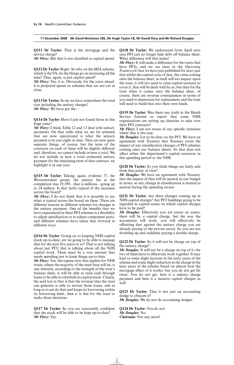**Q111 Dr Taylor:** That is the mortgage and the service charge?

*Mr Flory:* But that is not classified as capital spend.

**Q112 Dr Taylor:** Right. So why on the SHA scheme, which is the 9A, do the things go on increasing all the time? That, again, is just capital spend?

*Mr Flory:* Yes, it is. Obviously, for the years ahead, it is projected spend on schemes that are not yet at close.

**Q113 Dr Taylor:** So do we have somewhere the total cost including the unitary charges? *Mr Flory:* We have got the—

**Q114 Dr Taylor:** Have I just not found those in this huge tome?

*Mr Flory:* I think Table 12 and 13 deal with unitary payments. On that table what we see for schemes that are now operational is what the unitary payment is in year eight or nine. They are now quite separate things, of course, but the term of the contracts on each of these will be slightly different and, therefore, we cannot include in here a total. We do not include in here a total estimated unitary payment for the remaining term of that contract; we highlight it as one year.

**Q115 Dr Taylor:** Taking, again, evidence 37, the Worcestershire group, the unitary fee at the completion was 19,399—that is millions—going up to 24 million. Is that fairly typical of the increases across the board?

*Mr Flory:* I do not think that it is possible to say what is typical across the board on these. There are different reasons in different schemes for changes in the unitary payment. One of the benefits that we have experienced in these PFI schemes is a flexibility to adjust specification or to adjust component parts, and different schemes have taken that forward in different ways.

**Q116 Dr Taylor:** Going on to keeping NHS capital stock up-to-date, are we going to be able to manage that for the next five years or so? That is not talking about just PFI; that is talking about all the NHS capital stock. There must be a vast amount that needs spending just to keep things up-to-date.

*Mr Flory:* Yes, the regime now that applies for NHS trusts, where the majority of the asset base will sit, is one whereby, according to the strength of the trust's balance sheet, it will be able to raise cash through loans to be able to refurbish its capital stock. Clearly, the acid test in that is that the revenue that the trust can generate is able to service those loans, and as long as it can do that and keeps its borrowing within its borrowing limit, then it is free for the trust to make those decisions.

**Q117 Dr Taylor:** So you are reasonably confident that the stock will be able to be kept up-to-date? *Mr Flory:* Yes.

**Q118 Dr Taylor:** We understand from April next year PFI can no longer hide debt off balance sheet. What difference will that make?

*Mr Flory:* It will make a difference for the trusts that have PFIs, and we are clear in the *Operating Framework* that we have just published for next year that whilst the capital costs of that, the value coming onto the balance sheet, in itself will not impact upon the trust, it will not need to raise capital resource to cover it, that will be dealt with by us, but then for the trust when it comes onto the balance sheet, of course, there are revenue consequences in terms of you need to depreciate for replacement and the trust will need to build that into their own funds.

**Q119 Dr Taylor:** Was there any truth in the Heath Service Journal or report that some NHS organisations are setting up charities to take over their PFI contracts?

*Mr Flory:* I am not aware of any specific instances where that is the case.

*Mr Douglas:* Let us be clear on the PFI. We have an agreement with Treasury that Treasury cover the impact of any classification changes of PFI schemes coming onto our balance sheets. So that does not affect either the department's capital resources in this spending period or the NHS.

**Q120 Dr Taylor:** So you think things are fairly safe from that point of view?

*Mr Douglas:* We have an agreement with Treasury that the impact of that will be neutral in our budget in terms; so any change in classification is treated as neutral during the spending review.

**Q121 Dr Taylor:** Are there changes coming up in NHS capital charges? Are PFI buildings going to be regarded as capital assets on which capital charges have to be paid?

*Mr Douglas:* Effectively you are create an assets, there will be a capital charge, but the way the accountant will work, you will effectively be offsetting that against the unitary charge you are already paying to the private sector. So you are not doubling up and suddenly paying a double charge.

**Q122 Dr Taylor:** So it will not be charge on top of the unitary charge?

*Mr Douglas:* It will not be a charge on top of it; the two of them have to effectively work together. It may lead to some slight increase in the early years of the scheme and some slight reduction in the charge in the later years of the scheme based on almost how the mortgage effect of it works, but you do not get hit twice. You do not get: here is a unitary charge payment and here is a massive capital charges as well.

**Q123 Dr Taylor:** That it not just an accounting dodge to obscure it?

*Mr Douglas:* We do not do accounting dodges.

**Q124 Dr Taylor:** You do not. *Mr Douglas:* No. *Chairman:* Not any more!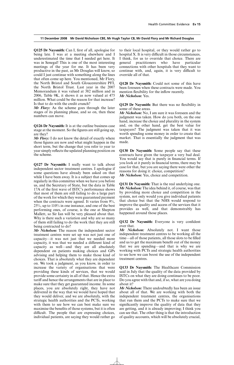**Q125 Dr Naysmith:** Can I, first of all, apologise for being late. I was at a meeting elsewhere and I underestimated the time that I needed get here. It was in Senegal! This is one of the most interesting meetings of the year for me. It has been very productive in the past, as Mr Douglas will know, so could I just continue with something along the lines that often come up here. You mentioned, Mr Flory, the North Bristol and South Gloucestershire PFI, the North Bristol Trust. Last year in the 2007 Memorandum it was valued at 382 million and in 2006, Table 9K, it shows it as now valued at 475 million. What could be the reason for that increase? Is that to do with the credit crunch?

*Mr Flory:* As the scheme goes through the later stages of its planning phase, and so on, then these numbers can move.

**Q126 Dr Naysmith:** It is at the outline business case stage at the moment. So the figures are still going up, are they?

*Mr Flory:* I do not know the detail of exactly where those figures are now and what might happen in the short term, but the change that you refer to year to year simply reflects the updated planning position on the scheme.

**Q127 Dr Naysmith:** I really want to talk about independent sector treatment centres. I apologise if some questions have already been asked on that while I have been away. It is a subject that comes up regularly in this committee when we have you before us, and the Secretary of State, but the data in Table 17A of the first wave of ISTC's performance shows that most of them are still failing to do a large part of the work for which they were guaranteed payment when the contracts were agreed. It varies from  $9\%$ , 25%, up to 110% in one instance, and one of the best performing ones, of course, is the one at Shepton Mallett, so Sir Ian will be very pleased about that. Why is there such a variation and why are so many of them still failing to do the work that they are still being contracted to do?

*Mr Nicholson:* The reason the independent sector treatment centres were set up was not just one of capacity—it was not just that we needed more capacity, it was that we needed a different kind of capacity as well—and they are all absolutely dependent on patients making choices and GPs advising and helping them to make those kind of choices. That is absolutely what they are dependent on. We took a judgment, as you know, in order to increase the variety of organisations that were providing these kinds of services, that we would provide some certainty in all of that. Hence the extra tariff and hence the arrangements that are in place to make sure that they get guaranteed income. In some places, you are absolutely right, they have not delivered in the way that we would have hoped that they would deliver, and we are absolutely, with the strategic health authorities and the PCTs, working with them to see how we can best make sure we maximise the benefits of those systems, but it is often difficult. The people that are expressing choices, individual patients, are saying they would rather go to their local hospital, or they would rather go to hospital X. It is very difficult in those circumstances, I think, for us to override that choice. There are general practitioners who have particular connections with other hospitals that they want to continue with, and, again, it is very difficult to override all of that.

**Q128 Dr Naysmith:** Could not some of this have been foreseen when these contracts were made. You mention flexibility for the inflow recently. *Mr Nicholson:* Yes.

**Q129 Dr Naysmith:** But there was no flexibility in some of these areas.

*Mr Nicholson:* No, I am sure it was foreseen and the judgment was taken. How do you both, on the one hand, increase the choice and plurality in the system and, on the other hand, get the best value for taxpayers? The judgment was taken that it was worth spending some money in order to create that market. That is essentially the judgment that was made.

**Q130 Dr Naysmith:** Some people say that these contracts have given the taxpayer a very bad deal. You would say that is purely in financial terms. If you look at it purely in financial terms, there may be case for that, but you are saying there were other the reasons for doing it: choice, competition? *Mr Nicholson:* Yes, choice and competition.

**Q131 Dr Naysmith:** That is the real underlying one. *Mr Nicholson:* The idea behind it, of course, was that by providing more choice and competition in the system, not only would you give individual patients that choice but that the NHS would respond to improve the quality and access of the services that it provides as well, and that demonstrably has happened around those places.

**Q132 Dr Naysmith:** Everyone is very confident over that.

*Mr Nicholson:* Absolutely not. I want those independent treatment centres to be working all the time—all of those patients, all those slots to be filled and us to get the maximum benefit out of the money that we are spending—and that is why we are working with PCTs and strategic health authorities to see how we can boost the use of the independent treatment centres.

**Q133 Dr Naysmith:** The Healthcare Commission said in July that the quality of the data provided by ISTCs on what they are doing continues to be poor. Do you agree with that and, if so, what are you doing about it?

*Mr Nicholson:* There undoubtedly has been an issue about all of that. We are working with both the independent treatment centres, the organisations that run them and the PCTs to make sure that we significantly improve the quality of data that they are getting, and it is already improving; I think you can see that. The other thing is that the introduction of quality accounts, which will be absolutely crucial,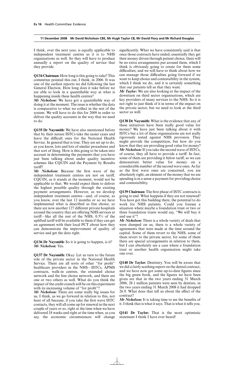I think, over the next year, is equally applicable to independent treatment centres as it is to NHS organisations as well. So they will have to produce annually a report on the quality of service that they provide.

**Q134 Chairman:** How long is this going to take? This committee pointed this out, I think, in 2006. It was one of the earliest reports we did following the last General Election. How long does it take before we are able to look in a quantifiable way at what is happening inside these health centres?

*Mr Nicholson:* We have got a quantifiable way of doing it at the moment. The issue is whether the data is comparative to what we collect in the rest of the system. We will have to do this for 2009 in order to deliver the quality accounts in the way that we need to do.

**Q135 Dr Naysmith:** We have also mentioned before that by their nature ISTCs take the easier cases and leave the difficult ones for the National Health Service. In general that is true. They are set up to do, as you know, lots and lots of similar procedures and that sort of thing. How is this going to be taken into account in determining the payments that you have just been talking about under quality incentive schemes like CQUIN and the Payment by Results tariff?

*Mr Nicholson:* Because the first wave of the independent treatment centres are not on tariff, CQUIN, as it stands at the moment, would not be applicable to that. We would expect them to deliver the highest possible quality through the existing payment arrangements. However, as we develop independent treatment centres—and, of course, as you know, over the last 12 months or so we have implemented what is described as free choice, so there are now another 127 different private hospitals around the country that are offering NHS services at tariff—like all the rest of the NHS,  $0.5\%$  of the uplifted tariff will be available to them if they can get an agreement with their local PCT about how they can demonstrate the improvement of quality of service and get the data right.

**Q136 Dr Naysmith:** So it is going to happen, is it? *Mr Nicholson:* Yes.

**Q137 Dr Naysmith:** Okay. Let us turn to the future role of the private sector in the National Health Service. There are all sorts of other "for profit" healthcare providers in the NHS—ISTCs, APMS contracts, walk-in centres, the extended choice network and the free choice network, and there are one or two others as well. What do you think the impact of the credit crunch will be on this experiment with its increasing volume of "for profit"?

*Mr Nicholson:* There are some really big issues for us, I think, as we go forward in relation to this, not least of all because, if you take the first wave ISTC contacts, they will all come up for renewal in the next couple of years or so, right at the time when we have delivered 18 weeks and right at the time when, as you say, the economic circumstances will change significantly. What we have consistently said is that once those contracts have ended, essentially they get their money driven through patient choice, there will be no extra arrangements put around them, which I think is obviously going to create for them some difficulties; and we will have to think about how we can manage those difficulties going forward if we want to keep choice and contestability in the system, which I think we do, and it is certainly something that our patients tell us that they want.

*Mr Taylor:* We are also looking at the impact of the downturn on third sector organisations, which are key providers of many services to the NHS. So it is not right to just think of it in terms of the impact on the private sector, but we need to look at the third sector as well.

**Q138 Dr Naysmith:** What is the evidence that any of these initiatives have been really good value for money? We have just been talking about it with ISTCs but a lot of these organisations are not really rigorously tested against NHS provision. They might provide the competition, but how do you know that they are providing good value for money? *Mr Nicholson:*If you take the second wave of ISTCs, of course, they all have to provide a tariff. In fact, some of them are providing it below tariff, so we can demonstrate better value for money on a considerable number of the second wave ones. As far as the first wave ones are concerned, you are absolutely right, an element of the money that we are spending is in a sense a payment for providing choice and contestability.

**Q139 Chairman:** The first phase of ISTC contracts is going to end. What happens if they are not renewed? You have got this building there, the potential to do work for NHS patients. Could you foresee a situation where maybe a foundation trust or two or three foundation trusts would say, "We will buy it and use it"?

*Mr Nicholson:* There is a whole variety of deals that were dumped on us, there is a whole variety of agreements that were made at the time around the capital. Some of them revert to the NHS, some of them revert to the private sector, for some of them there are special arrangements in relation to them, but I can absolutely see a case where a foundation trust or another health organisation might take one over.

**Q140 Dr Taylor:** Dentistry. You will be aware that we did a fairly scathing report on the dental contract, and we have now got some up-to-date figures since the big green book, and the figures we have been given are that in the two years ending 31 March 2006, 28.1 million patients were seen by dentists, in the two years ending 31 March 2008 it had dropped 26.9. What does that tell us about the effect of the contract?

*Mr Nicholson:* It is taking time to see the benefits of it. I think that is what it says. That is what it tells you.

**Q141 Dr Taylor:** That is the most optimistic statement I think I have ever heard!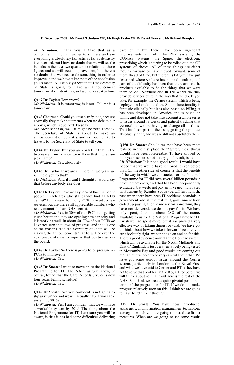*Mr Nicholson:* Thank you. I take that as a compliment. I not am going to sit here and say everything is absolutely fantastic as far as dentistry is concerned, but I have no doubt that we will see the benefits in the next two quarters in relation to those figures and we will see an improvement, but there is no doubt that we need to do something in order to improve it and we have taken note of the conclusion you came to. All I can say about that is the Secretary of State is going to make an announcement tomorrow about dentistry, so I would leave it to him.

#### **Q142 Dr Taylor:** Tomorrow?

*Mr Nicholson:* It is tomorrow, is it not? Tell me it is tomorrow.

**Q143 Chairman:** Could you just clarify that, because normally they make statements when we debate our reports, which is due next Tuesday.

*Mr Nicholson:* Oh, well, it might be next Tuesday. The Secretary of State is about to make an announcement on dentistry, and so I would like to leave it to the Secretary of State to tell you.

**Q144 Dr Taylor:** But you are confident that in the two years from now on we will see that figures are picking up?

*Mr Nicholson:* Yes; absolutely.

**Q145 Dr Taylor:** If we are still here in two years we will hold you to that?

*Mr Nicholson:* And if I am! I thought it would say that before anybody else does.

**Q146 Dr Taylor:** Have we any idea of the number of people in each area who still cannot find an NHS dentist? I am aware that many PCTs have set up new services, but are there still appreciable numbers who really cannot find an NHS dentist?

*Mr Nicholson:* Yes, in 30% of our PCTs it is getting much better and they are opening new capacity and it is working well. In about 60–70% of our PCTs we have not seen that level of progress, and that is one of the reasons that the Secretary of State will be making the announcements that he will be over the next couple of days to improve that position across the board.

**Q147 Dr Taylor:** So there is going to be pressure on PCTs to improve it? *Mr Nicholson:* Yes.

**Q148 Dr Stoate:** I want to move on to the National Programme for IT. The NAO, as you know, of course, found that the Care Records Service is now four years behind schedule? *Mr Nicholson:* Yes.

**Q149 Dr Stoate:** Are you confident is not going to slip any further and we will actually have a workable system by 2015?

*Mr Nicholson:* Yes, I am confident that we will have a workable system by 2015. The thing about the National Programme for IT, I am sure you will be aware, is that it has had some difficulties delivering part of it but there have been significant improvements as well. The PAX systems, the CUMAS systems, the Spine, the electronic prescribing which is starting to be rolled out, the GP systems of choice. All of these things are either moving forward or have moved forward, some of them ahead of time, but there this bit you have just described where we have had some difficulties, and part of the difficulty has been that there are not the products available to do the things that we want them to do. Nowhere else in the world do they provide services quite in the way that we do. If you take, for example, the Cerner system, which is being deployed in London and the South, functionality is fantastic clinically but it is also based on billing, it has been developed in America and is based on billing and does not take into account a whole series of issues around 18 weeks and patient tracking that we need, so we are having to change all of those. That has been part of the issue, getting the product absolutely right, and we are still not absolutely there.

**Q150 Dr Stoate:** Should we not have been more realistic in the first place then? Surely these things should have been foreseeable. To have slipped by four years so far is not a very good result, is it?

*Mr Nicholson:* It is not a good result. I would have hoped that we would have removed it even before that. On the other side, of course, is that the benefits of the way in which we contracted for the National Programme for IT did save several billion pounds in procurement costs, and that has been independently evaluated, but we do not pay until we get—it is based on Payment by Results. So, as you will know, in the past when there have been IT problems, scandals in government and all the rest of it, government have ended up paying a lot of money for something they have not delivered, we do not pay for it. We have only spent, I think, about 28% of the money available to us for the National Programme for IT. I wish we had spent more, but it has proved a very effective way of taking things forward. We have got to think about how we take it forward because, you are absolutely right, we cannot go on and on for this. There is good evidence now that the Lorenzo system, which will be available for the North Midlands and East of England, is just very tentatively being tested in Morcambe Bay and good results are coming out of that, but we need to be very careful about that. We have got some serious issues around the Cerner system, particularly in London at the Royal Free, and what we have said to Cerner and BT is they have got to solve that problem at the Royal Free before we will think about rolling it out across the rest of the NHS. So I think we are at a quite pivotal position in terms of the programme for IT. If we do not make progress relatively soon on this, I think we are going to have to rethink it through.

**Q151 Dr Stoate:** You have now introduced, apparently, an information management technology survey, in which you are going to introduce firmer measures. When are we going to see some results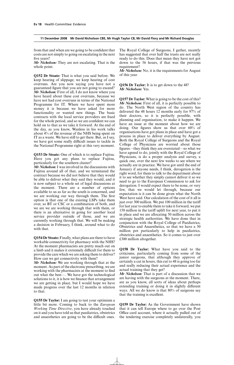from that and when are we going to be confident that costs are not simply to going on escalating in the next five years?

*Mr Nicholson:* They are not escalating. That is the whole point.

**Q152 Dr Stoate:** That is what you said before. We keep hearing of slippage; we keep hearing of cost overruns. Are you now saying you have not a guaranteed figure that you are not going to exceed? *Mr Nicholson:* First of all, I do not know where you have heard about these cost overruns, because we have not had cost overruns in terms of the National Programme for IT. Where we have spent more money it is because we have asked for more functionality or wanted new things. The basic contracts with the local service providers are fixed for the whole period, and so we are confident we can hold on to that as we take it forward. At the end of the day, as you know, Wanless in his work talks about 4% of the revenue of the NHS being spent on IT as a waste. We have still to get there. But, as I say, we have got some really difficult issues to tackle in the National Programme right at this very moment.

**Q153 Dr Stoate:** One of which is to replace Fujitsu. Have you got any plans to replace Fujitsu, particularly for the southern cluster?

*Mr Nicholson:* I was involved in the discussions with Fujitsu around all of that, and we terminated the contract because we did not believe that they would be able to deliver what they said they would, and it is now subject to a whole set of legal discussions at the moment. There are a number of options available to us as far as the south is concerned, and we are working our way through them. The first option is that one of the existing LSPs take them over, so BT or CSC or a combination of both, and we are we are working through that with them, or there is an alternative in going for another local service provider outside of those, and we are currently working through that. We will be making a decision in February, I think, around what to do with that.

**Q154 Dr Stoate:** Finally, what plans are there to have workable connectivity for pharmacy with the NHS? At the moment pharmacists are pretty much out on a limb and it makes it extremely difficult for them to provide the care which we are asking them to deliver? How can we get connectivity with them?

*Mr Nicholson:* We are working through that at the moment. As part of the electronic prescribing, we are working with the pharmacists at the moment to find out what the best—. We have got the technological solutions to it, it is how we finance that arrangement we are getting in place, but I would hope we have made progress over the last 12 months in relation to that.

**Q155 Dr Taylor:** I am going to test your optimism a little bit more. Coming to back to the *European Working Time Directive*, you have already touched on it and you have told us that paediatrics, obstetrics and anaesthetics are going to be the difficult ones. The Royal College of Surgeons, I gather, recently has suggested that over half the trusts are not really ready to do this. Does that mean they have not got down to the 56 hours, if that was the previous requirement?

*Mr Nicholson:* No, it is the requirements for August of this year.

**Q156 Dr Taylor:** It is to get down to the 48? *Mr Nicholson:* Yes.

**Q157 Dr Taylor:** What is going to be the cost of this? *Mr Nicholson:* First of all, it is perfectly possible to do. The North West region of the country has delivered the 48 hours 12 months early for 97% of their doctors, so it is perfectly possible, with planning and organisation, to make it happen. We have an issue at the moment about how we are doing. Our figures show us that over 60% of organisations have got plans in place and have got a process in place to deliver everything by August. Both the Royal College of Surgeons and the Royal College of Physicians are worried about those figures—they think they are overstated—so what we have agreed to do, jointly with the Royal College of Physicians, is do a proper analysis and survey, a quick one, over the next few weeks to see where we actually are in practice. We have got until the end of January if anyone needs, I think, derogation is the right word, for them to talk to the department about it to see whether they simply cannot deliver it so we need to go to the European Commission to ask for derogation. I would expect there to be none, or very few, that we would let through, because our expectation is it can be done given what the North West have said. Our calculation of the cost of it all is just over 300 million. We put  $100$  million in the tariff for last year to enable them to take it forward, we put 150 million in the tariff uplift for next year, to put it in place and we are allocating 50 million across the strategic health authorities. We have done that in conjunction with the Royal College of Paediatrics, Obstetrics and Anaesthetics, so that we have a 50 million pot particularly to help in paediatrics, obstetrics and anaesthetics. So it comes to just over £300 million altogether.

**Q158 Dr Taylor:** What have you said to the criticisms, particularly coming from some of the junior surgeons, that although they approve of certainly a cut in hours, this cut to 48 is going too far and really reducing their actual experience and the actual training that they get?

*Mr Nicholson:* That is part of a discussion that we are having with the surgeons at the moment. There, are as you know, all sorts of ideas about perhaps extending training or doing it in slightly different ways. All we do know is that 80% of surgeons say that the training is excellent.

**Q159 Dr Taylor:** As the Government have shown that it can tell Europe where to go over the Post Office card account, where it actually pulled out of the tendering exercise completely unilaterally, you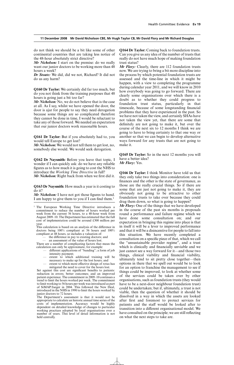do not think we should be a bit like some of other continental countries that are taking less notice of the 48-hour absolutely strict directive?

*Mr Nicholson:* I start on the premise: do we really want our junior doctors to be working more than 48 hours a week?

*Dr Stoate:* We did, did we not, Richard? It did not do us any harm?

**Q160 Dr Taylor:** We certainly did far too much, but do you not think from the training purposes that 48 hours is going just a bit too far?

*Mr Nicholson:* No, we do not believe that is the case at all. As I say, whilst we have opened the door, the door is ajar for people to say they need derogation because some things are so complicated therefore they cannot be done in time, I would be reluctant to take any of those forward. We needed an expectation that our junior doctors work reasonable hours.

**Q161 Dr Taylor:** But if you absolutely had to, you would tell Europe to get lost?

*Mr Nicholson:* We would not tell them to get lost, no, somebody else would. We would seek derogation.

**Q162 Dr Naysmith:** Before you leave that topic, I wonder if I can quickly ask: do we have any reliable figures as to how much it is going to cost the NHS to introduce the *Working Time Directive* in full? *Mr Nicholson:* Right back from when we first did it.

**Q163 Dr Naysmith:** How much a year is it costing to do it?

*Mr Nicholson:* I have not got those figures to hand. I am happy to give them to you if I can find them.1

<sup>1</sup> The European Working Time Directive introduces a commitment to reduce the number of hours worked per week from the current 56 hours, to a 48-hour week from August 2009–10. The Department has estimated that the full cost of implementation could be around £300 million per year.

This calculation is based on an analysis of the difference in doctors being 100% compliant at 56 hours and 100% compliant at 48 hours, so includes a valuation of:

the difference in pay to existing doctors; and

— an assessment of the value of hours lost.

There are a number of complicating factors that mean the calculation can only be approximate, for example:

- different applications of "banding"; a form of job intensity payment;
- extent to which additional training will be necessary to make up for the lost hours; and
	- extent to which more effective design of rotas has mitigated the need to cover for the hours lost.

Set against this cost are significant benefits to patients: reduction in errors; better outcomes; and an improved patient experience. The commitment in 2009–10 continues a trend to limit the hours worked per week. The commitment to limit working to 56 hours per week was introduced as part of SiMAP/Jaeger in 2004. This followed the New Deal, introduced in the NHS in 1990 to limit the hours worked by junior doctors to 72 hours.

The Department's assessment is that it would not be appropriate to calculate an historic annual time series of the costs of implementation. Accuracy would be highly dependent on detailed knowledge of changes to particular working practices adopted by local organisations over a number of years. This level of detail information is not held centrally.

**Q164 Dr Taylor:** Coming back to foundation trusts. Can you give us any idea of the number of trusts that really do not have much hope of making foundation trust status?

*Mr Flory:* Clearly, there are 112 foundation trusts now. We are trying to bring a bit more discipline into the process by which potential foundation trusts are assessed and the time-line in which it might be happen, with a view to completing the programme during calendar year 2011, and we will know in 2010 how everybody was going to go forward. There are clearly some organisations over which there is a doubt as to whether they could progress to foundation trust status, particularly in that timescale, because of some longstanding financial problems that they have experienced in the past. So we have not taken the view, and certainly SHAs have not taken the view yet, that there are some that definitely are not going to make it, but over the course of the next six to 12 months I think we are going to have to bring certainty to that one way or another so that we can begin to develop alternative ways forward for any trusts that are not going to make it.

**Q165 Dr Taylor:** So in the next 12 months you will have a better idea? *Mr Flory:* Yes.

**Q166 Dr Taylor:** I think Monitor have told us that they only take two things into consideration: one is finances and the other is the state of governance, as those are the really crucial things. So if there are some that are just not going to make it, they are obviously not going to be attractive to other foundation trusts to take over because they could drag them down, so what is going to happen?

*Mr Flory:* One of the things that we have developed in the course of the past six months is proposals round a performance and failure regime which we have done some consultation on; and our expectation in bringing this regime into place is that in itself it will be a lever to improved performance and that it will be a disincentive for people to fall into this situation. We have recently completed a consultation on a specific piece of that, which we call the "unsustainable provider regime", and a trust which is clinically and financially unviable and we just cannot see a way forward for it—and those two things, clinical viability and financial viability, ultimately tend to sit pretty close together—then options in there that we spell out would be to look for an option to franchise the management to see if things could be improved, to look at whether some of the services could be taken over by other organisations, such as foundation trusts (they would have to be a next-door neighbour foundation trust) could be undertaken; but if, ultimately, a trust is not viable, then the question of whether it should be dissolved in a way in which the assets are looked after first and foremost to protect services for patients and the staff would be looked after to transition into a different organisational model. We have consulted on the principle; we are still reflecting on what the next steps to take are.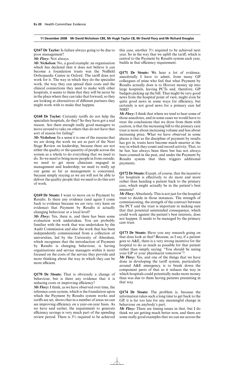**Q167 Dr Taylor:** Is failure always going to be due to poor management?

*Mr Flory:* Not always.

*Mr Nicholson:* No, a good example: an organisation which has declared that it does not believe it can become a foundation trusts was the Nuffield Orthopaedic Centre in Oxford. The tariff does not work for it. The way in which they do the specialist work, the way they can spread their costs and the clinical connections they need to make with other hospitals, it seems to them that they will be never be in the place where they can take that forward, so they are looking at alternatives of different partners they might work with to make that happen.

Q168 Dr Taylor: Certainly tariffs do not help the specialists hospitals, do they? So they have got a real reason. Are there enough really good managers to move around to take on others that do not have that sort of reason for failing?

*Mr Nicholson:* In a sense it is one of the reasons that we are doing the work we are as part of the Next Stage Review on leadership, because there are not either the quality or the quantity of people across the system as a whole to do everything that we need to do. So we need to bring more people in from outside; we need to get more clinicians engaged in management and leadership; we need to really up our game as far as management is concerned, because simply staying as we are will not be able to deliver the quality people that we need to do this sort of work.

**Q169 Dr Stoate:** I want to move on to Payment by Results. Is there any evidence (and again I come back to evidence because we are very, very keen on evidence) that Payment by Results is actually changing behaviour at a local level?

*Mr Flory:* Yes, there is, and there has been some evaluation work undertaken. You are probably familiar with the work that was undertaken by the Audit Commission and also the work that has been independently commissioned from a collection of universities, led by the University of Aberdeen, which recognises that the introduction of Payment by Results is changing behaviour, is having organisations and service managers within it more focused on the costs of the service they provide and more thinking about the way in which they can be more efficient.

**Q170 Dr Stoate:** That is obviously a change of behaviour, but is there any evidence that it is reducing costs or improving efficiency?

*Mr Flory:*I think, as we have observed over time, the reference costs system, which is the foundation upon which the Payment by Results system works and tariffs are set, shows that in a number of areas we can see improving efficiency on a year-on-year basis. As we have said earlier, the requirement to generate efficiency savings is very much part of the spending review period. There is 3% required to be achieved this year, another 3% required to be achieved next year. So in the way that we uplift the tariff, which is central to the Payment by Results system each year, builds in that efficiency requirement.

**Q171 Dr Stoate:** We hear a lot of evidence, anecdotally I have to admit, from many GP colleagues of mine who feel that what Payment by Results actually does is to Hoover money up into large hospitals, leaving PCTs and, therefore, GP budgets picking up the bill. That might be very good news from the hospital point of view, might even be quite good news in some ways for efficiency, but certainly is not good news for a primary care led NHS?

*Mr Flory:*I think that where we tend to hear some of those anecdotes, and in some cases we would have to treat the conclusions that we draw from them with caution, is that the increasing bill to the primary care trust is more about increasing volume and less about increasing price. What we have observed in some places is that as the discipline of payment by results has got in, trusts have become much smarter at the way in which they count and record activity. That, to be fair, has always been there but has not always been counted in the past, and under the Payment by Results system that then triggers additional payments.

**Q172 Dr Stoate:** Except, of course, that the incentive for hospitals is effectively to do more and more rather than handing a patient back to the primary care, which might actually be in the patient's best interests?

*Mr Flory:* Absolutely. This is not just for the hospital trust to decide in those instances. The strength of commissioning, the strength of the contract between the PCT and the trust is important in making sure that that potential unintended consequence, which could work against the patient's best interests, does not happen. It needs to be managed by the primary care trust.

**Q173 Dr Stoate:** Have you any research going on that does look at that? Because, as I say, if a patient goes to A&E, there is a very strong incentive for the hospital to do as much as possible for that patient rather than simply saying: "You should be seeing your GP or your pharmacist tomorrow"?

*Mr Flory:* Yes, and one of the things that we have done in developing the tariff system, particularly around A&E emergency, is to break down the component parts of that so it reduces the way in which hospitals could potentially make more money than was due to them having patients presenting in that way.

**Q174 Dr Stoate:** The problem is, because the information takes such a long time to get back to the GP, it is far too late for any meaningful change in behaviour on anybody's part.

*Mr Flory:* There are timing issues in that, but I do think we are getting much better now, and there are some really good examples that we can see across the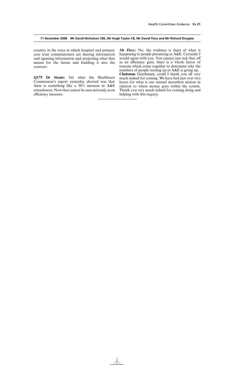country in the ways in which hospital and primary care trust commissioners are sharing information and agreeing information and projecting what that means for the future and building it into the contract.

**Q175 Dr Stoate:** Yet what the Healthcare Commission's report yesterday showed was that there is something like a 30% increase in A&E attendances. Now that cannot be seen seriously as an efficiency measure.

*Mr Flory:* No, the evidence is there of what is happening to people presenting at A&E. Certainly I would agree with you. You cannot just tick that off as an efficiency gain; there is a whole factor of reasons which come together to determine why the numbers of people turning up at A&E is going up. **Chairman:** Gentlemen, could I thank you all very much indeed for coming. We have had just over two hours for what is our annual marathon session in relation to where money goes within the system. Thank you very much indeed for coming along and helping with this inquiry.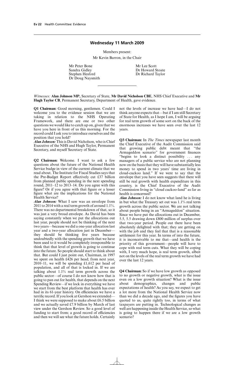### **Wednesday 11 March 2009**

Members present: Mr Kevin Barron, in the Chair

Mr Peter Bone<br>
Sandra Gidley<br>
Dr Howard S Sandra Gidley Dr Howard Stoate Dr Doug Naysmith

Dr Richard Taylor

*Witnesses:* **Alan Johnson MP,** Secretary of State, **Mr David Nicholson CBE**, NHS Chief Executive and **Mr Hugh Taylor CB**, Permanent Secretary, Department of Health, gave evidence.

**Q1 Chairman:** Good morning, gentlemen. Could I welcome you to the evidence session that we are taking in relation to the NHS Operating Framework, and there are one or two other questions we would like to catch up on, given that we have you here in front of us this morning. For the record could I ask you to introduce ourselves and the position that you hold?

*Alan Johnson:* This is David Nicholson, who is Chief Executive of the NHS and Hugh Taylor, Permanent Secretary, and myself Secretary of State.

**Q2 Chairman:** Welcome. I want to ask a few questions about the future of the National Health Service budge in view of the current climate that we read about. The Institute for Fiscal Studies says that the Pre-Budget Report effectively cut  $£37$  billion from planned public spending in the next spending round, 2011–12 to 2013–14. Do you agree with this figure? Or if you agree with that figure or a lesser figure what are the implications for the National Health Service?

*Alan Johnson:* What I saw was an envelope from 2011 to 2014 with a real term growth of around 1.1%. There was no departmental breakdown of that, so it was just a very broad envelope. As David has been saying constantly when we put the allocations out last year, people should not be thinking of the next two years—because we did a one-year allocation last year and a two-year allocation just in December they should be thinking five years because undoubtedly with the spending growth that we have been used to it would be completely irresponsible to think that that level of growth is going to continue into the future. So people should start to think about that. But could I just point out, Chairman, in 1997 we spent on health £426 per head; from next year, 2010–11, we will be spending £1,612 per head of population, and all of that is locked in. If we are talking about 1.1% real term growth across the public sector—of course I do not know how that is going to pan out for health, that depends on the next Spending Review—if we lock in everything we have we start from the best platform that health has ever had in its 61-year history. On efficiencies we have a terrific record. If you look at Gershon we extended— I think we were supposed to make about £6.5 billion and we actually saved £7.9 billion by March of last view under the Gershon Review. So a good level of funding to start from; a good record of efficiencies and then we will see what the future holds. Certainly not the levels of increase we have had—I do not think anyone expects that—but if I am still Secretary of State for Health, as I hope I am, I will be arguing for real term growth of some sort on the back of the enormous increases we have seen over the last 12 years.

**Q3 Chairman:** In *The Times* newspaper last month the Chief Executive of the Audit Commission said that growing public debt meant that "the Armageddon scenario" for government finances "begins to look a distinct possibility . . . any managers of a public service who are not planning now on the basis that they will have substantially less money to spend in two years' time are living in cloud-cuckoo land." If we were to say that the envelope that you have seen suggests that there will still be real growth with health expenditure in this country, is the Chief Executive of the Audit Commission living in "cloud cuckoo-land" as far as health is concerned?

*Alan Johnson:* I do not know what land he is living in but what the Treasury set out was 1.1% real term growth across the public sector. We are not talking about people being in an "Armageddon" situation. Since we have put the allocations out in December, 5.5, 5.5 drawing down £800 million of surplus over that two-year period. People out there have been absolutely delighted with that; they are getting on with the job and they feel that that is a reasonable settlement for this year. In terms of into the future, it is inconceivable to me that—and health is the priority of this government—people will have to cope with real term cuts. What they will be coping with, I very much hope, is real term growth, albeit not on the levels of the real term growth we have had over the last 12 years.

**Q4 Chairman:** So if we have low growth as opposed to no growth or negative growth, what is the issue even on a low growth situation? What is the issue<br>about demographics, changes and public about demographics, changes and public expectations of health? As you say, we expect to get a lot more from the National Health Service now than we did a decade ago, and the figures you have quoted to us, quite rightly too, in terms of what taxpayers are putting in. Technological changes as well are happening inside the Health Service, so what is going to happen there if we are a low growth scenario?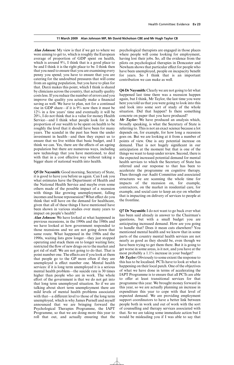#### **11 March 2009 Alan Johnson MP, Mr David Nicholson CBE and Mr Hugh Taylor CB**

*Alan Johnson:* My view is that if we get to where we were aiming to get to, which is roughly the European average of proportion of GDP spent on health, which is around 9%, I think that is a good place to be and I think it is the right place to be. I think then that you need to ensure that you are examining every penny you spend; you have to ensure that you are catering for the undoubted pressures that will come from an ageing population, but you have to plan for that. Darzi makes this point, which I think is shared by clinicians across the country, that actually quality costs less. If you reduce the number of errors and you improve the quality you actually make a financial saving as well. We have to plan, not for a continual rise in GDP share—if it is 9% now then it must be 12% in a few years' time and eventually it will be 20%, I do not think that is a value for money Health Service—and I think what people look for is the proportion of our wealth to be spent on health to be roughly the level that it should have been for many years. The scandal in the past has been the under investment in health—and then they expect us to ensure that we live within that basic budget, and I think we can. Yes, there are the effects of an ageing population but there are numerous ways, including new technology that you have mentioned, to deal with that in a cost effective way without taking a bigger share of national wealth into health.

**Q5 Dr Naysmith:** Good morning, Secretary of State, it is good to have you before us again. Can I ask you what estimates have the Department of Health and the National Health Service and maybe even some others made of the possible impact of a recession with things like growing unemployment, falling incomes and house repossession? What effect do you think that will have on the demand for healthcare, given that all of these things I have mentioned have been shown in various studies over many years to impact on people's health?

*Alan Johnson:* We have looked at what happened in previous recessions, in the 1990s and the 1980s and we have looked at how government responded to those recessions and we are not going down that same route. What happened in the 1980s and the 1990s, waiting lists grew longer—they just stopped operating and stuck them on to longer waiting lists; restricted the flow of new drugs on to the market and got rid of staff. We are not going to do that. That is point number one. The effects are if you look at them that people go to the GP more often if they are unemployed is effect number one. Mental health services: if it is long term unemployed it is a serious mental health problem—the suicide rate is 30 times higher than people who are in work. The whole effort of the government is that we do not get into that long term unemployed situation. So if we are talking about short term unemployment there are mild levels of mental health problems associated with that—a different level to those of the long term unemployed, which is why James Purnell and myself announced that we are bringing forward the Psychological Therapies Programme, the IAPT Programme, so that we are doing more this year to roll that out, and actually ensuring that the psychological therapists are engaged in those places where people will come looking for employment, having lost their jobs. So, all the evidence from the pilots on psychological therapies in Doncaster and Newham shows that particular effect for people who have been unemployed, people on incapacity benefit for years. So I think that is an important contribution we can make as well.

**Q6 Dr Naysmith:** Clearly we are not going to let what happened last time there was a recession happen again, but I think, Mr Taylor, the last time you were here you told us that you were going to look into this and look into some sort of study of the whole situation. Did that happen? Is there something concrete on paper that you have produced?

*Mr Taylor:* We have produced an analysis which, broadly speaking, is what the Secretary of State is referring to. This is not an exact science because a lot depends on, for example, for how long a recession goes on. But we are looking at it from a number of points of view. One is any potential increase on demand. That is not hugely significant in our anticipation at the moment but that is one of the things we want to keep under review. Second, there is the expected increased potential demand for mental health services to which the Secretary of State has referred and our response to that has been to accelerate the programme on cognitive therapy. Then through our Audit Committee and associated structures we are scanning the whole time for impacts of the recession on, for example, contractors, on the market in residential care, for example, and social care to keep an eye on whether that is impacting on delivery of services to people at the frontline.

**Q7 Dr Naysmith:**I do not want to go back over what has been said already in answer to the Chairman's questions, but with a small budget you are anticipating increased demand. How are you going to handle that? Does it mean cuts elsewhere? You mentioned mental health and we know that in some parts of the country mental health services are not nearly as good as they should be, even though we have been trying to get them there. But it is going to get worse in some areas, is it not, and you have at the most probably a 1.1% increase in your budget?

*Mr Taylor:* Obviously to some extent the response to this has to be localised. PCTs have to look at what is happening on their local patch. One of the objectives of what we have done in terms of accelerating the IAPT Programme is to ensure that all PCTs are able to offer at least transitional services for that programme this year. We brought money forward in this year, so we are actually planning an increase in expenditure this year to cope with that level of expected demand. We are providing employment support coordinators to have a better link between people both in work and out of work with the sort of counselling and therapy services associated with that. So we are taking some immediate action but I would be misleading you if I was able to say that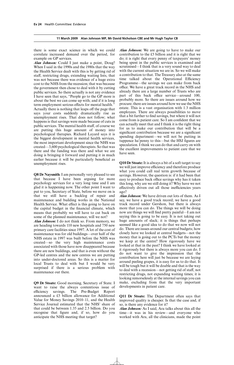#### **11 March 2009 Alan Johnson MP, Mr David Nicholson CBE and Mr Hugh Taylor CB**

there is some exact science in which we could correlate increased demand over the period, for example on GP services.

*Alan Johnson:* Could I just make a point, Doug? When I said in the 1990s and the 1980s that the way the Health Service dealt with this is by getting rid of staff, restricting drugs, extending waiting lists, that was not because there was evidence of a huge extra cost to the NHS from the recession; that was because the government then chose to deal with it by cutting public services. So there actually is not any evidence I have seen that says, "People go to the GP more is about the best we can come up with; and if it is long term employment serious effects for mental health." Actually there is nothing that leaps off the page that says your costs suddenly dramatically rise as unemployment rises. That does not follow; what happens is that savings were made because of cuts in public services. The mental health stuff, of course we are putting this huge amount of money into psychological therapies. Richard Layard says it is the biggest development in mental health services, the most important development since the NHS was created—3,600 psychological therapists. So that was there and the funding was there and what we are doing is bringing it forward and putting it in much earlier because it will be particularly beneficial as unemployment rises.

**Q8 Dr Naysmith:** I am personally very pleased to see that because I have been arguing for more psychology services for a very long time and I am glad it is happening now. The other point I want to put to you, Secretary of State, before we move on is that we still have a backlog of repair and maintenance and building works in the National Health Service. What effect is this going to have on the capital budget in the financial climate, which means that probably we will have to cut back on some of the planned maintenance, will we not?

*Alan Johnson:* I do not think so. From memory, we are heading towards 110 new hospitals and 750 new primary care facilities since 1997. A lot of the cost of maintenance was for old buildings—over half of the NHS estate in 1997 was built before the NHS was created—so the very high maintenance costs associated with those have now disappeared because there are new buildings, and that is even without the GP-led centres and the new centres we are putting into under-doctored areas. So this is a matter for local Trusts to deal with but I would be very surprised if there is a serious problem with maintenance out there.

**Q9 Dr Stoate:** Good morning, Secretary of State. I want to raise the always contentious issue of efficiency savings. The Pre-Budget Report announced a £5 billion allowance for Additional Value for Money Savings 2010–11, and the Health Service Journal estimated that the NHS' share of that could be between 1.35 and 2.5 billion. Do you recognise that figure and, if so, how do you anticipate the NHS meeting that target?

*Alan Johnson:* We are going to have to make our contribution to the £5 billion and it is right that we do; it is right that every penny of taxpayers' money being spent in the public services is examined and scrutinised—I think that is a very sound way to deal with the current situation we are in. So we will make a contribution to that. The Treasury also at the same time talked about the Operational Efficiency Programme—the savings we can make from back office. We have a great track record in the NHS and already there are a large number of Trusts who are part of this back office service—around 100, probably more. So there are issues around how we procure; there are issues around how we use the NHS estate. This is a vast organisation with 1.3 million employees. There are always possibilities to move that a bit further to find savings, but where it will not come from is patient care. So I am confident that we can actually meet that and I think it is the right thing for us to make our contribution that will be a significant contribution because we are a significant spending department—we will not be putting in tuppence ha'penny to this—but the HSJ figures are speculation. I think we can do that and carry on with the excellent improvements to patient care that we have seen.

**Q10 Dr Stoate:**It is always a bit of a soft target to say we will just improve efficiency and therefore produce what you could call real term growth because of savings. However, the question is: if it had been that easy to produce back office savings why has it taken this long, why are we still doing it? Why have we not effectively driven out all those inefficiencies years ago?

*Alan Johnson:* We have driven out lots of them. As I say, we have a good track record; we have a good track record under Gershon, but there is always more that you can do. The things we will be doing now are things we will find pretty painful—I am not saying this is going to be easy. It is not taking out huge amounts of slack; it is things that perhaps seemed like a good idea to do that we now will not do. There are issues around our central budgets; how closely have we looked at central budgets—not the money that is going out to the PCTs but the money we keep at the centre? How rigorously have we looked at that in the past? I think we have looked at it rigorously but there is always more you can do. I do not want to give the impression that the contribution here will just be because we are laying around peeling grapes, it is easy for us to do that. It will be tough but it will be doable and that is the way to deal with a recession—not getting rid of staff, not restricting drugs, not expanding waiting times; it is looking remorselessly at the internal savings you can make, excluding from that the very important developments in patient care.

**Q11 Dr Stoate:** The Department often says that improved quality is cheaper. Is that the case and, if so, is there any evidence for it?

*Alan Johnson:* As I said, Ara talks about this all the time—it was in his review—and everyone who worked with Ara, all the clinicians, made the point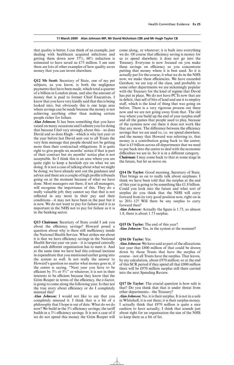#### **11 March 2009 Alan Johnson MP, Mr David Nicholson CBE and Mr Hugh Taylor CB**

that quality is better. I can think of an example, just dealing with healthcare acquired infections and getting them down now 57%, 60% reduction is estimated to have saved us £75 million. I am sure there are lots of other examples of how quality saves money that you can invest elsewhere.

**Q12 Mr Scott:** Secretary of State, one of my pet subjects, as you know, is both the negligence payments that have been made, which total a quarter of a billion in London alone, and also the amount of money that is paid to former Chief Executives. I know that you have very kindly said that this is being looked into, but obviously this is one large area where savings can be made because the money is not achieving anything other than making certain people richer for failure.

*Alan Johnson:* It has been something that you have raised on many occasions and I admire you for doing that because I feel very strongly about this—so does David and so does Hugh—which is why last year or the year before last David sent out to all Trusts the very firm message that people should not be getting more than their contractual obligations. It is quite right to give people six months' notice if that is part of their contract but six months' notice plus is not acceptable. So I think this is an area where you are quite right to keep a hawkish eye on what we are doing. It is not a case of talking about what we might be doing; we have already sent out the guidance and advice and there are a couple of high profile tribunals going on at the moment because of what we have done. Most managers out there, if not all managers, will recognise the importance of this. They do a really valuable job; they cannot say that that is not reflected in any more in their pay and their conditions—it may not have been in the past but it is now. We do not want to pay for failure and it is as important in the NHS not to pay for failure as it is in the banking sector.

**Q13 Chairman:** Secretary of State could I ask you about the efficiency savings? Howard posed a question about why is there still inefficiency inside the National Health Service. What strikes me about it is that we have efficiency savings in the National Health Service year on year—it is targeted centrally and each different organisation has to meet it. And at the same time we have had this colossal increase in expenditure that you mentioned earlier going into the system as well. Is not really the answer to Howard's question no matter what money goes in, if the centre is saying, "Next year you have to be efficient by  $3\%$  or  $5\%$ " or whatever, it is not in their interests to be efficient because they know that the Grim Reaper in terms of the efficiency, the e-factor, is going to come along the following year. Is that not the true story about efficiency or do I completely misread this?

*Alan Johnson:* I would not like to say that you completely misread it. I think that is a bit of a philosophy that I hope is out of date. What do we do now? We build in the  $3\%$  efficiency savings; the tariff builds in a 3% efficiency savings. It is not a case of if we do not spend this money the Grim Reaper will come along, or whatever; it is built into everything we do. Of course that efficiency saving is money for us to spend elsewhere; it does not go into the Treasury. Everyone is now focused on you make these savings on efficiency so you concentrate putting that money where it is best used. So it is actually par for the course; it what we do in the NHS now, we make these efficiencies. We have exceeded Gershon; we are top of the class, and probably to some other departments we are sickeningly popular with the Treasury for the kind of regime that David has put in place. We do not have PCTs now that are in deficit, that sell of bits of land and use it to employ staff, which is the kind of thing that was going on before. There is a very rigorous process out there now and we are not going away from that. The old way where you build up the end of year surplus stuff and all the games that people used to play, because of the systems now out there it does not work like that any more. The difference between the efficiency savings that we are used to, i.e. we spend elsewhere, and the money that Howard was referring to, that money is a contribution going back to the centre; that is £5 billion across all departments that we need to put back into the centre to deal with the economic difficulties we are in. So it is in a different category. **Chairman:** I may come back to that at some stage in the future, but let us move on.

**Q14 Dr Taylor:** Good morning, Secretary of State. That brings us on to really talk about surpluses. I think we have been told that the surplus at the end of this year is going to be something like £1.8 billion. Could you look into the future and what sort of surplus do you think that the NHS will carry forward from its very good position now, right on in to 2011–12? Will there be any surplus to carry forward then?

*Alan Johnson:* Actually the figure is 1.73, so almost 1.8; there is about 1.73 surplus.

#### **Q15 Dr Taylor:** The end of this year?

*Alan Johnson:* Yes, in the system at the moment?

#### **Q16 Dr Taylor:** Yes.

*Alan Johnson:* We have said as part of the allocations last year that £800 million of that could be drawn down by those Trusts that have the surplus of course—not all Trusts have the surplus. That leaves, by my calculation, about £970 million; so at the end of this SCR period if they spend all that £800 million there will be £970 million surplus still there carried into the next Spending Review.

**Q17 Dr Taylor:** The crucial question is how safe is that? Do you think that that is under threat from other departments—the Treasury?

*Alan Johnson:* No, it is their surplus. It is not in a safe in Whitehall, it is out there; it is their surplus money. I actually think that £970 million is quite a nice cushion to have actually; I think that sounds just about right for an organisation the size of the NHS to keep there as a bit of fat.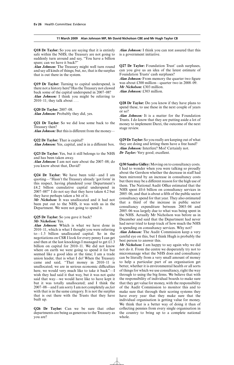**Q18 Dr Taylor:** So you are saying that it is entirely safe within the NHS; the Treasury are not going to suddenly turn around and say, "You have a billion spare; can we have it back?"

*Alan Johnson:* The Treasury might well turn round and say all kinds of things; but, no, that is the surplus that is out there in the system.

**Q19 Dr Taylor:** Turning to capital underspend, is there not a history here? Has the Treasury not clawed back some of the capital underspend in 2007–08?

*Alan Johnson:* I think you might be referring to 2010–11; they talk about  $\dots$ 

**Q20 Dr Taylor:** 2007–08. *Alan Johnson:* Probably they did, yes.

**Q21 Dr Taylor:** So we did lose some back to the Treasury then?

*Alan Johnson:* But this is different from the money-

**Q22 Dr Taylor:** That is capital? *Alan Johnson:* Yes, capital, and is in a different box.

**Q23 Dr Taylor:** Yes, but it still belongs to the NHS and has been taken away.

*Alan Johnson:* I am not sure about the 2007–08; do you know about that, David?

**Q24 Dr Taylor:** We have been told—and I am quoting—"Hasn't the Treasury already 'got form' in this respect, having plundered your Department's £4.2 billion cumulative capital underspend in 2007–08?" I do not say that they have taken 4.2 but they have perhaps taken a bit of it.

*Mr Nicholson:* It was unallocated and it had not been put out to the NHS, it was with us in the Department. We were not going to spend it.

# **Q25 Dr Taylor:** So you gave it back? *Mr Nicholson:* Yes.

*Alan Johnson:* Which is what we have done in 2010–11, which is what I thought you were referring to—1.3 billion unallocated capital. So in the negotiations on CSR I look for every penny I can get and then at the last knockings I managed to get £1.3 billion on capital for 2010–11. We did not know where on earth we were going to spend it for but seemed like a good idea at the time; I am a trade union leader, that is what I do! When the Treasury came and said, "That money in 2010–11 is unallocated; we are in serious economic difficulties here, we would very much like to take it back"—I wish they had said it that way, but it was not quite said that way—we would have like to have kept it but it was totally unallocated; and I think the 2007–08—and I am sorry I am not completely *au fait* with that is in the same category. It is not the surplus that is out there with the Trusts that they have built up.

**Q26 Dr Taylor:** Can we be sure that other departments are being as generous to the Treasury as you are?

*Alan Johnson:* I think you can rest assured that this is a government initiative.

**Q27 Dr Taylor:** Foundation Trust' cash surpluses, can you give us an idea of the latest estimate of Foundation Trusts' cash surpluses?

*Alan Johnson:* From memory the quarter two figure was about £300 million—quarter two in 2008–09. *Mr Nicholson:* £303 million.

*Alan Johnson:* £303 million.

**Q28 Dr Taylor:** Do you know if they have plans to spend these, to use these in the next couple of years or so?

*Alan Johnson:* It is a matter for the Foundation Trusts. I do know that they are putting aside a lot of money to implement Darzi, the outcome of the next stage review.

**Q29 Dr Taylor:** So you really are keeping out of what they are doing and letting them have a free hand? *Alan Johnson:* Interfere? Moi! Certainly not. *Dr Taylor:* Very good; excellent.

**Q30 Sandra Gidley:** Moving on to consultancy costs. I had to wonder when you were talking so proudly about the Gershon whether the decrease in staff had been mirrored by an increase in consultancy costs but there may be a different reason for the high use of them. The National Audit Office estimated that the NHS spent £0.6 billion on consultancy services in 2005–06, and that is about a fifth of the public sector consultancy spend for that year. They also estimated that a third of the increase in public sector consultancy expenditure between 2003–04 and 2005–06 was largely due to what was being spent in the NHS. Actually Mr Nicholson was before us in December and said that the Department had never had never tried to keep track of how much the NHS is spending on consultancy services. Why not?

*Alan Johnson:* The Audit Commission keep a very careful eye on this, but I think Hugh is probably the best person to answer this.

*Mr Nicholson:* I am happy to say again why we did not do it. From the centre we desperately try not to micromanage what the NHS does and consultancy can be literally from a very small amount of money to help a particular part of an organisation get better, whether it is environmental health or all sorts of things for which we use consultancy, right the way through to using the big firms. We believe that with the responsibility of individual boards to make sure that they get value for money, with the responsibility of the Audit Commission to monitor this and to make sure that through their scoring systems they have every year that they make sure that the individual organisation is getting value for money. We think that is a better way of doing it than of collecting pennies from every single organisation in the country to bring up to a complete national whole.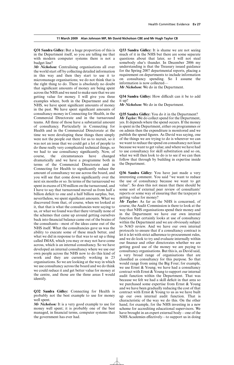**Q31 Sandra Gidley:** But a huge proportion of this is in the Department itself, so you are telling me that with modern computer systems there is not a budget line?

*Mr Nicholson:* Centralising organisations all over the world start off by collecting detailed information in this way and then they start to use it to micromanage organisations; we do not think that is the right thing to do. There is absolutely no doubt that significant amounts of money are being spent across the NHS and we need to make sure that we are getting value for money. I will give you three examples where, both in the Department and the NHS, we have spent significant amounts of money in the past. We have spent significant amounts of consultancy money in Connecting for Health, in the Commercial Directorate and in the turnaround teams. All three of those have a substantial amount of consultancy. Particularly in Connecting for Health and in the Commercial Directorate at the time we were developing these things there simply were not the people out there for us to recruit, so it was not an issue that we could get a lot of people to do these really very complicated technical things, so we had to use consultancy significantly. Now, of course, the circumstances have changed dramatically and we have a programme both in terms of the Commercial Directorate and in Connecting for Health to significantly reduce the amount of consultancy we use across the board, and you will see that come down significantly over the next six months or so. In terms of the turnaround we spent in excess of £50 million on the turnaround, and I have to say that turnaround moved us from half a billion deficit to one and a half billion surplus, but, nevertheless, we spent significant amounts. What we discovered from that, of course, when we looked at it, that that is what the consultancies were saying to us, or what we found was that there virtually none of the schemes that came up around getting ourselves back into financial balance came out of the brains of the consultants—most of the ideas came out of the NHS itself. What the consultancies gave us was the ability to execute some of these much better, and what we did in response to that was to set up a thing called IMAS, which you may or may not have come across, which is an internal consultancy. So we have developed an internal consultancy where we use our own people across the NHS now to do this kind of work and they are currently working in 23 organisations. So we are looking at the way in which we use consultancy across the board and we do think we could reduce it and get better value for money at the centre, and those are the three areas I would identify.

**Q32 Sandra Gidley:** Connecting for Health is probably not the best example to use for money well spent.

*Mr Nicholson:* It is a very good example to use for money well spent; it is probably one of the best managed, in financial terms, computer systems that the government has ever had.

**Q33 Sandra Gidley:** It is shame we are not seeing much of it in the NHS but there are some separate questions about that later, so I will not steal somebody else's thunder. In December 2006 my understanding is that the Treasury issued guidance for the Spring 2007 departmental reports, placing a requirement on departments to include information on consultancy spending. So I assume the information is now collected—

*Mr Nicholson:* We do in the Department.

**Q34 Sandra Gidley:** How difficult can it be to add  $it$   $\ln 2$ 

*Mr Nicholson:* We do in the Department.

**Q35 Sandra Gidley:** You do it in the Department? *Mr Taylor:* We do collect spend for the Department. yes. It depends where the spend occurs. If the money is spent in the Department, either on programmes or on admin then the expenditure is monitored and we publish the spend figures. As David was saying, one of the things we are trying to do is wherever we can we want to reduce the spend on consultancy not least because we want to get value; and where we have had to use consultancy for skill substitution and so on, what we will then look to do is to see if we can then follow that through by building in expertise inside the Department.

**Q36 Sandra Gidley:** You have just made a very interesting comment. You said "we want to reduce the use of consultancy because we want to get value". So does this not mean that there should be some sort of external peer review of consultants' reports or some way of ensuring that the taxpayer is getting value for money?

*Mr Taylor:* As far as the NHS is concerned, of course, the Audit Commission is there to look at the way that NHS organisations spend their money and in the Department we have our own internal function that certainly looks at use of consultancy within the Department and we are obviously subject to NAO review. And we have our own internal protocols to ensure that if a consultancy contract is let it is let with strict adherence to procurement rules, and we do look to try and evaluate internally within our finance and other directorates whether we are getting good use of the money we are paying to consultancy organisations. But this is, as David said, a very broad range of organisations that are classified as consultancy for this purpose. So that would range from using the Big Four; for example, we use Ernst & Young; we have had a consultancy contract with Ernst & Young to support our internal audit function within the Department. That was because we felt we had a skill deficit in that area so we purchased some expertise from Ernst & Young and we have been gradually reducing the cost of that contract with Ernst & Young to us as we have built up our own internal audit function. That is characteristic of the way we do this. On the other hand, for example, for the NHS investing in a new scheme for accrediting educational supervisors. We have brought in an expert external body—one of the NHS Academies effectively—to support us in doing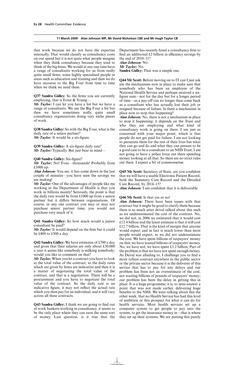that work because we do not have the expertise internally. That would classify as consultancy costs on our spend but it is not quite what people imagine when they think consultancy because they tend to think of the big firms. We would at any one time have a range of consultants working for us from really quite small firms, some highly specialised people in areas such as education and training and then we do have recourse to the Big Four from time to time when we think we need them.

**Q37 Sandra Gidley:** So the firms you are currently employing, that is Ernst & Young—

*Mr Taylor:* I can let you have a list but we have a range of consultants. We use the Big Four a bit but then we have sometimes really quite small consultancy organisations doing very niche pieces of work.

**Q38 Sandra Gidley:** So with the Big Four, what is the daily rate of a senior partner? *Mr Taylor:* It would be a six-figure.

**Q39 Sandra Gidley:** A six-figure daily rate? *Mr Taylor:* Typically. But just bear in mind—

# **Q40 Sandra Gidley:** Six-figure?

*Mr Taylor:* No! Four—thousands! Probably from £1000 up.

*Alan Johnson:* You see, it has come down in the last couple of minutes—you have seen the savings we are making!

*Mr Taylor:* One of the advantages of people like me working in the Department of Health is that you work in billions mainly! Seriously, the point is that the daily rate would be from £1000 up from a senior partner but it differs between organisations. Of course, in any one contract you may or may not purchase senior partner time; you would not purchase very much of it.

**Q41 Sandra Gidley:** So how much would a junior consultant be paid?

*Mr Taylor:* It would depend on the firm but it could be £400 to £500 a day.

**Q42 Sandra Gidley:** We have estimates of £700 a day and given that their salaries are only about £30,000 a year it seems like somebody is milking somebody; would you like to comment on that?

*Mr Taylor:* When you let a contract you have to look at the total value of the contract, so the daily rates which are given by firms are indicative and then it is a matter of negotiating the total value of the contract, and that is a negotiation. There will be a procurement and you have to negotiate the total value of the contract. So the daily rate is an indicative figure; it may not reflect the actual rate which you then pay for an individual, and it will vary across all these contracts.

**Q43 Sandra Gidley:** I think we are going to find out of work bankers working in consultancy; it seems to be the only place where they can earn the same sort of money. Last question: is it true that the Department has recently hired a consultancy firm to find an additional  $£2$  billion in efficiency savings by the end of 2010–11? *Alan Johnson:* No. *Mr Taylor:* No. **Sandra Gidley:** That was a simple one.

**Q44 Mr Scott:** Before moving on to IT can I just ask are the mechanisms now in place to make sure that somebody who has been an employee of the National Health Service and perhaps received a sixfigure sum—not for the day but for a longer period of time—as a pay-off can no longer then come back as a consultant who has actually lost their job or resigned because of failure. Is there a mechanism in place now to stop that happening?

*Alan Johnson:* No, there is not a mechanism in place to stop it happening; it depends on the Trust and who they are employing and what kind of consultancy work is going on there. I am just as concerned with your major point, which is that people do not get paid for failure. I am not looking to persecute them for the rest of their lives but what they can go and do and what they can present to be a good case to be a consultant to an NHS Trust, I am not going to have a police force out there spending money looking at all that. So there are no strict rules out there. I expect a bit of commonsense.

**Q45 Mr Scott:** Secretary of State, are you confident that we will have a usable Electronic Patient Record, both the Summary Care Record and the Detailed Care Record, by 2014–15?

*Alan Johnson:* I am confident that it is deliverable.

# **Q46 Mr Scott:** Is that yes or no!

*Alan Johnson:* There have been issues with that contract but it might be good to clarify them because there is so much utter drivel talked about this such as we underestimated the cost of the contract. No, we did not, in 2006 we estimated that it would cost £12.4 billion and the latest estimate is that it will cost £12.7 billion. That is the kind of margin that anyone would expect and in fact is much lower than most people would expect; so we did not underestimate the cost. We have spent billions of taxpayers' money on this; we have wasted billions of taxpayers' money. No, we have not; we have spent £3.2 billion. Part of the problem is that we have not spent enough money. As David was alluding to, I challenge you to find a more robust contract anywhere in the public sector or the private sector because it is the deliverer of this service that has to pay for any delays and our problem has been not an overestimate of the cost, not wasting billions of pounds of taxpayers' money; our problem has been the delay in getting this in place. It is a huge programme; it is, to semi-answer a point that was not made earlier, delivering huge benefits to the NHS. We were talking about this the other week, that no Health Service has had this level of ambition or this prospect for what it can do for health services. Most health services set up a computer system to get people to pay into the system, to get the insurance money in—that is where they set up their systems. We are putting this purely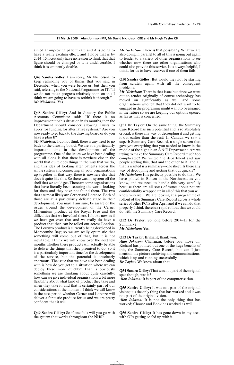aimed at improving patient care and it is going to have a really exciting effect, and I hope that is by 2014–15. I certainly have no reason to think that that figure should be changed or it is undeliverable. I think it is eminently doable.

**Q47 Sandra Gidley:** I am sorry, Mr Nicholson, to keep reminding you of things that you said in December when you were before us, but then you said, referring to the National Programme for IT: "If we do not make progress relatively soon on this I think we are going to have to rethink it through." *Mr Nicholson:* Yes.

**Q48 Sandra Gidley:** And in January the Public Accounts Committee said: "If there is no improvement to this situation in six months, then the Department should consider allowing Trusts to apply for funding for alternative systems." Are you now ready to go back to the drawing board or do you have a plan B?

*Mr Nicholson:* I do not think there is any need to go back to the drawing board. We are at a particularly important time in the development of the programme. One of the issues we have been dealing with all along is that there is nowhere else in the world that quite does things in the way that we do, and this idea of looking after patients across the whole system and connecting all your organisations up together in that way, there is nowhere else that does it quite like this. So there was no system off the shelf that we could get. There are some organisations that have literally been scouring the world looking for them and they have not found them. The two that are most likely are Cerner and Lorenzo. Both of those are at a particularly delicate stage in their development. You may, I am sure, be aware of the issues around the development of the Cerner Millennium product at the Royal Free and the difficulties that we have had there. It looks now as if we have got over that and we really do have a product that then can be rolled out across London. The Lorenzo product is currently being developed in Morecombe Bay; so we are really optimistic that something will come out of that, but it is not inevitable. I think we will know over the next few months whether these products will actually be able to deliver the things that they promised to do. So it is a particularly important time for the development of the service, but the potential is absolutely enormous. The issue that we have also been dealing with is how do you get to a situation where we can deploy these more quickly? That is obviously something we are thinking about quite carefully: how can we give individual organisations a bit more flexibility about what kind of product they take and when they take it, and that is certainly part of our considerations at the moment. I think we will know in the next period whether Cerner and Lorenzo will deliver a fantastic produce for us and we are pretty confident that it will.

**Q49 Sandra Gidley:** So if one fails will you go with the system that works throughout the NHS?

*Mr Nicholson:* There is that possibility. What we are also doing in parallel to all of this is going out again to tender to a variety of other organisations to see whether now there are other organisations who could also provide this service. It is always helpful, I think, for us to have reserves if one of them fails.

**Q50 Sandra Gidley:** But would they not be starting from scratch again with all the consequent problems?

*Mr Nicholson:* There is that issue but since we went out to tender originally of course technology has moved on significantly as well and some organisations who felt that they did not want to be engaged in the programme might want to be engaged in the future so we are keeping our options opened as far as that is concerned.

**Q51 Dr Taylor:** On the same thing, the Summary Care Record has such potential and is so absolutely crucial, is there any way of decoupling it and getting it out earlier than the rest? In Canada we saw a superb Summary Care Record, a single screen that gave you everything that you needed to know in the middle of the night in an A & E Department. Are we trying to make the Summary Care Record much too complicated? We visited the department and saw people adding this, that and the other to it, and all that is wanted is a summary—one sheet. Is there any way of decoupling and getting that out quickly?

*Mr Nicholson:* It is perfectly possible to do that. We have piloted in Bolton in the Northwest, as you know, and we need to handle this very carefully because there are all sorts of issues about patient confidentiality wrapped up in all of this that you will know very well. We are looking at a programme of rollout of the Summary Care Record across a whole series of other PCTs after April and if we can do that properly I think there is a rapid rollout that we could do with the Summary Care Record.

**Q52 Dr Taylor:** So long before 2014–15 for the Summary?

*Mr Nicholson:* Yes.

**Q53 Dr Taylor:** Brilliant; thank you.

*Alan Johnson:* Chairman, before you move on. Richard has pointed out one of the huge benefits of this, the Summary Care Record, but can I just mention the picture archiving and communications, which is up and running successfully. *Dr Taylor:* We know about that.

**Q54 Sandra Gidley:** That was not part of the original spec though, was it?

*Alan Johnson:* It is part of the computerisation.

**Q55 Sandra Gidley:** It was not part of the original vision; it is the only thing that has worked and it was not part of the original vision.

*Alan Johnson:* It is not the only thing that has worked; Choose and Book has worked as well.

**Q56 Sandra Gidley:** It has gone down in my area, with GPs getting so fed up with it.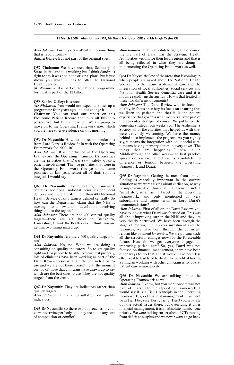*Alan Johnson:* I merely draw attention to something that is revolutionary.

**Sandra Gidley:** But not part of the original spec.

**Q57 Chairman:** We have seen that, Secretary of State, in situ and it is working but I think Sandra is right to say it was not in the original plans, but it just shows you what IT has to offer the National Health Service

*Mr Nicholson:* It is part of the national programme for IT; it is part of the 12 billion.

## **Q58 Sandra Gidley:** It is now.

*Mr Nicholson:* You would not expect us to set up a programme four years ago and not change it.

**Chairman:** You can read our report on this Electronic Patient Record that puts all this into perspective, but let us move on. We are going to move on to the Operating Framework now, which you are here to give evidence on this morning.

**Q59 Dr Naysmith:** How do the recommendations from Lord Darzi's Review fit in with the Operating Framework for 2009–10?

*Alan Johnson:* It is intertwined in the Operating Framework; the Operating Framework's priorities are the priorities that Darzi saw—safety, quality, patient involvement. The five priorities that were in the Operating Framework this year, the same priorities as last year, reflect all of that; so it is integral, I would say.

**Q60 Dr Naysmith:** The Operating Framework contains additional national priorities for local delivery and there are still more than 400 National Health Service quality targets defined centrally. So how can the Department claim that the NHS is moving into a new era of devolution, devolving things out to the regions?

*Alan Johnson:* There are not 400 central quality targets—there are 400 holes in Blackburn, Lancashire, I think the Beatles said. I think you are getting two things mixed up.

**Q61 Dr Naysmith:** Are there 400 quality targets or not?

*Alan Johnson:* No, no. What we are doing is consulting on quality indicators. So to get quality right and for people to be able to measure it properly, lots of clinicians have been working as part of the Darzi Review to say what are the best indicators to use and we are out there consulting at the moment on 400 of those that clinicians have drawn up to say which are the best ones to use. They are not quality targets from the centre.

**Q62 Dr Naysmith:** They are indicators rather than quality targets.

*Alan Johnson:* It is a consultation on quality indicators.

**Q63 Dr Naysmith:** So these two approaches in your view intertwine perfectly and they are not in any sort of competition or conflict?

*Alan Johnson:* That is absolutely right, and of course the big part of Darzi was the Strategic Health Authorities' visions for their local regions and that is all being reflected in what they are doing in implementing the Operating Framework as well.

**Q64 Dr Naysmith:** One of the areas that is coming up when people are asked about the National Health Service into the future is dementia care and the integration of local authorities, social services and National Health Service dementia care and it is moving rapidly up the agenda. How is that treated in these two different documents?

*Alan Johnson:* The Darzi Review with its focus on quality, its focus on safety, its focus on ensuring that we listen to patients and that it is the patient experience that governs what we do is a large part of the dementia strategy, of course. We published the dementia strategy four weeks ago. The Alzheimer's Society, all of the charities that helped us with that were extremely welcoming. We have the money behind it to implement the projects. As you rightly say, it means the integration with adult social care; it means having memory clinics in every town. The things that are happening—I saw it in Middlesbrough the other week—the best practice spread everywhere, and there is absolutely no difference or tension between the Operating Framework and Darzi.

**Q65 Dr Naysmith:** Getting the most from limited funding is especially important in the current situation as we were talking about earlier on, so why is improvement of financial management not a "must do", ie a Tier 1 target in the Operating Framework, and only mentioned in very subordinate and vague terms in Lord Darzi's recommendations?

*Alan Johnson:* First of all on the Darzi Review, you have to look at what Darzi was focused on. This was all about improving care in the NHS and they are very clearly portrayed. We have been through the stage of putting in the extra investment and the resources; we have been through the consistent reform like payment by results. We are putting aside all the structural changes now for the foreseeable future. How do we get everyone engaged in improving patient care? So, yes, Darzi was not focused on financial management, there have been other ways to do that and it would have been less effective if he had tried to do it. The benefit of having a clinician working with other clinicians is to look at patient care remorselessly.

**Q66 Dr Naysmith:** We are talking about the Operating Framework as well.

*Alan Johnson:* I know, but you mentioned it was not part of Darzi. On the Operating Framework, I would say it is a Tier 1 principle in the Operating Framework, good financial management. It will not be in Tier 1 because Tier 1, Tier 2, Tier 3 you separate out the actual issues there, but overriding it all is financial management; it is an absolute number one priority. We were talking earlier about PCTs moving from deficit to surplus and we never want to go back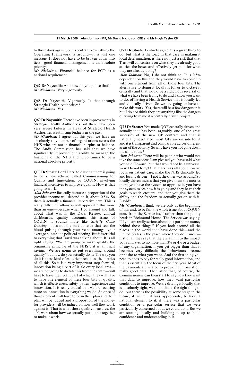to those days again. So it is central to everything the Operating Framework is around—it is just one message. It does not have to be broken down into tiers—good financial management is an absolute priority.

*Mr Nicholson:* Financial balance for PCTs is a national requirement.

**Q67 Dr Naysmith:** And how do you police that? *Mr Nicholson:* Very vigorously.

**Q68 Dr Naysmith:** Vigorously. Is that through Strategic Health Authorities? *Mr Nicholson:* Yes.

**Q69 Dr Naysmith:** There have been improvements in Strategic Health Authorities but there have been very severe failures in areas of Strategic Health Authorities scrutinising budgets in the past.

*Mr Nicholson:* I agree but this year we have an absolutely tiny number of organisations across the NHS who are not in financial surplus or balance. The Audit Commission has said that we have significantly improved our ability to manage the financing of the NHS and it continues to be a national absolute priority.

**Q70 Dr Stoate:** Lord Darzi told us that there is going to be a new scheme called Commissioning for Quality and Innovation, or CQUIN, involving financial incentives to improve quality. How is that going to work?

*Alan Johnson:* Basically because a proportion of the provider income will depend on it, about 0.5%. So there is actually a financial imperative here. This is really difficult stuff—you will appreciate this more than anyone—because when I go around and talk about what was in the Darzi Review, clinical dashboards, quality accounts, this issue of CQUIN—it sounds more like *Strictly Come Dancing*!—it is not the sort of issue that sets the blood pulsing through your veins amongst your average punter at a political meeting. But it is crucial to everything that Darzi was talking about. It is all right saying, "We are going to make quality the organising principle of the NHS"; it is all right saying, "We are going to put everything around quality" but how do you actually do it? The way you do it is these kind of esoteric mechanics, the metrics of all this. So it is a very important step forward, innovation being a part of it. So every local area we are not going to dictate this from the centre—will have to have their plan, part of which they will have to have one element of these four bits of quality, which is effectiveness, safety, patient experience and innovation. It is really crucial that we are focusing more on innovation in everything we do. So once of those elements will have to be in their plan and their plan will be judged and a proportion of the money for providers will be judged on how well they work against it. That is what those quality measures, the 400, were about how we actually put all this together to make it work.

**Q71 Dr Stoate:** I entirely agree it is a great thing to do, but what is the logic in that case in making it local determination; is there not just a risk that that Trust will concentrate on what they are already good at, tick the boxes and effectively get paid for what they are already doing?

*Alan Johnson:* No, I do not think so. It is 0.5% dependent on this and they would have to come up with one element from all of those four bits. The alternative to doing it locally is for us to dictate it centrally and that would be a ridiculous reversal of what we have been trying to do and I know you want to do, of having a Health Service that is locally led and clinically driven. So we are going to have to make this work. Yes, there will be a few dangers in it but I do not think they are anything like the dangers of trying to make it a centrally driven project.

**Q72 Dr Stoate:** You made QOF centrally driven and actually that has been, arguably, one of the great successes of the new GP contract and that is nationally negotiated, most GPs are on side for it and it is transparent and comparable across different areas of the country. So why have you not gone down the same route?

*Alan Johnson:* There will be people who would not take the same view. I am pleased you have said what you said Howard, but that would not be a universal view. Do not forget that Darzi was all about how we focus on patient care, make the NHS clinically led and locally driven—I got it the other way around! So locally driven means that you give them the metrics there; you have the system to appraise it, you have the system to see how it is going and they have their goals to reach, etcetera, and then you give them the ability and the freedom to actually get on with it. David?

*Mr Nicholson:* I think we are only at the beginning of this and, to be fair, the whole issue about CQUIN came from the Service itself rather than the pointy heads in Richmond House. The Service was saying, "If you are really serious about this put some money behind these things." If you look around all the places in the world that have done this—and the United States is the place where they do it most first of all they say that there is a limit to the impact you can have, so no more than 3% or 4% or a budget of any organisation, if you get bigger than that it becomes very difficult; the behaviours become opposite to what you want. And the first thing you need to do is to pay for really good information, and that is essentially the focus of the first year. Most of the payments are related to providing information, really good data. Then after that, of course, the Commissioners can then start to say how they want that data to improve, how they want particular conditions to improve. We are driving it locally, that is absolutely right, we think that is the right thing to do, but there is the possibility at some stage in the future, if we felt it was appropriate, to have a national element to it; if there was a particular condition or a particular service that we were particularly concerned about we could do it. But we are starting locally and building it up to build confidence and understanding in it.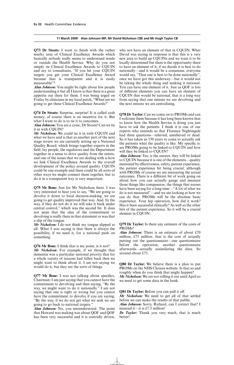**Q73 Dr Stoate:** I want to finish with the rather murky area of Clinical Excellence Awards which basically nobody really seems to understand inside or outside the Health Service. Why do you not simply tie Clinical Excellence Awards to CQUIN and say to consultants, "If you hit your CQUIN targets you get your Clinical Excellence Award because that is transparent and it is easily measurable"?

*Alan Johnson:* You might be right about few people understanding it but all I know is that there is a great appetite out there for them. I was being urged on Friday by clinicians in my local patch, "When are we going to get these Clinical Excellence Awards?"

**Q74 Dr Stoate:** Surprise, surprise! It is called cash money; of course there is an incentive for it. But what I want to do is to tie it to outcomes.

*Alan Johnson:* You are a cynic, Dr Stoate! Can we tie it in with CQUIN?

*Mr Nicholson:* We could tie it in with CQUIN and what we have said is that as another part of the next stage review we are currently setting up a National Quality Board, which brings together experts in the field, lay people, the regulators and the Department together in a sense to drive quality from the centre, and one of the issues that we are dealing with is how we link Clinical Excellence Awards to the overall development of the policy around quality. CQUIN could be one example and there could be all sorts of other ways we might connect them together, but to do it in a transparent way is very important.

**Q75 Mr Bone:** Just for Mr Nicholson there. I was very interested to hear you to say, "We are going to devolve it down to local decision-making; we are going to get quality improved that way. And, by the way, if they do not do it we will take it back under central control," which was the second bit. It does not seem that the idea of the commitment to devolving is really there in that statement or was that a slip of the tongue.

*Mr Nicholson:* I do not think my tongue slipped at all. What I was saying is that there is always the possibility, if we need it, for a national push on something.

**Q76 Mr Bone:** I think that is my point, is it not? *Mr Nicholson:* For example, if we thought that dementia was a particular national priority that for a whole variety of reasons had fallen back then we might want to think about it. I am not saying we would do it, but they are the sorts of things.

**Q77 Mr Bone:** I was not talking about specifics, Chairman; I am just saying that you cannot have the commitment to devolving and then saying, "By the way, we might want to do it nationally." I am not saying that one is right or wrong but you cannot have the commitment to devolve if you are saying, "By the way, if we do not get what we seek we are going to go back to national targets."

*Alan Johnson:* No, you misunderstood. The point that Howard was making was about QOF and QOF has been very successful and it is centrally driven, why not have an element of that in CQUIN. What David was saying in response is that this is a very new area to build up CQUINs and we want it to be locally determined but there is the opportunity there to have an element of it, if we decide it is best to do nationally—and it would be a consensus, everyone would say, "That one is best to be done nationally", once we have got this underway—but it would not be taking the whole thing and making it national. You can have one element of it. Just as QOF is lots of different elements you can have an element of CQUIN that would be national; that is a long way from saying that one minute we are devolving and the next minute we are centralising.

**Q78 Dr Taylor:** Can we come on to PROMs and can I welcome them because it has long been known that to know how the Health Service is doing you just have to ask the patients. I think it is one of our experts who reminds us that Florence Nightingale had three questions—relieved, unrelieved or dead. So it has taken us 150 years to come to actually ask the patients what the quality is like. My specific is: are PROMs going to be linked to CQUIN and how will they be linked to CQUIN?

*Alan Johnson:* Yes, is the answer, they will be linked to CQUIN because it is one of the elements—quality measured by effectiveness, safety, patient experience, the patient experience bit being crucial, although with PROMs of course we are measuring the actual outcomes. There is a different bit of work going on about how you can actually gauge and measure those things like compassion, the things that nurses have been saying for a long time—"A lot of what we do is not measured"—and we are looking at how we can do that. PROMs will be the absolute basic experience. Your hip operation, how did it work? Has it been successful clinically? As well as the other bits of the patient experience. So it will be a crucial element in CQUIN.

**Q79 Dr Taylor:** Is there any estimate of the costs of PROMs?

*Alan Johnson:* There is an estimate of about £70 million, £75 million; that is the cost of actually putting out the questionnaire—one questionnaire before the operation, another questionnaire afterwards—actually assimilating the data. So around about £75.

**Q80 Dr Taylor:** We believe there is a plan to put PROMs on the NHS Choices website. Is that so and roughly when do you think that might happen?

*Mr Nicholson:* We are not rolling it out until April so we need to get some data in the bank.

## **Q81 Dr Taylor:** Before you can pull it off.

*Mr Nicholson:* We need to get all of that settled before we can make the results of that public.

*Alan Johnson:* Sorry, Richard, can I correct that? I misread it—it is £7.5 million!

*Dr Taylor:* Thank you very much, that is much better!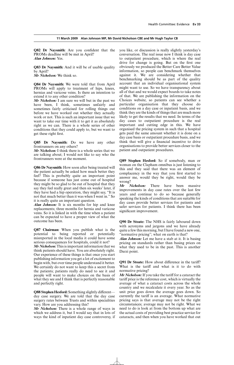**Q82 Dr Naysmith:** Are you confident that the PROMs deadline will be met in April? *Alan Johnson:* Yes.

**Q83 Dr Naysmith:** And it will be of usable quality by April?

*Mr Nicholson:* We think so.

**Q84 Dr Naysmith:** We were told that from April PROMs will apply to treatment of hips, knees, hernias and varicose veins. Is there an intention to extend it to any other condition?

*Mr Nicholson:* I am sure we will but in the past we have been, I think, sometimes unfairly and sometimes fairly criticised for rolling things out before we have worked out whether they actually work or not. This is such an important issue that we want to take our time with it to get it as absolutely right as we can. There is a whole series of other conditions that they could apply to, but we want to get these right first.

**Q85 Dr Naysmith:** Do we have any other frontrunners on any others?

*Mr Nicholson:* I think there is a whole series that we are talking about; I would not like to say who the frontrunners were at the moment.

**Q86 Dr Naysmith:** How soon after being treated will the patient actually be asked how much better they feel? This is probably quite an important point because if someone has just come out of hospital they might be so glad to be out of hospital that they say they feel really great and then six weeks' later, if they have had a hip operation, they might say, "It is not that much better than it was when I went in." So it is really quite an important question.

*Alan Johnson:* It is six months for hip and knee replacements; three months for hernia and varicose veins. So it is linked in with the time when a patient can be expected to have a proper view of what the outcome has been.

**Q87 Chairman:** When you publish what is the potential to being reported or potentially misreported in the local media it could have some serious consequences for hospitals, could it not?

*Mr Nicholson:* This is important information that we think patients should have. You are absolutely right. Our experience of these things is that once you start publishing information you get a lot of excitement to begin with, but over time people understand it better. We certainly do not want to keep this a secret from the patients; patients really do need to see it and people will want to make choices on the basis of what they see and I think that is perfectly reasonable and perfectly right.

Q88 Stephen Hesford: Something slightly differentday case surgery. We are told that the day case surgery rates between Trusts and within specialities vary. How are you addressing this?

*Mr Nicholson:* There is a whole range of ways in which we address it, but I would say that in lots of ways the kind of inpatient day case controversy, if you like, or discussion is really slightly yesterday's conversation. The real issue now I think is day case to outpatient procedure, which is where the real drive for change is going. But on the first one obviously we produced the Better Care Better Value information, so people can benchmark themselves against it. We are considering whether that benchmarking should be as part of the quality account that an individual organisational system might want to use. So we have transparency about all of that and we would expect boards to take notes of that. We are publishing the information on the Choices website, so patients can see whether a particular organisation that they choose do conditions on a day case or inpatient basis, and we think they are the kinds of things that are much more likely to get the results that we need. In terms of the day cases to outpatient procedure is the real important and cutting edge in this. We have organised the pricing system in such that a hospital gets paid the same amount whether it is done on a day case basis or outpatient procedure basis, and we think that will give a financial incentive to drive organisations to provide better services closer to the patient and outpatient procedures.

**Q89 Stephen Hesford:** So if somebody, man or woman on the Clapham omnibus is just listening to this and they said that there was an element of complacency in the way that you first started to answer me, would they be right, would they be wrong?

*Mr Nicholson:* There have been massive improvements in day case rates over the last few years and continue to do so because generally speaking the kinds of conditions that are suitable for day cases provide better services for patients and safer services for patients. I think there has been significant improvement.

**Q90 Dr Stoate:** The NHS is fairly laboured down with acronyms and jargons and we have already quite a few this morning, but I have found a new one, "normative pricing"; what on earth is that?

*Alan Johnson:* Let me have a stab at it. It is basing pricing on standards rather than basing prices on what they used to be in the past. This is another Darzi point.

Q91 Dr Stoate: How about difference in the tariff? What is the tariff and what is it to do with normative pricing?

*Mr Nicholson:* If you take the tariff for a cataract the tariff price is the reference cost, which is virtually the average of what a cataract costs across the whole country and we recalculate it every year. So as the unit price goes down the average goes down. So currently the tariff is an average. What normative pricing says is that average may not be the right circumstances; average may not be right. What we need to do is look at from the bottom up what are the actual costs of providing best practice service for cataracts, and then when you have worked that out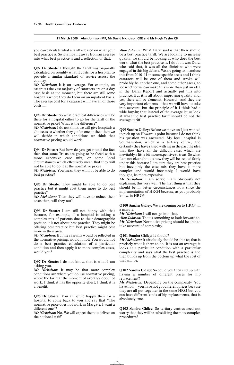you can calculate what a tariff is based on what your best practice is. So it is moving away from an average into what best practice is and a reflection of that.

**Q92 Dr Stoate:** I thought the tariff was originally calculated on roughly what it costs for a hospital to provide a similar standard of service across the country.

*Mr Nicholson:* It is an average. For example, on cataracts the vast majority of cataracts are on a day case basis at the moment, but there are still some hospitals where they do them on an inpatient basis. The average cost for a cataract will have all of those costs in.

**Q93 Dr Stoate:** So what practical differences will be there for a hospital either to go for the tariff or the normative price? What is the difference?

*Mr Nicholson:* I do not think we will give hospitals a choice as to whether they go for one or the other; we will decide in which conditions we think that normative pricing would work.

**Q94 Dr Stoate:** But how do you get round the fact then that some Trusts are going to be faced with a more expensive case mix, or some local circumstances which effectively mean that they will not be able to do it at the normative price?

*Mr Nicholson:* You mean they will not be able to do best practice?

**Q95 Dr Stoate:** They might be able to do best practice but it might cost them more to do best practice?

*Mr Nicholson:* Then they will have to reduce their costs then, will they not?

**Q96 Dr Stoate:** I am still not happy with that because, for example, if a hospital is taking a complex mix of patients due to their demographic position it is not about best practice. They might be offering best practice but best practice might cost more in their area.

*Mr Nicholson:* But the case mix would be reflected in the normative pricing, would it not? You would not do a best practice calculation of a particular condition and then apply it to more complex cases, would you?

**Q97 Dr Stoate:** I do not know, that is what I am asking you.

*Mr Nicholson:* It may be that more complex conditions are where you do use normative pricing, where the tariff at the moment of averages does not work. I think it has the opposite effect; I think it is a benefit.

**Q98 Dr Stoate:** You are quite happy then for a hospital to come back to you and say that "The normative price does not work in Margate, I want a different one"?

*Mr Nicholson:* No. We will expect them to deliver on the national tariff.

*Alan Johnson:* What Darzi said is that there should be a best practice tariff. We are looking to increase quality; we should be looking at who does the best work, what the best practice is. I doubt it was Darzi who said that, it was all the clinicians who were engaged in this big debate. We are going to introduce this from 2010–11 in some specific areas and I think cataracts will be one of them and stroke will probably be another one, and some other areas, to see whether we can make this more than just an idea in the Darzi Report and actually put this into practice. But it is all about improving quality and, yes, there will be elements, Howard—and they are very important elements—that we will have to take into account, but the principle of it I think had a wide buy-in; that instead of the average let us look at what the best practice tariff should be not the average tariff.

**Q99 Sandra Gidley:** Before we move on I just wanted to pick up on Howard's point because I do not think his question was answered. My local hospital is Southampton, which is a tertiary centre, and certainly they have raised with me in the past the idea that they have all the difficult cases which are inevitably a little bit more expensive to treat. So what I am not clear about is how they will be treated fairly under this because I am sure they are best practice but inevitably the case mix they have is more complex and would inevitably, I would have thought, be more expensive.

*Mr Nicholson:* I am sorry; I am obviously not explaining this very well. The first thing is that they should be in better circumstances now since the implementation of HRG4 because, as you probably know, in HRG3—

# **Q100 Sandra Gidley:** We are coming on to HRG4 in a minute.

*Mr Nicholson:* I will not go into that.

*Alan Johnson:* That is something to look forward to! *Mr Nicholson:* Normative pricing should be able to take account of complexity.

# **Q101 Sandra Gidley:** It should?

*Mr Nicholson:* It absolutely should be able to; that is precisely what is there to do. It is not an average; it looks at a particular condition with a particular complexity and says what the best practice is and then builds up from the bottom up what the cost of that will be.

**Q102 Sandra Gidley:** So could you then end up with having a number of different prices for hip replacement?

*Mr Nicholson:* Depending on the complexity. You have now—you have not got different prices because they are all put together in the same HRG but you can have different kinds of hip replacements, that is absolutely true.

**Q103 Sandra Gidley:** So tertiary centres need not worry that they will be subsidising the more complex procedures?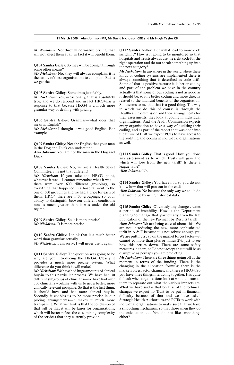*Mr Nicholson:* Not through normative pricing; that will not affect them at all, in fact it will benefit them.

**Q104 Sandra Gidley:** So they will be doing it through some other means?

*Mr Nicholson:* No, they will always complain, it is the nature of these organisations to complain. But as we get the—

**Q105 Sandra Gidley:** Sometimes justifiably.

*Mr Nicholson:* Yes, occasionally, that is absolutely true; and we do respond and in fact HRG4was a response to that because HRG4 is a much more granular way of dealing with pricing.

**Q106 Sandra Gidley:** Granular—what does that mean in English?

*Mr Nicholson:* I thought it was good English. For example—

**Q107 Sandra Gidley:** Not the English that your man in the Dog and Duck can understand.

*Alan Johnson:* You are not the man in the Dog and Duck!

**Q108 Sandra Gidley:** No, we are a Health Select Committee, it is not that different!

*Mr Nicholson:* If you take the HRG3 point, whatever it was—I cannot remember what it was there were over 600 different groupings, so everything that happened in a hospital went to the one of 600 groupings and we had a price for each of them. HRG4 there are 1400 groupings, so your ability to distinguish between different conditions now is much greater than it was under the old regime.

**Q109 Sandra Gidley:** So it is more precise? *Mr Nicholson:* It is more precise.

**Q110 Sandra Gidley:** I think that is a much better word than granular actually.

*Mr Nicholson:* I am sorry; I will never use it again!

**Q111 Sandra Gidley:** The question was going to be why are you introducing the HRG4. Clearly it provides a much more precise system. What difference do you think it will make?

*Mr Nicholson:* We have had huge amounts of clinical buy-in to this particular process. We have had 30 different subgroups of clinicians—we have had over 300 clinicians working with us to get a better, more clinically relevant grouping. So that is the first thing, it should have and has more clinical buy-in. Secondly, it enables us to be more precise in our pricing arrangements—it makes it much more transparent. What we think is that the conclusion of that will be that it will be fairer for organisations, which will better reflect the case mixing complexity of the services that they currently provide.

**Q112 Sandra Gidley:** But will it lead to more code switching? How is it going to be monitored so that hospitals and Trusts always use the right code for the right operation and do not sneak something up into the next category?

*Mr Nicholson:* In anywhere in the world where these kinds of coding systems are implemented there is always something that is described as code drift. Some of that is positive because it is better coding and part of the problem we have in the country actually is that some of our coding is not as good as it should be; so it is better coding and more directly related to the financial benefits of the organisation. So it seems to me that that is a good thing. The way in which we do this of course is through the Healthcare Commission and their arrangements for their assessments; they look at coding in individual organisations. And the Audit Commission expects every organisation to have a way of auditing their coding, and as part of the report that was done into the future of PBR we expect PCTs to have access to the auditing and coding in individual organisations as well.

**Q113 Sandra Gidley:** That is good. Have you done any assessment as to which Trusts will gain and which will lose from the new tariff? Is there a league table?

*Alan Johnson:* No.

**Q114 Sandra Gidley:** You have not, so you do not know how that will pan out in the end? *Alan Johnson:* No because the only way we could do that would be by using historical data.

**Q115 Sandra Gidley:** Obviously any change creates a period of instability. How is the Department planning to manage that, particularly given the late publication of the new Payment by Results tariff?

*Alan Johnson:* We are being careful about this. We are not introducing the new, more sophisticated tariff in  $A \& E$  because it is not robust enough yet. We are putting a cap on the market forces factor—it cannot go more than plus or minus  $2\%$ , just to see how this settles down. There are some safety measures in there, so I do not accept that it will be as disruptive as perhaps you are predicting.

*Mr Nicholson:* There are three things going off at the moment in terms of the funding. There is the changing in the allocation formula; there is the market forces factor changes; and there is HRG4. So you have three things interacting together. It is quite difficult when organisations look at what it means to them to separate out what the various impacts are. What we have said is that because of the technical changes we expect no Trust to be put in financial difficulty because of that and we have asked Strategic Health Authorities and PCTs to work with individual organisations to make sure that we have a smoothing mechanism, so that those when they do the calculation . . . You do not like smoothing, either?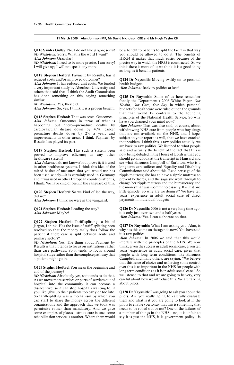**Q116 Sandra Gidley:** No, I do not like jargon; sorry! *Mr Nicholson:* Sorry. What is the word I want? *Alan Johnson:* Granular!

*Mr Nicholson:* I need to be more precise, I am sorry! I will give up; I will not speak any more!

**Q117 Stephen Hesford:** Payment by Results, has it reduced costs and/or improved outcomes?

*Alan Johnson:* It has reduced unit costs. We funded a very important study by Aberdeen University and others that said that. I think the Audit Commission has done something on this, saying something similar.

*Mr Nicholson:* Yes, they did.

*Alan Johnson:* So, yes, I think it is a proven benefit.

**Q118 Stephen Hesford:** That was costs. Outcomes.

*Alan Johnson:* Outcomes in terms of what is happening out there—premature deaths by cardiovascular disease down by 40%; cancer premature deaths down by 2% a year; and improvements in other areas. I think Payment by Results has played its part.

**Q119 Stephen Hesford:** Has such a system been proved to improve efficiency in any other healthcare system?

*Alan Johnson:*I do not know about prove it; it is used in other healthcare systems. I think this idea of the mixed basket of measures that you would use has been used widely—it is certainly used in Germany and it was used in other European countries after us, I think. We have kind of been in the vanguard of this.

**Q120 Stephen Hesford:** So we kind of led the way, did we?

*Alan Johnson:* I think we were in the vanguard.

**Q121 Stephen Hesford:** Leading the way? *Alan Johnson:* Maybe!

Q122 Stephen Hesford: Tariff-splitting—a bit of jargon, I think. Has the issue of tariff-splitting been resolved so that the money really does follow the patient if there care is split between acute and primary sectors?

*Mr Nicholson:* Yes. The thing about Payment by Results is that it tends to focus on institutions rather than care pathways. So it tends to focus around hospital stays rather than the complete pathway that a patient might go in.

**Q123 Stephen Hesford:** You mean the beginning and end of the journey?

*Mr Nicholson:* Absolutely, yes; so it tends to do that. As we move more services or parts of services out of hospital into the community it can become a disincentive; so it can stop hospitals wanting to, if you like, give up their patients too early or too late. So tariff-splitting was a mechanism by which you can start to share the money across the different organisations and the approach that we took was permissive rather than mandatory. And we gave some examples of places—stroke care is one, some rehabilitation service is another. Where there would be a benefit to patients to split the tariff in that way you should be allowed to do it. The benefits of HRG4 it makes that much easier because of the precise way in which the HRG is constructed. So we think there is more of it; we think it is a good thing as long as it benefits patients.

**Q124 Dr Naysmith:** Moving swiftly on to personal health budgets.

*Alan Johnson:* Back to politics at last!

**Q125 Dr Naysmith:** Some of us here remember fondly the Department's 2006 White Paper, *Our Health, Our Care, Our Say*, in which personal budgets for healthcare were ruled out on the grounds that that would be contrary to the founding principles of the National Health Service. So why have you changed your mind now?

*Alan Johnson:* That was also said, of course, about withdrawing NHS care from people who buy drugs that are not available on the NHS, and I hope, subject to your report as well, that we have cracked that problem. I think this is raw politics actually; we are back to raw politics. We listened to what people said and actually the benefit of the fact that this is now being debated in the House of Lords is that you should go and look at the transcript in Hansard and see what Baroness Campbell of Surbiton, who is a long term care sufferer and Equality and Disability Commissioner said about this. Read her saga of the ripple mattress; she has to have a ripple mattress to prevent bedsores, and the saga she went through to change her ripple mattress and the bureaucracy and the money that was spent unnecessarily. It is just one little episode. So why are we doing it? We have ten years' experience in adult social care of direct payments in individual budgets.

**Q126 Dr Naysmith:** 2006 is not a very long time ago; it is only just over two and a half years. *Alan Johnson:* Yes. I can elaborate on that.

**Q127 Dr Naysmith:** What I am asking you, Alan, is why has this come on the agenda now? You have said it is raw politics.

*Alan Johnson:* In 2006 we said that this would interfere with the principles of the NHS. We now think, given the success in adult social care, given ten years' experience in adult social care, given that people with long term conditions, like Baroness Campbell and many others, are saying, "We believe that this issue of choice and us having some control over this is as important in the NHS for people with long term conditions as it is in adult social care." So we listened to that and we are going to be very, very careful about how we introduce this. We are talking about pilots.

**Q128 Dr Naysmith:**I was going to ask you about the pilots. Are you really going to carefully evaluate them and what is it you are going to look at in the pilots to enable you to say that this is something that needs to be rolled out or not? One of the failures of a number of things in the NHS—no, it is unfair to say it is just the NHS, it is government policy—is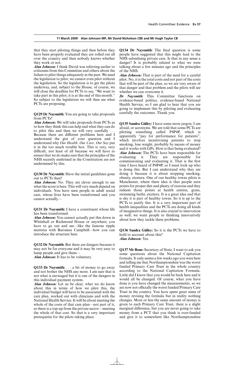that they start piloting things and then before they have been properly evaluated they are rolled out all over the country and then nobody knows whether they work or not.

*Alan Johnson:* I think David was referring earlier to criticisms from this Committee and others about the failure to pilot things adequately in the past. We need the legislation to pilot; we cannot even pilot without the legislation. So the legislation is to get the pilots underway, and, subject to the House, of course, we will close the deadline for PCTs to say, "We want to take part in this pilot; it is at the end of this month." So subject to the legislation we will then see what PCTs are proposing.

**Q129 Dr Naysmith:** You are going to take proposals from PCTs?

*Alan Johnson:* We will take proposals from PCTs as to how they think this can help and what they can do to pilot this and then we will very carefully . . . Because there are different problems here and I understand the gist of your question and I understand why *Our Health, Our Care, Our Say* put it in the too much trouble box. This is very, very difficult, not least of all because we will have to ensure that we do make sure that the principles of the NHS recently enshrined in the Constitution are not undermined by this.

**Q130 Dr Naysmith:** Have the initial guidelines gone out to PCTs then?

*Alan Johnson:* No. They are clever enough to see what the score is here. This will very much depend on individuals. You have seen people in adult social care, whose lives have been transformed and you cannot actually—

**Q131 Dr Naysmith:** I have a constituent whose life has been transformed.

*Alan Johnson:* You cannot actually put this down in Whitehall or Richmond House or anywhere; you have to go out and see—like the famous ripple mattress with Baroness Campbell—how you can introduce the structure here.

**Q132 Dr Naysmith:** But there are dangers because it may not be for everyone and it may be very easy to lump people and give them—

*Alan Johnson:* It has to be voluntary.

**Q133 Dr Naysmith:** . . . a bit of money to go away and not bother the NHS any more. I am sure that is not what is envisaged but it is one of the dangers in this individual payment system.

*Alan Johnson:* Let us be clear, what we do know about this in terms of how we pilot this, the individual budget will have to be associated with the care plan, worked out with clinicians and with the National Health Service. It will be about meeting the whole of the costs of that care plan—not part of it, so there is a top-up from the private sector—meeting the whole of that cost. So that is a very important prerequisite for the pilots taking place.

**Q134 Dr Naysmith:** The final question is some people have suggested that this might lead to the NHS subsidising private care. Is that in any sense a danger? It is probably related to what we were talking about a few minutes ago and the principles of the NHS.

*Alan Johnson:* That is part of the need for a careful pilot. No, it is the total costs and not part of the costs that will be part of the plan, so we are very aware of that danger and that problem and the pilots will see whether we can overcome it.

*Dr Naysmith:* This Committee functions on evidence-based politics, evidence-based National Health Service, so I am glad to hear that you are going to implement this by piloting and evaluating carefully the outcomes. Thank you.

**Q135 Sandra Gidley:** I have some more jargon, I am afraid, or acronyms. We are told that some PCTs are piloting something called P4P4P, which is apparently "pay for performance for patients", which involves incentivising patients to stop smoking, lose weight, probably by means of money and it works with GPs. How is that being evaluated? *Alan Johnson:* The PCTs have been responsible for evaluating it. They are responsible for commissioning and evaluating it. That is the first time I have heard of P4P4P, so I must look up who is doing this. But I can understand why they are doing it because it is about stopping smoking, obesity, etcetera. One of our healthy towns pilots is Manchester, where there idea is that people earn points for proper diet and plenty of exercise and they redeem those points at health centres, gyms, swimming baths, etcetera. It is a great idea and that is shy it is part of healthy towns. So it is up to the PCTs to justify this. It is a very important part of health inequalities and the PCTs are doing all kinds of imaginative things. It is also crucial to innovation as well; we want people to thinking innovatively about how they tackle these problems.

**Q136 Sandra Gidley:** So it is the PCTs we have to hold to account about this? *Alan Johnson:* Yes.

**Q137 Mr Bone:** Secretary of State, I want to ask you some questions about the National Capitation formula. It only seems a few weeks ago you were here and telling me that Northamptonshire was the worst funded Primary Care Trust in the whole country according to the National Capitation Formula. Little did I know that you would be back here and it would all be changed. Of course, what you have done is you have changed the measurements, so we are now not officially the worst funded Primary Care Trust in the country. You have spent great sums of money revising the formula but in reality nothing changes. More or less the same amount of money is given to each Primary Care Trust, there is a slight marginal difference, but you are never going to take money from a PCT that you think is over-funded and give it to somewhere like Northamptonshire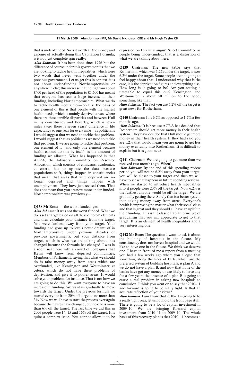that is under-funded. So is it worth all the money and expense of actually doing this Capitation Formula; is it not just complete spin really?

*Alan Johnson:* It has been done since 1976 but the difference of course under this government is that we are looking to tackle health inequalities, which were two words that never went together under the previous government. Let us get this in context: it is not about under-funding Northamptonshire or anywhere in else; this increase in funding from about £400 per head of the population to £1,600 has meant that everyone has seen a huge increase in their funding, including Northamptonshire. What we do to tackle health inequalities—because the basis of one element of this is that people with the highest health needs, which is mainly deprived areas, where there are these terrible disparities and between Hull in my constituency and Beverley, which is seven miles away, there is seven years' difference in life expectancy so one year for every mile—as politicians I would suggest that we need to tackle that problem. I would suggest that as politicians we need to tackle that problem. If we are going to tackle that problem, one element of it—and only one element because health cannot do this by itself—is the amount of funding we allocate. What has happened is that ACRA, the Advisory Committee on Resource Allocation, which consists of clinicians, academics, et cetera, has to up-rate the data because populations shift, things happen in constituencies that mean that areas that were deprived are no longer deprived and things happen with unemployment. They have just revised them. That does not mean that you are now more under-funded. Northamptonshire was previously—

# **Q138 Mr Bone:** — the worst funded, yes.

*Alan Johnson:* It was not the worst funded. What we do is set a target based on all these different elements and then calculate your distance from the target. You were furthest away from your target. Your funding had gone up to levels never dreamt of in Northamptonshire under previous decades or previous governments, but your distance from target, which is what we are talking about, has changed because the formula has changed. I was in a room near here with a crowd of colleagues that Kevin will know from deprived communities, Members of Parliament, saying that what we should do is take money away from areas which are overfunded, like Kensington and Westminster, et cetera, which do not have these problems of deprivation, and give it to poorer areas. It would solve your problem, for instance. That is not how we are going to do this. We want everyone to have an increase in funding. We want us gradually to move towards the target. Under the previous formula we moved everyone from 20% off target to no more than 3%. Now we will have to start the process over again because the figures have changed, but no one is more than  $6\%$  off the target. The last time we did this in 2006 people were 14, 15 and  $16\%$  off the target. It is quite a complex issue. You cannot allow it to be expressed on this very august Select Committee as people being under-funded; that is a distortion of what we are talking about here.

**Q139 Chairman:** The new table says that Rotherham, which was 1.2% under the target, is now 6.2% under the target. Some people are not going to feel happy about that. I understand why that is the case, it is the deprivation figures and everything else. How long is it going to be? Are you setting a timetable to equal this out? Kensington and Westminster is about 50 million to the good, something like that.

*Alan Johnson:* The fact you are 6.2% off the target is great news for Rotherham.

# **Q140 Chairman:** It is 6.2% as opposed to 1.2% a few months ago.

*Alan Johnson:* It is because ACRA has decided that Rotherham should get more money in their health system. They have decided that Hull should get more money in their health system. If they had said you are 1.2% that would mean you are going to get less money eventually into Rotherham. It is difficult to explain but it is good news.

**Q141 Chairman:** We are going to get more than we received two months ago. When?

*Alan Johnson:* By the end of this spending review period you will not be 6.2% away from your target, you will be closer to your target and then we will have to see what happens in future spending reviews. When we started to introduce health inequalities into it people were  $20\%$  off the target. Now 6.2% is the furthest anyone would be off the target. We are gradually getting there. Surely that is a better system than taking money away from areas. Everyone's health is improving no matter what their social class and that is great and they should all have an uplift in their funding. This is the classic Fabian principle of gradualism that you will appreciate to get to that target. It is an element of health inequalities and a very interesting one.

**Q142 Mr Bone:** The question I want to ask is about the building of hospitals in the future. My constituency does not have a hospital and we would like to have one in the future. We think we deserve one. I have in front of me a report from a meeting you had a few weeks ago where you alleged that something along the lines of PFIs, which are the preferred system of building hospitals, is plan A and we do not have a plan B, and now that none of the banks have got any money or are likely to have any for a few years the absence of a plan B is going to cause a real problem in taking new hospitals to conclusion. I think you went on to say that 2010–11 and forward is going to be really tight. Is that an accurate reflection of your views?

*Alan Johnson:*I am aware that 2010–11 is going to be a really tight year, let us not hold the front page stuff. There is going to be a lot of capital investment in 2009–10. We are bringing forward capital investment from 2010–11 to 2009–10. The whole basis of this recovery plan is that 2010–11 becomes a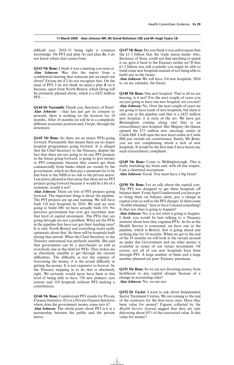difficult year. 2010–11 being tight is common knowledge. On PFI and plan As and plan Bs, I do not know where that comes from.

**Q143 Mr Bone:** I think it was a meeting you were at. *Alan Johnson:* Was this the report from a confidential meeting that someone put an email out about? Excuse me if I do not recognise that. On the issue of PFI, I do not think we need a plan B on it because, apart from North Bristol, which Doug will be extremely pleased about, which is a £425 million PFI—

**Q144 Dr Naysmith:** Thank you, Secretary of State! *Alan Johnson:* —that has just got its consent to proceed, there is nothing on the horizon for 18 months. After 18 months we will be in a completely different economic position and, I hope, through the downturn.

**Q145 Mr Bone:** So there are no major PFIs going forward. Presumably that means there are no major hospital programmes going forward. It is alleged that the Chief Secretary to the Treasury, despite the fact that there are not going to be any PFI projects in the future going forward, is going to give money to PFI companies, because they cannot get them commercially from banks which are owned by the government, which we then pay a premium for to be lent back to the NHS at no risk to the private sector. I am pretty pleased in that sense that there are no PFI projects going forward because it would be a bit of a nonsense, would it not?

*Alan Johnson:* There are lots of PFI projects going forward. The important thing is about the pipeline. The PFI projects are up and running. We will have built 110 new hospitals by 2010. We said we were going to build 100; we have actually built 110. No previous government has ever got anywhere near that level of capital investment. The PFIs that are going through are not a problem. What are the PFIs in the pipeline that have not got their funding rates? It is only North Bristol and everything looks really optimistic about that. So there will be hospitals built during that period. What the Chief Secretary to the Treasury announced was perfectly sensible. She said that government can be a part-funder as well as everybody else in this field for PFIs. That strikes me as absolutely sensible to get through the current difficulties. The difficulty is not the expense of borrowing the money, it is the actual difficulty in getting the money. It is not expensive to borrow. So the Treasury stepping in to do that is absolutely right. We certainly would never have been at this level of being able to have 750 new primary care centres and 110 hospitals without PFI making a contribution.

**Q146 Mr Bone:** I understand PFI stands for Private Finance Initiative. If it is a Private Finance Initiative where does the government money come into it?

*Alan Johnson:* The whole point about PFI is it is a partnership between the public and the private sector.

**Q147 Mr Bone:** Do you think it was unfortunate that the £1.3 billion that the trade union leader who, Secretary of State, could not find anything to spend it on, gave it back to the Treasury earlier on? If that £1.3 billion was still available you might be able to build some new hospitals instead of not being able to build any in the future.

*Alan Johnson:* We will have 110 new hospitals. 2010 is, on my calendar, the future.

**Q148 Mr Bone:** One new hospital. That is all we are hearing, is it not? For the next couple of years you are just going to have one new hospital, are you not? *Alan Johnson:* No. Over the next couple of years we are going to have loads of new hospitals, but there is only one in the pipeline and that is a £425 million new hospital, it is state of the art. We have got Birmingham coming along and that is an extraordinary new hospital. Her Majesty the Queen opened the £75 million new oncology centre in Castle Hill. I will open the new heart centre in Castle Hill just outside my constituency. Surely, Mr Bone, you are not complaining about a lack of new hospitals. It would be the first time I have heard any such extraordinary complaint.

**Q149 Mr Bone:** Come to Wellingborough. This is really stretching my brain and, with all due respect, I am a chartered accountant.

*Alan Johnson:* Good. You must have a big brain!

**Q150 Mr Bone:** Let us talk about the capital cost. The PFI was designed to get these hospitals off balance sheet. From April I understand you have got to bring them on balance sheet, pay a charge in capital costs as well as the PFI charges. Is there some "double whammy" here or have I missed something? Is that not what is going to happen?

*Alan Johnson:* No, it is not what is going to happen. I think you would be best talking to a Treasury minister about how they organise PFIs. As far as the Health Service is concerned, we have one in the pipeline, which is Bristol, that is going ahead and nothing else for 18 months. When we get to the end of the 18 months we will look at the terrain around us under this Government and see what money is available in terms of our future investment. Of course, not all of our new hospitals have been through PFI. A large number of them and a large number planned are pure Treasury purchases.

**Q151 Mr Bone:** So we are not diverting money from healthcare to pay capital charges because of a change in accounting rules?

*Alan Johnson:* No, we are not.

**Q152 Dr Taylor:** I want to ask about Independent Sector Treatment Centres. We are coming to the end of the contracts for the first-wave ones. Have they been value for money? Figures collected by the *Health Service Journal* suggest that they are only delivering about 85% of the contracted value. Is this value for money?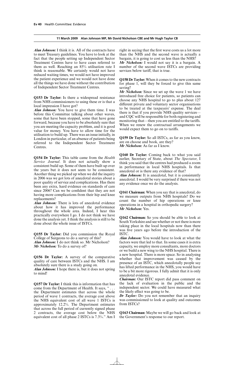*Alan Johnson:* I think it is. All of the contracts have to meet Treasury guidelines. You have to look at the fact that the people setting up Independent Sector Treatment Centres have to have cases referred to them as well. Reaching an 85% utilisation rate I think is reasonable. We certainly would not have reduced waiting times, we would not have improved the patient experience and we would not have done all the things we have done without the contribution of Independent Sector Treatment Centres.

**Q153 Dr Taylor:** Is there a widespread resistance from NHS commissioners to using these or is that a local impression I have got?

*Alan Johnson:* You have to give them time. I was before this Committee talking about other waves, some that have been stopped, some that have gone forward, because you have to be absolutely sure that you are meeting the capacity problem, and it is good value for money. You have to allow time for the utilisation to build up. There was an issue initially, in London in particular, of an absence of patients being referred to the Independent Sector Treatment Centres.

**Q154 Dr Taylor:** This table came from the *Health Service Journal*. It does not actually show a consistent build up. Some of them have built up over the years but it does not seem to be consistent. Another thing we picked up when we did the inquiry in 2006 was we got lots of anecdotal stories about a poor quality of service and complications. Has there been any extra, hard evidence on standards of care since 2006? Can we be confident that they are not having more complications from their hip and knee replacements?

*Alan Johnson:* There is lots of anecdotal evidence about how it has improved the performance throughout the whole area. Indeed, I hear this practically everywhere I go. I do not think we have done the analysis yet. I think the analysis is still to be done about the whole issue of ISTCs.

**Q155 Dr Taylor:** Did you commission the Royal College of Surgeons to do a survey of this? *Alan Johnson:* I do not think so. Mr Nicholson? *Mr Nicholson:* To do a survey of?

**Q156 Dr Taylor:** A survey of the comparative quality of care between ISTCs and the NHS. I am absolutely sure there is a study going on. *Alan Johnson:* I hope there is, but it does not spring to mind!

**Q157 Dr Taylor:** I think this is information that has come from the Department of Health. It says, " . . . the Department estimates that across the whole period of wave 1 contracts, the average cost above the NHS equivalent cost of all wave 1 ISTCs is approximately 12.2%. The Department estimates that across the full period of currently signed phase 2 contracts, the average cost below the NHS equivalent cost of all phase 2 ISTCs is 7.3%." Am I right in saying that the first wave costs us a lot more than the NHS and the second wave is actually a bargain, it is going to cost us less than the NHS?

*Mr Nicholson:* I would not say it is a bargain. A number of the second wave ISTCs are providing services below tariff, that is true.

**Q158 Dr Taylor:** When it comes to the new contracts for phase 1, will they be forced to give this same saving?

*Mr Nicholson:* Since we set up the wave 1 we have introduced free choice for patients, so patients can choose any NHS hospital to go to plus about 127 different private and voluntary sector organisations to be treated at the taxpayers' expense. The deal there is that if you provide NHS quality services and CQC will be responsible for both registering and monitoring that—then you are entitled to the tariffs. When we renew the contractual arrangements we would expect them to go on to tariffs.

**Q159 Dr Taylor:** So all ISTCs, as far as you know, are on choose and book, are they? *Mr Nicholson:* As far as I know.

**Q160 Dr Taylor:** Coming back to what you said earlier, Secretary of State, about *The Spectator*, I think you said that the centres had produced a zoom in performance in local NHS hospitals. Is that anecdotal or is there any evidence of that?

*Alan Johnson:* It is anecdotal, but it is consistently anecdotal. I would be very surprised if there was not any evidence once we do the analysis.

**Q161 Chairman:** When you say that is anecdotal, do we measure outputs from NHS hospitals? Do we count the number of hip operations or knee operations in a hospital in orthopedic surgery? *Mr Nicholson:* Yes.

**Q162 Chairman:** So you should be able to look at South Yorkshire and see whether or not there is more taking place in the local hospitals now than there was five years ago before the introduction of the ISTC.

*Alan Johnson:* You would have to look at what the factors were that led to that. In some cases it is extra capacity, we employ more consultants, more doctors or we build a new wing to the NHS hospital. There is a new hospital. There is more space. So in analysing whether that improvement was caused by the presence of an ISTC, which anecdotally people say has lifted performance in the NHS, you would have to be a bit more rigorous. I fully admit that it is only anecdotal evidence.

*Chairman:* Our ISTC report did pass comment on the lack of evaluation in the public and the independent sector. We could have measured what the likely effect was going to be.

*Dr Taylor:* Do you not remember that an inquiry was commissioned to look at quality and outcomes from ISTCs?

**Q163 Chairman:** Maybe we will go back and look at the Government's response to our report.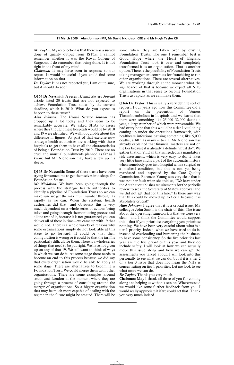*Mr Taylor:* My recollection is that there was a survey done of quality output from ISTCs. I cannot remember whether it was the Royal College of Surgeons. I do remember that being done. It is not right in the front of my mind.

*Chairman:* It may have been in response to our report. It would be useful if you could find some information on that.

*Dr Taylor:* It has not reported yet, I am quite sure, but it should do soon.

**Q164 Dr Naysmith:** A recent *Health Service Journal* article listed 20 trusts that are not expected to achieve Foundation Trust status by the current deadline, which is 2010. What do you expect to happen to these trusts?

*Alan Johnson:* The *Health Service Journal* has cropped up a lot today and they seem to be remarkably accurate. We asked SHAs to assess where they thought these hospitals would be by 2010 and 19 were identified. We will not quibble about the difference in figures. As part of that exercise now strategic health authorities are working with those hospitals to get them to have all the characteristics of being a Foundation Trust by 2010. There are no cruel and unusual punishments planned as far as I know, but Mr Nicholson may have a few up his sleeve.

**Q165 Dr Naysmith:** Some of these trusts have been trying for some time to get themselves into shape for Foundation Status.

*Mr Nicholson:* We have been going through the process with the strategic health authorities to identify a pipeline of Foundation Trusts so we can make sure we get the maximum number through as rapidly as we can. When the strategic health authorities did that—and obviously this is very much dependent on a whole series of actions being taken and going through the monitoring process and all the rest of it, because it is not guaranteed you can deliver all of these in time—we came up with 19 that would not. There is a whole variety of reasons why some organisations simply do not look able at this stage to go forward. It could be that their configuration is wrong or it could be that the tariff is particularly difficult for them. There is a whole series of things that need to be put right. We have not given up on any of that 19. We still want to think of ways in which we can do it. At some stage there needs to become an end to this process because we did say that every organisation would be able to apply at some stage. There are alternatives to becoming a Foundation Trust. We could merge them with other organisations. There are some examples around south-east London at the moment where they are going through a process of consulting around the merger of organisations. So a bigger organisation that may be much more capable of dealing with the regime in the future might be created. There will be some where they are taken over by existing Foundation Trusts. The one I remember best is Good Hope where the Heart of England Foundation Trust took it over and completely transformed it as an organisation. That is another option. There is the possibility of Foundation Trusts taking management contracts for franchising to run other organisations. There are several alternatives. We are working through at the moment what the significance of that is because we expect all NHS organisations in that sense to become Foundation Trusts as rapidly as we can make them.

**Q166 Dr Taylor:** This is really a very definite sort of request. Four years ago now this Committee did a report on the prevention of Venous Thromboembolism in hospitals and we learnt that there were something like 25,000–32,000 deaths a year, a large number of which were preventable. We had every hope that this would be a tier 1 vital thing coming up under the operations framework, with healthcare infections causing something like 5,000 deaths, a fifth as many is tier 1. Mr Nicholson has already explained that financial matters are not on the tier because it is already a definite "must do". We gather that on VTE all that is needed is a mandatory risk assessment, which is very easy to do, it takes very little time and is a part of the automatic history when somebody goes into hospital with a surgical or a medical condition, but this is not yet being mandated and inspected by the Care Quality Commission. Baroness Young was very clear that it was not her fault when she told us, "We have under the Act that establishes requirements for the periodic review to seek the Secretary of State's approval and we did not get that for this line." Is there any way that this could be moved up to tier 1 because it is absolutely crucial?

*Alan Johnson:* I agree that it is a crucial issue. My colleague John Smith is the chair of this. The issue about the operating framework is that we were very clear—and I think the Committee would support this—that if you prioritise everything you prioritise nothing. We have been very careful about what is a tier 1 priority. Indeed, what we have tried to do is, instead of overloading and burdening the business, to have some consistency. So the five priorities last year are the five priorities this year and they do include safety. I will look at how we can actually move this issue along and how we can get the assessments you talked about. I will look into this personally to see what we can do, but if it is a tier 2 or a tier 3 issue that does not mean the NHS is concentrating on tier 1 priorities. Let me look to see what more we can do.

*Dr Taylor:* Thank you very much.

**Chairman:** May I thank all three of you for coming along and helping us with this session. Where we said we would like some further feedback from you, I would really appreciate it if we could get that. Thank you very much indeed.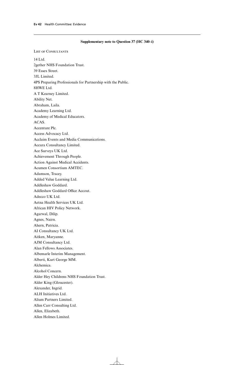# **Supplementary note to Question 37 (HC 340–i)**

List of Consultants 14 Ltd. 2gether NHS Foundation Trust. 39 Essex Street. 3JL Limited. 4PS Preparing Professionals for Partnership with the Public. 8HWE Ltd. A T Kearney Limited. Ability Net. Abraham, Laila. Academy Learning Ltd. Academy of Medical Educators. ACAS. Accenture Plc. Access Advocacy Ltd. Acclaim Events and Media Communications. Accura Consultancy Limited. Ace Surveys UK Ltd. Achievement Through People. Action Against Medical Accidents. Acumen Consortium AMTEC. Adamson, Tracey. Added Value Learning Ltd. Addleshaw Goddard. Addleshaw Goddard Office Accout. Adecco UK Ltd. Aetna Health Services UK Ltd. African HIV Policy Network. Agarwal, Dilip. Agnes, Nairn. Ahern, Patricia. AI Consultancy UK Ltd. Aitken, Maryanne. AJM Consultancy Ltd. Alan Fellows Associates. Albemarle Interim Management. Alberti, Kurt George MM. Alchemica. Alcohol Concern. Alder Hey Childrens NHS Foundation Trust. Alder King (Gloucester). Alexander, Ingrid. ALH Initiatives Ltd. Alium Partners Limited. Allen Carr Consulting Ltd. Allen, Elizabeth. Allen Holmes Limited.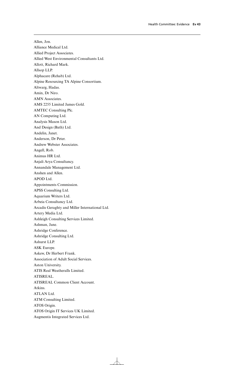Allen, Jon. Alliance Medical Ltd. Allied Project Associates. Allied West Environmental Consultants Ltd. Allott, Richard Mark. Allsop LLP. Alphacare (Rehab) Ltd. Alpine Resourcing TA Alpine Consortium. Altwarg, Hadas. Amin, Dr Niro. AMN Associates. AMS 2255 Limited James Gold. AMTEC Consulting Plc. AN Computing Ltd. Analysis Mason Ltd. And Design (Bath) Ltd. Andelin, Janet. Anderson, Dr Peter. Andrew Webster Associates. Angell, Rob. Animus HR Ltd. Anjali Arya Consultancy. Annandale Management Ltd. Anshen and Allen. APOD Ltd. Appointments Commission. APSS Consulting Ltd. Aquarium Writers Ltd. Arbeia Consultancy Ltd. Arcadis Geraghty and Miller International Ltd. Artery Media Ltd. Ashleigh Consulting Services Limited. Ashman, Jane. Ashridge Conference. Ashridge Consulting Ltd. Ashurst LLP. ASK Europe. Askew, Dr Herbert Frank. Association of Adult Social Services. Aston University. ATIS Real Weatheralls Limited. ATISREAL. ATISREAL Common Client Account. Atkins. ATLAN Ltd. ATM Consulting Limited. ATOS Origin. ATOS Origin IT Services UK Limited. Augmentis Integrated Services Ltd.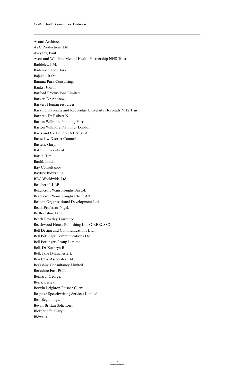Avanti Architects. AVC Productions Ltd. Aveyard, Paul. Avon and Wiltshire Mental Health Partnership NHS Trust. Baddeley, J M. Badenoch and Clark. Bajekal, Rahul. Banana Park Consulting. Banks, Judith. Barford Productions Limited. Barker, Dr Andrew. Barkers Human resources. Barking Havering and Redbridge University Hospitals NHS Trust. Barnett, Dr Robert N. Barton Willmore Planning Part. Barton Willmore Planning (London. Barts and the London NHS Trust. Bassetlaw District Council. Bassett, Gary. Bath, University of. Battle, Tim. Bauld, Linda. Bay Consultancy. Baytree Bidwriting. BBC Worldwide Ltd. Beachcroft LLP. Beachcroft Wansbroughs Bristol. Beachcroft Wansbroughs Client A/C. Beacon Organisational Development Ltd. Beail, Professor Nigel. Bedfordshire PCT. Beech Beverley Lawrence. Beechwood House Publishing Ltd SCBEECSSO. Bell Design and Communications Ltd. Bell Pottinger Communications Ltd. Bell Pottinger Group Limited. Bell, Dr Kathryn R. Bell, Jane (Manchester). Ben Cave Associates Ltd. Berkshire Consultancy Limited. Berkshire East PCT. Bernard, George. Berry, Lesley. Berwin Leighton Paisner Client. Bespoke Speechwriting Services Limited. Best Beginnings. Bevan Brittan Solicitors. Bickerstaffe, Gary. Bidwells.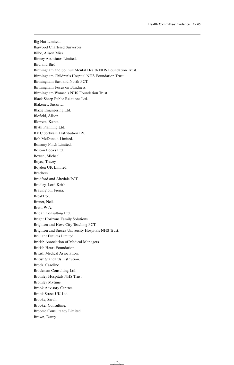Big Hat Limited. Bigwood Chartered Surveyors. Bilbe, Alison Miss. Binney Associates Limited. Bird and Bird. Birmingham and Solihull Mental Health NHS Foundation Trust. Birmingham Children's Hospital NHS Foundation Trust. Birmingham East and North PCT. Birmingham Focus on Blindness. Birmingham Women's NHS Foundation Trust. Black Sheep Public Relations Ltd. Blakeney, Susan L. Blazie Engineering Ltd. Blofield, Alison. Blowers, Karen. Blyth Planning Ltd. BMC Software Distribution BV. Bob McDonald Limited. Bonamy Finch Limited. Boston Books Ltd. Bowen, Michael. Boyce, Tracey. Boyden UK Limited. Brachers. Bradford and Airedale PCT. Bradley, Lord Keith. Bravington, Fiona. Breakfree. Brener, Neil. Brett, W A. Bridan Consulting Ltd. Bright Horizons Family Solutions. Brighton and Hove City Teaching PCT. Brighton and Sussex University Hospitals NHS Trust. Brilliant Futures Limited. British Association of Medical Managers. British Heart Foundation. British Medical Association. British Standards Institution. Brock, Caroline. Brockman Consulting Ltd. Bromley Hospitals NHS Trust. Bromley Mytime. Brook Advisory Centres. Brook Street UK Ltd. Brooke, Sarah. Brooker Consulting. Broome Consultancy Limited. Brown, Darcy.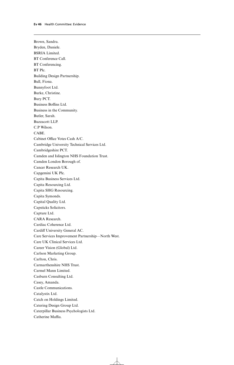Brown, Sandra. Bryden, Daniele. BSRIA Limited. BT Conference Call. BT Conferencing. BT Plc. Building Design Partnership. Bull, Fiona. Bunnyfoot Ltd. Burke, Christine. Bury PCT. Business Boffins Ltd. Business in the Community. Butler, Sarah. Buzzacott LLP. C.P Wilson. CABE. Cabinet Office Votes Cash A/C. Cambridge University Technical Services Ltd. Cambridgeshire PCT. Camden and Islington NHS Foundation Trust. Camden London Borough of. Cancer Research UK. Capgemini UK Plc. Capita Business Services Ltd. Capita Resourcing Ltd. Capita SHG Resourcing. Capita Symonds. Capital Quality Ltd. Capsticks Solicitors. Capture Ltd. CARA Research. Cardiac Coherence Ltd. Cardiff University General AC. Care Services Improvement Partnership—North West. Care UK Clinical Services Ltd. Career Vision (Global) Ltd. Carlson Marketing Group. Carlton, Chris. Carmarthenshire NHS Trust. Carmel Mann Limited. Casburn Consulting Ltd. Casey, Amanda. Castle Communications. Catalystix Ltd. Catch on Holdings Limited. Catering Design Group Ltd. Caterpillar Business Psychologists Ltd. Catherine Maffia.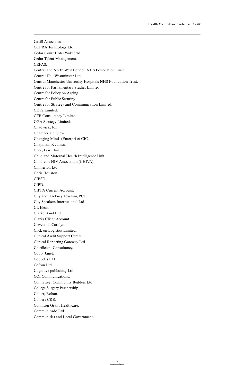Cavill Associates. CCFRA Technology Ltd. Cedar Court Hotel Wakefield. Cedar Talent Management. CEFAS. Central and North West London NHS Foundation Trust. Central Hall Westminster Ltd. Central Manchester University Hospitals NHS Foundation Trust. Centre for Parliamentary Studies Limited. Centre for Policy on Ageing. Centre for Public Scrutiny. Centre for Strategy and Communication Limited. CETS Limited. CFB Consultancy Limited. CGA Strategy Limited. Chadwick, Jon. Chamberlain, Steve. Changing Minds (Enterprise) CIC. Chapman, R James. Chee, Lew Chin. Child and Maternal Health Intelligence Unit. Children's HIV Association (CHIVA). Chimerion Ltd. Chris Houston. CIBSE. CIPD. CIPFA Current Account. City and Hackney Teaching PCT. City Speakers International Ltd. CL Ideas. Clarke Bond Ltd. Clarks Client Account. Cleveland, Carolyn. Click on Logistics Limited. Clinical Audit Support Centre. Clinical Reporting Gateway Ltd. Co.efficient Consultancy. Cobb, Janet. Cobbetts LLP. Cofton Ltd. Cognitive publishing Ltd. COI Communications. Coin Street Community Builders Ltd. College Surgery Partnership. Collier, Rohan. Colliers CRE. Collinson Grant Healthcare. Communicado Ltd. Communities and Local Government.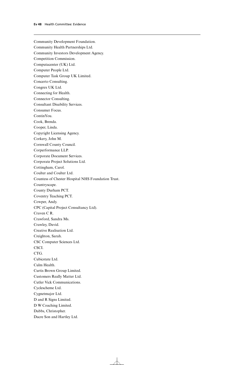Community Development Foundation. Community Health Partnerships Ltd. Community Investors Development Agency. Competition Commission. Computacenter (UK) Ltd. Computer People Ltd. Computer Task Group UK Limited. Concerto Consulting. Congrex UK Ltd. Connecting for Health. Connector Consulting. Consultant Disability Services. Consumer Focus. ContinYou. Cook, Brenda. Cooper, Linda. Copyright Licensing Agency. Corkery, John M. Cornwall County Council. Corperformance LLP. Corporate Document Services. Corporate Project Solutions Ltd. Cottingham, Carol. Coulter and Coulter Ltd. Countess of Chester Hospital NHS Foundation Trust. Countryscape. County Durham PCT. Coventry Teaching PCT. Cowper, Andy. CPC (Capital Project Consultancy Ltd). Craven C R. Crawford, Sandra Ms. Crawley, David. Creative Realisation Ltd. Creighton, Sarah. CSC Computer Sciences Ltd. CSCI. CTG. Cubicstate Ltd. Culm Health. Curtis Brown Group Limited. Customers Really Matter Ltd. Cutler Vick Communications. Cyclescheme Ltd. Cygnetmajor Ltd. D and R Signs Limited. D W Coaching Limited. Dabbs, Christopher. Dacre Son and Hartley Ltd.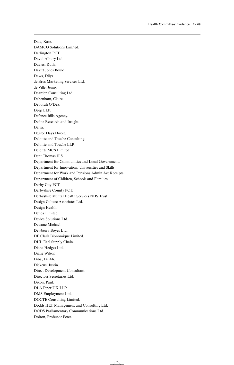Dale, Kate. DAMCO Solutions Limited. Darlington PCT. David Albury Ltd. Davies, Ruth. Davitt Jones Bould. Daws, Dilys. de Brus Marketing Services Ltd. de Ville, Jenny. Dearden Consulting Ltd. Debenham, Claire. Deborah O'Dea. Deep LLP. Defence Bills Agency. Define Research and Insight. Defra. Degree Days Direct. Deloitte and Touche Consulting. Deloitte and Touche LLP. Deloitte MCS Limited. Dent Thomas H S. Department for Communities and Local Government. Department for Innovation, Universities and Skills. Department for Work and Pensions Admin Act Receipts. Department of Children, Schools and Families. Derby City PCT. Derbyshire County PCT. Derbyshire Mental Health Services NHS Trust. Design Culture Associates Ltd. Design Health. Detica Limited. Device Solutions Ltd. Dewane Michael. Dewberry Boyes Ltd. DF Clark Bionomique Limited. DHL Exel Supply Chain. Diane Hedges Ltd. Diane Wilson. Diba, Dr Ali. Dickens, Justin. Direct Development Consultant. Directors Secretaries Ltd. Dixon, Paul. DLA Piper UK LLP. DMS Employment Ltd. DOCTE Consulting Limited. Dodds HLT Management and Consulting Ltd. DODS Parliamentary Communications Ltd. Dolton, Professor Peter.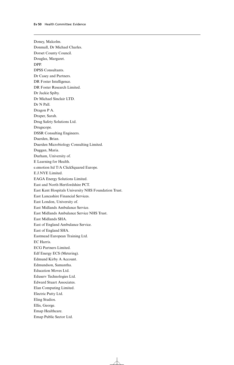Doney, Malcolm. Donmall, Dr Michael Charles. Dorset County Council. Douglas, Margaret. DPP. DPSS Consultants. Dr Casey and Partners. DR Foster Intelligence. DR Foster Research Limited. Dr Jackie Spiby. Dr Michael Sinclair LTD. Dr N Pall. Dragon P A. Draper, Sarah. Drug Safety Solutions Ltd. Drugscope. DSSR Consulting Engineers. Duerden, Brian. Duerden Microbiology Consulting Limited. Duggan, Maria. Durham, University of. E Learning for Health. e.emotion ltd T/A ClickSquared Europe. E.J.NYE Limited. EAGA Energy Solutions Limited. East and North Hertfordshire PCT. East Kent Hospitals University NHS Foundation Trust. East Lancashire Financial Services. East London, University of. East Midlands Ambulance Service. East Midlands Ambulance Service NHS Trust. East Midlands SHA. East of England Ambulance Service. East of England SHA. Eastmead European Training Ltd. EC Harris. ECG Partners Limited. Edf Energy ECS (Metering). Edmund Kirby A Account. Edmundson, Samantha. Education Moves Ltd. Eduserv Technologies Ltd. Edward Stuart Associates. Elan Computing Limited. Electric Putty Ltd. Eling Studios. Ellis, George. Emap Healthcare. Emap Public Sector Ltd.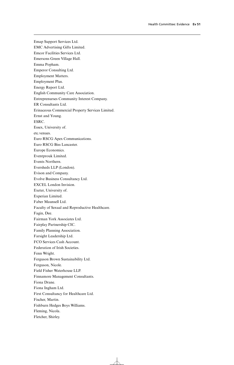Emap Support Services Ltd. EMC Advertising Gifts Limited. Emcor Facilities Services Ltd. Emersons Green Village Hall. Emma Popham. Emperor Consulting Ltd. Employment Matters. Employment Plus. Energy Report Ltd. English Community Care Association. Entreprenurses Community Interest Company. ER Consultants Ltd. Erinaceous Commercial Property Services Limited. Ernst and Young. ESRC. Essex, University of. etc.venues. Euro RSCG Apex Communications. Euro RSCG Biss Lancaster. Europe Economics. Eventprouk Limited. Events Northern. Eversheds LLP (London). Evison and Company. Evolve Business Consultancy Ltd. EXCEL London Invision. Exeter, University of. Experian Limited. Faber Maunsell Ltd. Faculty of Sexual and Reproductive Healthcare. Fagin, Dee. Fairman York Associates Ltd. Fairplay Partnership CIC. Family Planning Association. Farsight Leadership Ltd. FCO Services Cash Account. Federation of Irish Societies. Fenn Wright. Ferguson Brown Sustainability Ltd. Ferguson, Nicole. Field Fisher Waterhouse LLP. Finnamore Management Consultants. Fiona Drane. Fiona Ingham Ltd. First Consultancy for Healthcare Ltd. Fischer, Martin. Fishburn Hedges Boys Williams. Fleming, Nicola. Fletcher, Shirley.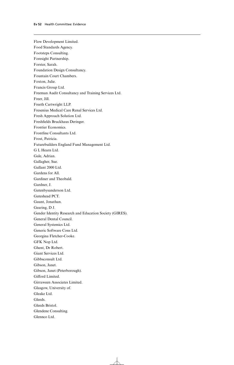Flow Development Limited. Food Standards Agency. Footsteps Consulting. Foresight Partnership. Forster, Sarah. Foundation Design Consultancy. Fountain Court Chambers. Foxton, Julie. Francis Group Ltd. Freeman Audit Consultancy and Training Services Ltd. Freer, Jill. Freeth Cartwright LLP. Fresenius Medical Care Renal Services Ltd. Fresh Approach Solution Ltd. Freshfields Bruckhaus Deringer. Frontier Economics. Frontline Consultants Ltd. Frost, Patricia. Futurebuilders England Fund Management Ltd. G L Hearn Ltd. Gale, Adrian. Gallagher, Sue. Gallant 2000 Ltd. Gardens for All. Gardiner and Theobald. Gardner, J. Gatenbysanderson Ltd. Gateshead PCT. Gaunt, Jonathan. Gearing, D J. Gender Identity Research and Education Society (GIRES). General Dental Council. General Systemics Ltd. Generic Software Cons Ltd. Georgina Fletcher-Cooke. GFK Nop Ltd. Ghent, Dr Robert. Giant Services Ltd. Gibbsconsult Ltd. Gibson, Janet. Gibson, Janet (Peterborough). Gifford Limited. Girraween Associates Limited. Glasgow, University of. Gleake Ltd. Gleeds. Gleeds Bristol. Glendene Consulting. Glennco Ltd.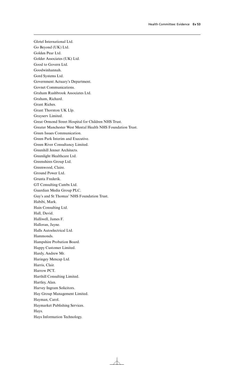Glotel International Ltd. Go Beyond (UK) Ltd. Golden Pear Ltd. Golder Associates (UK) Ltd. Good to Govern Ltd. Goodwinhannah. Gord Systems Ltd. Government Actuary's Department. Govnet Communications. Graham Rushbrook Associates Ltd. Graham, Richard. Grant Riches. Grant Thornton UK Llp. Grayserv Limited. Great Ormond Street Hospital for Children NHS Trust. Greater Manchester West Mental Health NHS Foundation Trust. Green Issues Communication. Green Park Interim and Executive. Green River Consultancy Limited. Greenhill Jenner Architects. Greenlight Healthcare Ltd. Greenshires Group Ltd. Greenwood, Claire. Ground Power Ltd. Grunta Frederik. GT Consulting Cambs Ltd. Guardian Media Group PLC. Guy's and St Thomas' NHS Foundation Trust. Habibi, Mark. Hain Consulting Ltd. Hall, David. Halliwell, James F. Halloran, Jayne. Halls Autoelectrical Ltd. Hammonds. Hampshire Probation Board. Happy Customer Limited. Hardy, Andrew Mr. Haringey Mencap Ltd. Harris, Clair. Harrow PCT. Harthill Consulting Limited. Hartley, Alan. Harvey Ingram Solicitors. Hay Group Management Limited. Hayman, Carol. Haymarket Publishing Services. Hays. Hays Information Technology.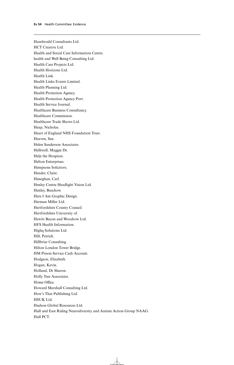Hazelwodd Consultants Ltd. HCT Creative Ltd. Health and Social Care Information Centre. health and Well Being Consulting Ltd. Health Care Projects Ltd. Health Horizons Ltd. Health Link. Health Links Events Limited. Health Planning Ltd. Health Protection Agency. Health Protection Agency Port. Health Service Journal. Healthcare Business Consultancy. Healthcare Commission. Healthcare Trade Shows Ltd. Heap, Nicholas. Heart of England NHS Foundation Trust. Heaven, Sue. Helen Sanderson Associates. Helliwell, Maggie Dr. Help the Hospices. Helton Enterprises. Hempsons Solicitors. Hender, Claire. Heneghan, Carl. Henley Centre Headlight Vision Ltd. Henley, Buschow. Here I Am Graphic Design. Herman Miller Ltd. Hertfordshire County Council. Hertfordshire University of. Hewitt Bacon and Woodrow Ltd. HFS Health Information. Highq Solutions Ltd. Hill, Patrick. Hillbriar Consulting. Hilton London Tower Bridge. HM Prison Service Cash Account. Hodgson, Elizabeth. Hogan, Kevin. Holland, Dr Sharon. Holly Tree Associates. Home Office. Howard Marshall Consulting Ltd. How's That Publishing Ltd. HSUK Ltd. Hudson Global Resources Ltd. Hull and East Riding Neurodiversity and Autism Action Group NAAG. Hull PCT.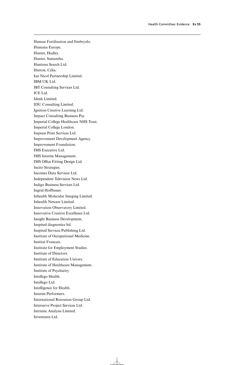Human Fertilisation and Embryolo. Humana Europe. Hunter, Hadley. Hunter, Samantha. Huntress Search Ltd. Hutton, Celia. Ian Nicol Partnership Limited. IBM UK Ltd. IBT Consulting Services Ltd. ICE Ltd. Idenk Limited. IDU Consulting Limited. Ignition Creative Learning Ltd. Impact Consulting Business Psy. Imperial College Healthcare NHS Trust. Imperial College London. Impress Print Services Ltd. Improvement Development Agency. Improvement Foundation. IMS Executive Ltd. IMS Interim Management. IMS Office Fitting Design Ltd. Incito Strategies. Incomes Data Services Ltd. Independent Television News Ltd. Indigo Business Services Ltd. Ingrid Hoffbauer. Inhealth Molecular Imaging Limited. Inhealth Netcare Limited. Innovation Observatory Limited. Innovative Creative Excellence Ltd. Insight Business Development. Inspired diagnostics ltd. Inspired Services Publishing Ltd. Institute of Occupational Medicine. Institut Francais. Institute for Employment Studies. Institute of Directors. Institute of Education Univers. Institute of Healthcare Management. Institute of Psychiatry. Intellego Health. Intellego Ltd. Intelligence for Health. Interim Performers. International Resources Group Ltd. Interserve Project Services Ltd. Intrinsic Analysis Limited. Inventures Ltd.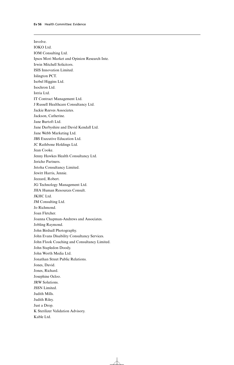Involve. IOKO Ltd. IOM Consulting Ltd. Ipsos Mori Market and Opinion Research Inte. Irwin Mitchell Solicitors. ISIS Innovation Limited. Islington PCT. Isobel Higgins Ltd. Isochron Ltd. Istria Ltd. IT Contract Management Ltd. J Russell Healthcare Consultancy Ltd. Jackie Reeves Associates. Jackson, Catherine. Jane Burtoft Ltd. Jane Darbyshire and David Kendall Ltd. Jane Webb Marketing Ltd. JBS Executive Education Ltd. JC Rathbone Holdings Ltd. Jean Cooke. Jenny Hawkes Health Consultancy Ltd. Jericho Partners. Jetoha Consultancy Limited. Jewitt Harris, Jennie. Jezzard, Robert. JG Technology Management Ltd. JHA Human Resources Consult. JKHC Ltd. JM Consulting Ltd. Jo Richmond. Joan Fletcher. Joanna Chapman-Andrews and Associates. Jobling Raymond. John Birdsall Photography. John Evans Disability Consultancy Services. John Flook Coaching and Consultancy Limited. John Stapledon Doody. John Worth Media Ltd. Jonathan Street Public Relations. Jones, David. Jones, Richard. Josephine Ocloo. JRW Solutions. JSSN Limited. Judith Mills. Judith Riley. Just a Drop. K Sterilizer Validation Advisory. Kable Ltd.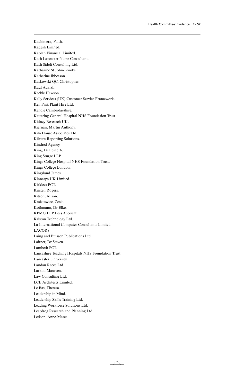Kachimera, Faith. Kadesh Limited. Kaplan Financial Limited. Kath Lancaster Nurse Consultant. Kath Sidoli Consulting Ltd. Katharine St John-Brooks. Katherine Ibbotson. Katkowski QC, Christopher. Kaul Adarsh. Keeble Hawson. Kelly Services (UK) Customer Service Framework. Ken Pink Plant Hire Ltd. Kendle Cambridgeshire. Kettering General Hospital NHS Foundation Trust. Kidney Research UK. Kiernan, Martin Anthony. Kiln House Associates Ltd. Kilvern Reporting Solutions. Kindred Agency. King, Dr Leslie A. King Sturge LLP. Kings College Hospital NHS Foundation Trust. Kings College London. Kingsland James. Kinnarps UK Limited. Kirklees PCT. Kirsten Rogers. Kitson, Alison. Kmietowicz, Zosia. Kothmann, Dr Elke. KPMG LLP Fees Account. Kriston Technology Ltd. La International Computer Consultants Limited. LACORS. Laing and Buisson Publications Ltd. Laitner, Dr Steven. Lambeth PCT. Lancashire Teaching Hospitals NHS Foundation Trust. Lancaster University. Landau Reece Ltd. Larkin, Maureen. Law Consulting Ltd. LCE Architects Limited. Le Bas, Theresa. Leadership in Mind. Leadership Skills Training Ltd. Leading Workforce Solutions Ltd. Leapfrog Research and Planning Ltd. Ledson, Anne-Maree.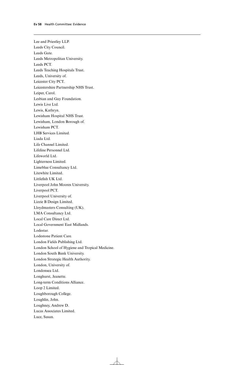Lee and Priestley LLP. Leeds City Council. Leeds Gate. Leeds Metropolitan University. Leeds PCT. Leeds Teaching Hospitals Trust. Leeds, University of. Leicester City PCT. Leicestershire Partnership NHS Trust. Leiper, Carol. Lesbian and Gay Foundation. Lewis Live Ltd. Lewis, Kathryn. Lewisham Hospital NHS Trust. Lewisham, London Borough of. Lewisham PCT. LHB Services Limited. Liada Ltd. Life Channel Limited. Lifeline Personnel Ltd. Lifeworld Ltd. Lighterness Limited. Limeblue Consultancy Ltd. Litewhite Limited. Littlefish UK Ltd. Liverpool John Moores University. Liverpool PCT. Liverpool University of. Lizzie B Design Limited. Lloydmasters Consulting (UK). LMA Consultancy Ltd. Local Care Direct Ltd. Local Government East Midlands. Lodestar. Lodestone Patient Care. London Fields Publishing Ltd. London School of Hygiene and Tropical Medicine. London South Bank University. London Strategic Health Authority. London, University of. Londonsea Ltd. Longhurst, Jeanette. Long-term Conditions Alliance. Loop 2 Limited. Loughborough College. Loughlin, John. Loughney, Andrew D. Lucas Associates Limited. Luce, Susan.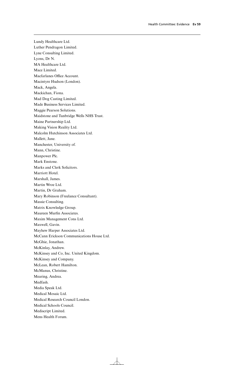Lundy Healthcare Ltd. Luther Pendragon Limited. Lyne Consulting Limited. Lyons, Dr N. MA Healthcare Ltd. Mace Limited. Macfarlanes Office Account. Macintyre Hudson (London). Mack, Angela. Mackichan, Fiona. Mad Dog Casting Limited. Made Business Services Limited. Maggie Pearson Solutions. Maidstone and Tunbridge Wells NHS Trust. Maine Partnership Ltd. Making Vision Reality Ltd. Malcolm Hutchinson Associates Ltd. Mallett, Jane. Manchester, University of. Mann, Christine. Manpower Plc. Mark Enstone. Marks and Clerk Solicitors. Marriott Hotel. Marshall, James. Martin Wroe Ltd. Martin, Dr Graham. Mary Robinson (Freelance Consultant). Massie Consulting. Matrix Knowledge Group. Maureen Murfin Associates. Maxim Management Cons Ltd. Maxwell, Gavin. Mayhew Harper Associates Ltd. McCann Erickson Communications House Ltd. McGhie, Jonathan. McKinlay, Andrew. McKinsey and Co, Inc. United Kingdom. McKinsey and Company. McLean, Robert Hamilton. McManus, Christine. Mearing, Andrea. Medfash. Media Speak Ltd. Medical Mosaic Ltd. Medical Research Council London. Medical Schools Council. Mediscript Limited. Mens Health Forum.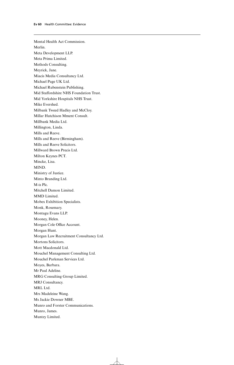Mental Health Act Commission. Merlin. Meta Development LLP. Meta Prima Limited. Methods Consulting. Meyrick, Jane. Miacis Media Consultancy Ltd. Michael Page UK Ltd. Michael Rubenstein Publishing. Mid Staffordshire NHS Foundation Trust. Mid Yorkshire Hospitals NHS Trust. Mike Evershed. Milbank Tweed Hadley and McCloy. Millar Hutchison Mment Consult. Millbank Media Ltd. Millington, Linda. Mills and Reeve. Mills and Reeve (Birmingham). Mills and Reeve Solicitors. Millward Brown Precis Ltd. Milton Keynes PCT. Mincke, Lisa. MIND. Ministry of Justice. Minto Branding Ltd. M-is Plc. Mitchell Damon Limited. MMD Limited. Mobex Exhibition Specialists. Monk, Rosemary. Montagu Evans LLP. Mooney, Helen. Morgan Cole Office Account. Morgan Hunt. Morgan Law Recruitment Consultancy Ltd. Mortons Solicitors. Mott Macdonald Ltd. Mouchel Management Consulting Ltd. Mouchel Parkman Services Ltd. Moyes, Barbara. Mr Paul Adeline. MRG Consulting Group Limited. MRJ Consultancy. MRL Ltd. Mrs Madeleine Wang. Ms Jackie Downer MBE. Munro and Forster Communications. Munro, James. Muntzy Limited.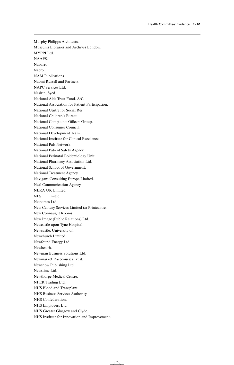Murphy Philipps Architects. Museums Libraries and Archives London. MYPPI Ltd. NAAPS. Nabarro. Nacro. NAM Publications. Naomi Russell and Partners. NAPC Services Ltd. Nasirin, Syed. National Aids Trust Fund. A/C. National Association for Patient Participation. National Centre for Social Res. National Children's Bureau. National Complaints Officers Group. National Consumer Council. National Development Team. National Institute for Clinical Excellence. National Pals Network. National Patient Safety Agency. National Perinatal Epidemiology Unit. National Pharmacy Association Ltd. National School of Government. National Treatment Agency. Navigant Consulting Europe Limited. Neal Communication Agency. NERA UK Limited. NES IT Limited. Netnames Ltd. New Century Services Limited t/a Printcentre. New Connaught Rooms. New Image (Public Relations) Ltd. Newcastle upon Tyne Hospital. Newcastle, University of. Newchurch Limited. Newfound Energy Ltd. Newhealth. Newman Business Solutions Ltd. Newmarket Racecourses Trust. Newsnow Publishing Ltd. Newstime Ltd. Newthorpe Medical Centre. NFER Trading Ltd. NHS Blood and Transplant. NHS Business Services Authority. NHS Confederation. NHS Employers Ltd. NHS Greater Glasgow and Clyde. NHS Institute for Innovation and Improvement.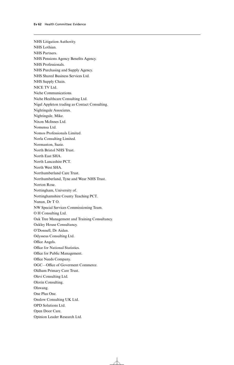NHS Litigation Authority. NHS Lothian. NHS Partners. NHS Pensions Agency Benefits Agency. NHS Professionals. NHS Purchasing and Supply Agency. NHS Shared Business Services Ltd. NHS Supply Chain. NICE TV Ltd. Niche Communications. Niche Healthcare Consulting Ltd. Nigel Appleton trading as Contact Consulting. Nightingale Associates. Nightingale, Mike. Nixon McInnes Ltd. Nomensa Ltd. Nomos Professionals Limited. Norla Consulting Limited. Normanton, Suzie. North Bristol NHS Trust. North East SHA. North Lancashire PCT. North West SHA. Northumberland Care Trust. Northumberland, Tyne and Wear NHS Trust. Norton Rose. Nottingham, University of. Nottinghamshire County Teaching PCT. Nunan, Dr T O. NW Special Services Commissioning Team. O H Consulting Ltd. Oak Tree Management and Training Consultancy. Oakley House Consultancy. O'Donnell, Dr Aidan. Odysseus Consulting Ltd. Office Angels. Office for National Statistics. Office for Public Management. Office Needs Company. OGC-Office of Goverment Commerce. Oldham Primary Care Trust. Olevi Consulting Ltd. Olorin Consulting. Olswang. One Plus One. Onslow Consulting UK Ltd. OPD Solutions Ltd. Open Door Care. Opinion Leader Research Ltd.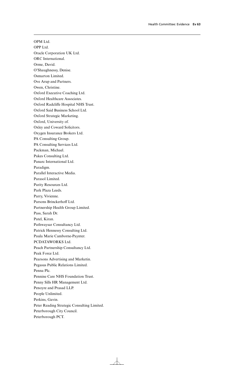OPM Ltd. OPP Ltd. Oracle Corporation UK Ltd. ORC International. Orme, David. O'Shaughnessy, Denise. Osmarton Limited. Ove Arup and Partners. Owen, Christine. Oxford Executive Coaching Ltd. Oxford Healthcare Associates. Oxford Radcliffe Hospital NHS Trust. Oxford Said Business School Ltd. Oxford Strategic Marketing. Oxford, University of. Oxley and Coward Solicitors. Oxygen Insurance Brokers Ltd. PA Consulting Group. PA Consulting Services Ltd. Packman, Michael. Pakes Consulting Ltd. Panarc International Ltd. Paradigm. Parallel Interactive Media. Parasol Limited. Parity Resources Ltd. Park Plaza Leeds. Parry, Vivienne. Parsons Brinckerhoff Ltd. Partnership Health Group Limited. Pass, Sarah Dr. Patel, Kiran. Pathwaysar Consultancy Ltd. Patrick Hennessy Consulting Ltd. Paula Marie Camborne-Paynter. PCDATAWORKS Ltd. Peach Partnership Consultancy Ltd. Peak Force Ltd. Pearsons Advertising and Marketin. Pegasus Public Relations Limited. Penna Plc. Pennine Care NHS Foundation Trust. Penny Sills HR Management Ltd. Penoyre and Prasad LLP. People Unlimited. Perkins, Gavin. Peter Reading Strategic Consulting Limited. Peterborough City Council. Peterborough PCT.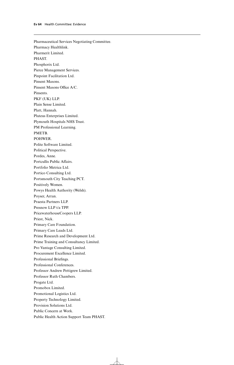Pharmaceutical Services Negotiating Committee. Pharmacy Healthlink. Pharmerit Limited. PHAST. Phosphorix Ltd. Pierce Management Services. Pinpoint Facilitation Ltd. Pinsent Masons. Pinsent Masons Office A/C. Pinsents. PKF (UK) LLP. Plain Sense Limited. Platt, Hannah. Pluteus Enterprises Limited. Plymouth Hospitals NHS Trust. PM Professional Learning. PMETB. POHWER. Polite Software Limited. Political Perspective. Pordes, Anne. Portcullis Public Affairs. Portfolio Metrica Ltd. Portico Consulting Ltd. Portsmouth City Teaching PCT. Positively Women. Powys Health Authority (Welsh). Poyser, Arran. Praesta Partners LLP. Presnow LLP t/a TPP. PricewaterhouseCoopers LLP. Priest, Nick. Primary Care Foundation. Primary Care Leads Ltd. Prime Research and Development Ltd. Prime Training and Consultancy Limited. Pro Vantage Consulting Limited. Procurement Excellence Limited. Professional Briefings. Professional Conferences. Professor Andrew Pettigrew Limited. Professor Ruth Chambers. Progate Ltd. Promobox Limited. Promotional Logistics Ltd. Property Technology Limited. Provision Solutions Ltd. Public Concern at Work. Public Health Action Support Team PHAST.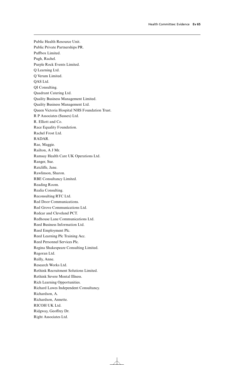Public Health Resource Unit. Public Private Partnerships PR. Puffbox Limited. Pugh, Rachel. Purple Rock Events Limited. Q Learning Ltd. Q Verum Limited. QAS Ltd. QI Consulting. Quadrant Catering Ltd. Quality Business Management Limited. Quality Business Management Ltd. Queen Victoria Hospital NHS Foundation Trust. R P Associates (Sussex) Ltd. R. Elliott and Co. Race Equality Foundation. Rachel Frost Ltd. RADAR. Rae, Maggie. Railton, A J Mr. Ramsay Health Care UK Operations Ltd. Ranger, Sue. Ratcliffe, Jane. Rawlinson, Sharon. RBE Consultancy Limited. Reading Room. Realia Consulting. Reconsulting RTC Ltd. Red Door Communications. Red Grove Communications Ltd. Redcar and Cleveland PCT. Redhouse Lane Communications Ltd. Reed Business Information Ltd. Reed Employment Plc. Reed Learning Plc Training Acc. Reed Personnel Services Plc. Regina Shakespeare Consulting Limited. Regoran Ltd. Reilly, Anne. Research Works Ltd. Rethink Recruitment Solutions Limited. Rethink Severe Mental Illness. Rich Learning Opportunities. Richard Lawes Independent Consultancy. Richardson, A. Richardson, Annette. RICOH UK Ltd. Ridgway, Geoffrey Dr. Right Associates Ltd.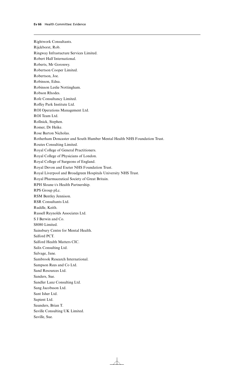Rightwork Consultants. Rijckborst, Rob. Ringway Infrastucture Services Limited. Robert Half International. Roberts, Mr Goronwy. Robertson Cooper Limited. Robertson, Joe. Robinson, Edna. Robinson Leslie Nottingham. Robson Rhodes. Rofe Consultancy Limited. Roffey Park Institute Ltd. ROI Operations Management Ltd. ROI Team Ltd. Rollnick, Stephen. Romer, Dr Heike. Rose Barton Nicholas. Rotherham Doncaster and South Humber Mental Health NHS Foundation Trust. Routes Consulting Limited. Royal College of General Practitioners. Royal College of Physicians of London. Royal College of Surgeons of England. Royal Devon and Exeter NHS Foundation Trust. Royal Liverpool and Broadgreen Hospitals University NHS Trust. Royal Pharmaceutical Society of Great Britain. RPH Sloane t/s Health Partnership. RPS Group pLc. RSM Bentley Jennison. RSR Consultants Ltd. Ruddle, Keith. Russell Reynolds Associates Ltd. S J Berwin and Co. S8080 Limited. Sainsbury Centre for Mental Health. Salford PCT. Salford Health Matters CIC. Salix Consulting Ltd. Salvage, Jane. Sambrook Research International. Sampson Rees and Co Ltd. Sand Resources Ltd. Sanders, Sue. Sandler Lanz Consulting Ltd. Sang Jacobsson Ltd. Sant Isher Ltd. Sapient Ltd. Saunders, Brian T. Saville Consulting UK Limited. Saville, Sue.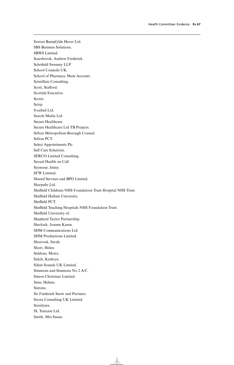Saxton Bampfylde Hever Ltd. SBS Business Solutions. SBWS Limited. Scarsbrook, Andrew Frederick. Schofield Sweeney LLP. School Councils UK. School of Pharmacy Main Account. Scintillate Consulting. Scott, Stafford. Scottish Executive. Scotts. Sctrp. S-cubed Ltd. Search Media Ltd. Secure Healthcare. Secure Healthcare Ltd TB Projects. Sefton Metropolitan Borough Council. Sefton PCT. Select Appointments Plc. Self Care Solutions. SERCO Limited Consulting. Sexual Health on Call. Seymour, Jenny. SFW Limited. Shared Services and BPO Limited. Sharpehr Ltd. Sheffield Childrens NHS Foundation Trust Hospital NHS Trust. Sheffield Hallam University. Sheffield PCT. Sheffield Teaching Hospitals NHS Foundation Trust. Sheffield University of. Shepherd Taylor Partnership. Sherlock, Joanne Karen. SHM Communications Ltd. SHM Productions Limited. Shorrock, Sarah. Short, Helen. Siddons, Moira. Sidoli, Kathryn. Silent Sounds UK Limited. Simmons and Simmons No 2 A/C. Simon Christmas Limited. Sims, Helena. Sintons. Sir Frederick Snow and Partners. Sirota Consulting UK Limited. Sirsidynix. SL Treecare Ltd. Smith, Mrs Susan.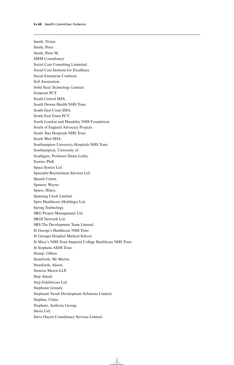Smith, Vivien. Smith, Peter. Smith, Peter M. SMM Consultancy. Social Care Consulting Limmited. Social Care Institute for Excellence. Social Enterprise Coalition. Soil Association. Solid State Technology Limited. Somerset PCT. South Central SHA. South Downs Health NHS Trust. South East Coast SHA. South East Essex PCT. South London and Maudsley NHS Foundation. South of England Advocacy Projects. South Tees Hospitals NHS Trust. South West SHA. Southampton University Hospitals NHS Trust. Southampton, University of. Southgate, Professor Dame Lesley. Sowter, Phill. Space Syntax Ltd. Specialist Recruitment Services Ltd. Speech Centre. Spencer, Wayne. Spiers, Hilary. Spinning Clock Limited. Spire Healthcare (Holdings) Ltd. Spring Technology. SRG Project Management Ltd. SROI Network Ltd. SRS The Development Team Limited. St George's Healthcare NHS Trust. St Georges Hospital Medical School. St Mary's NHS Trust Imperial College Healthcare NHS Trust. St Stephens AIDS Trust. Stamp, Gillian. Staniforth, Mr Martin. Staniforth, Alison. Stanton Marris LLP. Step Ahead. Step Exhibitions Ltd. Stephanie Grundy. Stephanie Varah Development Solutions Limited. Stephen, Claire. Stephens, Anthony George. Steria Ltd. Steve Onyett Consultancy Services Limited.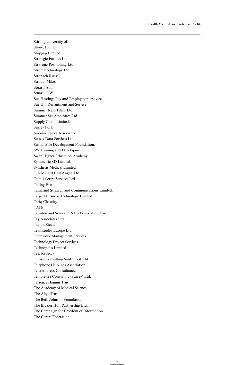Stirling University of. Stone, Judith. Stopgap Limited. Strategic Futures Ltd. Strategic Positioning Ltd. Stromatechnology Ltd. Stronach Russell. Stroud, Mike. Stuart, Ann. Stuart, O W. Sue Hastings Pay and Employment Advice. Sue Hill Recruitment and Service. Summer Rain Films Ltd. Summer Set Associates Ltd. Supply Chain Limited. Surrey PCT. Susanne James Associates. Sussex Data Services Ltd. Sustainable Development Foundation. SW Training and Development. Swap Higher Education Academy. Symmetric SD Limited. Synthesis Medical Limited. T A Millard East Anglia Ltd. Take 1 Script Services Ltd. Taking Part. Tamarind Strategy and Communications Limited. Targett Business Technology Limited. Tariq Chaudry. TATE. Taunton and Somerset NHS Foundation Trust. Tay Associates Ltd. Taylor, Steve. Teamstudio Europe Ltd. Teamwork Management Services. Technology Project Services. Technopolis Limited. Tee, Rebecca. Teleios Consulting South East Ltd. Telephone Helplines Association. Teleresources Consultancy. Templetree Consulting (Surrey) Ltd. Terrence Higgins Trust. The Academy of Medical Science. The Afiya Trust. The Beth Johnson Foundation. The Brazier Holt Partnership Ltd. The Campaign for Freedom of Information. The Carers Federation.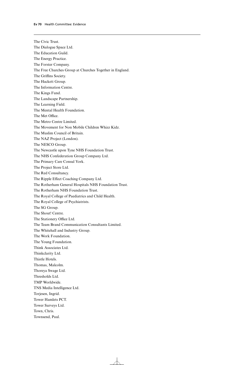Townsend, Paul.

The Civic Trust. The Dialogue Space Ltd. The Education Guild. The Energy Practice. The Forster Company. The Free Churches Group at Churches Together in England. The Griffins Society. The Hackett Group. The Information Centre. The Kings Fund. The Landscape Partnership. The Learning Field. The Mental Health Foundation. The Met Office. The Metro Centre Limited. The Movement for Non Mobile Children Whizz Kidz. The Muslim Council of Britain. The NAZ Project (London). The NESCO Group. The Newcastle upon Tyne NHS Foundation Trust. The NHS Confederation Group Company Ltd. The Primary Care Consul York. The Project Store Ltd. The Red Consultancy. The Ripple Effect Coaching Company Ltd. The Rotherham General Hospitals NHS Foundation Trust. The Rotherham NHS Foundation Trust. The Royal College of Paediatrics and Child Health. The Royal College of Psychiatrists. The SG Group. The Shout! Centre. The Stationery Office Ltd. The Team Brand Communication Consultants Limited. The Whitehall and Industry Group. The Work Foundation. The Young Foundation. Think Associates Ltd. Thinkclarity Ltd. Thistle Hotels. Thomas, Malcolm. Thoreya Swage Ltd. Thresholds Ltd. TMP Worldwide. TNS Media Intelligence Ltd. Torjesen, Ingrid. Tower Hamlets PCT. Tower Surveys Ltd. Town, Chris.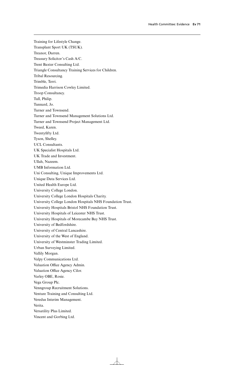Training for Lifestyle Change. Transplant Sport UK (TSUK). Treanor, Darren. Treasury Solicitor's Cash A/C. Trent Baxter Consulting Ltd. Triangle Consultancy Training Services for Children. Tribal Resourcing. Trimble, Terri. Trimedia Harrison Cowley Limited. Troop Consultancy. Tull, Philip. Tunnard, Jo. Turner and Townsend. Turner and Townsend Management Solutions Ltd. Turner and Townsend Project Management Ltd. Tweed, Karen. Twentyfifty Ltd. Tyson, Shelley. UCL Consultants. UK Specialist Hospitals Ltd. UK Trade and Investment. Ullah, Nazeem. UMB Information Ltd. Uni Consulting, Unique Improvements Ltd. Unique Data Services Ltd. United Health Europe Ltd. University College London. University College London Hospitals Charity. University College London Hospitals NHS Foundation Trust. University Hospitals Bristol NHS Foundation Trust. University Hospitals of Leicester NHS Trust. University Hospitals of Morecambe Bay NHS Trust. University of Bedfordshire. University of Central Lancashire. University of the West of England. University of Westminster Trading Limited. Urban Surveying Limited. Vallily Morgan. Valpy Communications Ltd. Valuation Office Agency Admin. Valuation Office Agency Cilor. Varley OBE, Rosie. Vega Group Plc. Venngroup Recruitment Solutions. Venture Training and Consulting Ltd. Veredus Interim Management. Verita. Versatility Plus Limited. Vincent and Gorbing Ltd.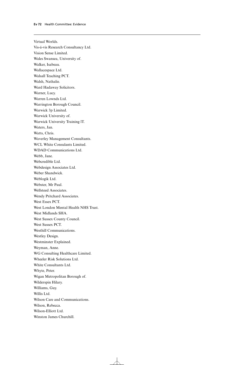Virtual Worlds. Vis-á-vis Research Consultancy Ltd. Vision Sense Limited. Wales Swansea, University of. Walker, Isabeau. Wallacespace Ltd. Walsall Teaching PCT. Walsh, Nathalie. Ward Hadaway Solicitors. Warner, Lucy. Warren Lownds Ltd. Warrington Borough Council. Warwick 3p Limited. Warwick University of. Warwick University Training lT. Waters, Jan. Watts, Chris. Waverley Management Consultants. WCL White Consulants Limited. WDAD Communications Ltd. Webb, Jane. Webcredible Ltd. Webdesign Associates Ltd. Weber Shandwick. Weblogik Ltd. Webster, Mr Paul. Wellsteed Associates. Wendy Pritchard Associates. West Essex PCT. West London Mental Health NHS Trust. West Midlands SHA. West Sussex County Council. West Sussex PCT. Westhill Communications. Westley Design. Westminster Explained. Weyman, Anne. WG Consulting Healthcare Limited. Wheeler Risk Solutions Ltd. White Consultants Ltd. Whyte, Peter. Wigan Metropolitan Borough of. Wilderspin Hilary. Williams, Guy. Willis Ltd. Wilson Care and Communications. Wilson, Rebecca. Wilson-Elliott Ltd. Winston James Churchill.